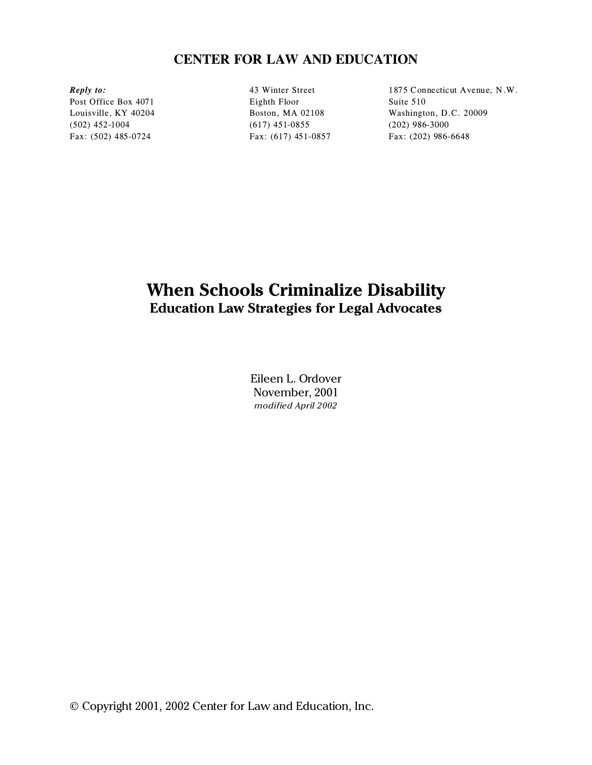# **CENTER FOR LAW AND EDUCATION**

(502) 452-1004 (617) 451-0855 (202) 986-3000 Fax: (502) 485-0724 Fax: (617) 451-0857 Fax: (202) 986-6648

Post Office Box 4071 Eighth Floor Suite 510

*Reply to:* 43 Winter Street 1875 Connecticut Avenue, N.W. Louisville, KY 40204 Boston, MA 02108 Washington, D.C. 20009

# **When Schools Criminalize Disability Education Law Strategies for Legal Advocates**

Eileen L. Ordover November, 2001 *modified April 2002*

© Copyright 2001, 2002 Center for Law and Education, Inc.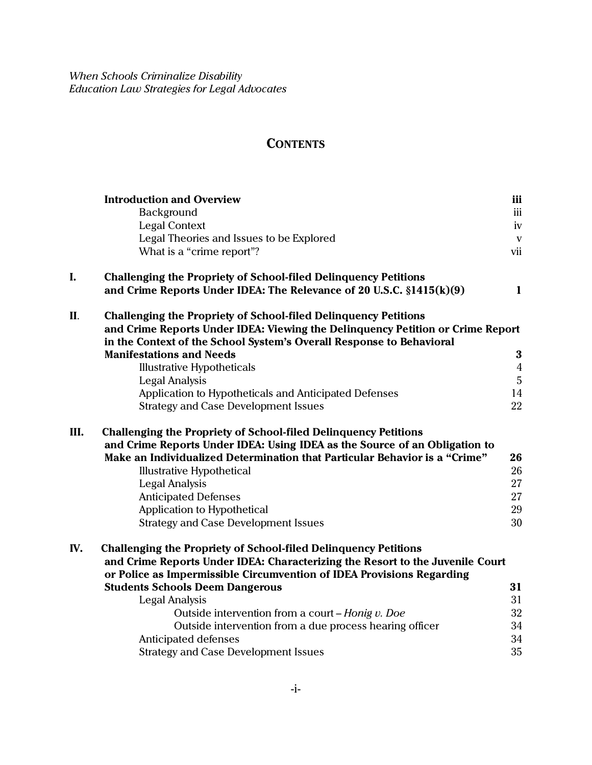# **CONTENTS**

|      | <b>Introduction and Overview</b>                                               | iii            |  |
|------|--------------------------------------------------------------------------------|----------------|--|
|      | Background                                                                     | iii            |  |
|      | <b>Legal Context</b>                                                           | iv             |  |
|      | Legal Theories and Issues to be Explored                                       | $\mathbf{V}$   |  |
|      | What is a "crime report"?                                                      | vii            |  |
| I.   | <b>Challenging the Propriety of School-filed Delinquency Petitions</b>         |                |  |
|      | and Crime Reports Under IDEA: The Relevance of 20 U.S.C. $\S 1415(k)(9)$       | $\mathbf{1}$   |  |
| II.  | <b>Challenging the Propriety of School-filed Delinquency Petitions</b>         |                |  |
|      | and Crime Reports Under IDEA: Viewing the Delinquency Petition or Crime Report |                |  |
|      | in the Context of the School System's Overall Response to Behavioral           |                |  |
|      | <b>Manifestations and Needs</b>                                                | $\bf{3}$       |  |
|      | <b>Illustrative Hypotheticals</b>                                              | $\overline{4}$ |  |
|      | <b>Legal Analysis</b>                                                          | $\overline{5}$ |  |
|      | Application to Hypotheticals and Anticipated Defenses                          | 14             |  |
|      | <b>Strategy and Case Development Issues</b>                                    | 22             |  |
| III. | <b>Challenging the Propriety of School-filed Delinquency Petitions</b>         |                |  |
|      | and Crime Reports Under IDEA: Using IDEA as the Source of an Obligation to     |                |  |
|      | Make an Individualized Determination that Particular Behavior is a "Crime"     | 26             |  |
|      | <b>Illustrative Hypothetical</b>                                               | 26             |  |
|      | <b>Legal Analysis</b>                                                          | 27             |  |
|      | <b>Anticipated Defenses</b>                                                    | 27             |  |
|      | Application to Hypothetical                                                    | 29             |  |
|      | <b>Strategy and Case Development Issues</b>                                    | 30             |  |
| IV.  | <b>Challenging the Propriety of School-filed Delinquency Petitions</b>         |                |  |
|      | and Crime Reports Under IDEA: Characterizing the Resort to the Juvenile Court  |                |  |
|      | or Police as Impermissible Circumvention of IDEA Provisions Regarding          |                |  |
|      | <b>Students Schools Deem Dangerous</b>                                         | 31             |  |
|      | <b>Legal Analysis</b>                                                          | 31             |  |
|      | Outside intervention from a court - Honig v. Doe                               | 32             |  |
|      | Outside intervention from a due process hearing officer                        | 34             |  |
|      | Anticipated defenses                                                           | 34             |  |
|      | <b>Strategy and Case Development Issues</b>                                    | 35             |  |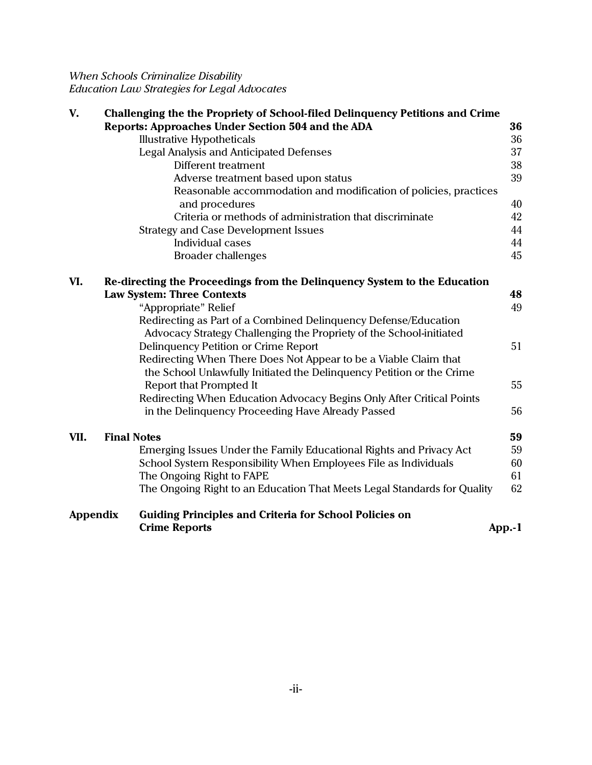| V.              | Challenging the the Propriety of School-filed Delinquency Petitions and Crime                                                             |    |
|-----------------|-------------------------------------------------------------------------------------------------------------------------------------------|----|
|                 | Reports: Approaches Under Section 504 and the ADA                                                                                         | 36 |
|                 | <b>Illustrative Hypotheticals</b>                                                                                                         | 36 |
|                 | <b>Legal Analysis and Anticipated Defenses</b>                                                                                            | 37 |
|                 | Different treatment                                                                                                                       | 38 |
|                 | Adverse treatment based upon status                                                                                                       | 39 |
|                 | Reasonable accommodation and modification of policies, practices<br>and procedures                                                        | 40 |
|                 | Criteria or methods of administration that discriminate                                                                                   | 42 |
|                 | <b>Strategy and Case Development Issues</b>                                                                                               | 44 |
|                 | Individual cases                                                                                                                          | 44 |
|                 | <b>Broader challenges</b>                                                                                                                 | 45 |
|                 |                                                                                                                                           |    |
| VI.             | Re-directing the Proceedings from the Delinquency System to the Education                                                                 |    |
|                 | <b>Law System: Three Contexts</b>                                                                                                         | 48 |
|                 | "Appropriate" Relief                                                                                                                      | 49 |
|                 | Redirecting as Part of a Combined Delinquency Defense/Education                                                                           |    |
|                 | Advocacy Strategy Challenging the Propriety of the School-initiated                                                                       |    |
|                 | Delinquency Petition or Crime Report                                                                                                      | 51 |
|                 | Redirecting When There Does Not Appear to be a Viable Claim that<br>the School Unlawfully Initiated the Delinquency Petition or the Crime |    |
|                 | <b>Report that Prompted It</b>                                                                                                            | 55 |
|                 | Redirecting When Education Advocacy Begins Only After Critical Points                                                                     |    |
|                 | in the Delinquency Proceeding Have Already Passed                                                                                         | 56 |
| VII.            | <b>Final Notes</b>                                                                                                                        | 59 |
|                 | Emerging Issues Under the Family Educational Rights and Privacy Act                                                                       | 59 |
|                 | School System Responsibility When Employees File as Individuals                                                                           | 60 |
|                 | The Ongoing Right to FAPE                                                                                                                 | 61 |
|                 | The Ongoing Right to an Education That Meets Legal Standards for Quality                                                                  | 62 |
| <b>Appendix</b> | <b>Guiding Principles and Criteria for School Policies on</b>                                                                             |    |
|                 | <b>Crime Reports</b><br>App.-1                                                                                                            |    |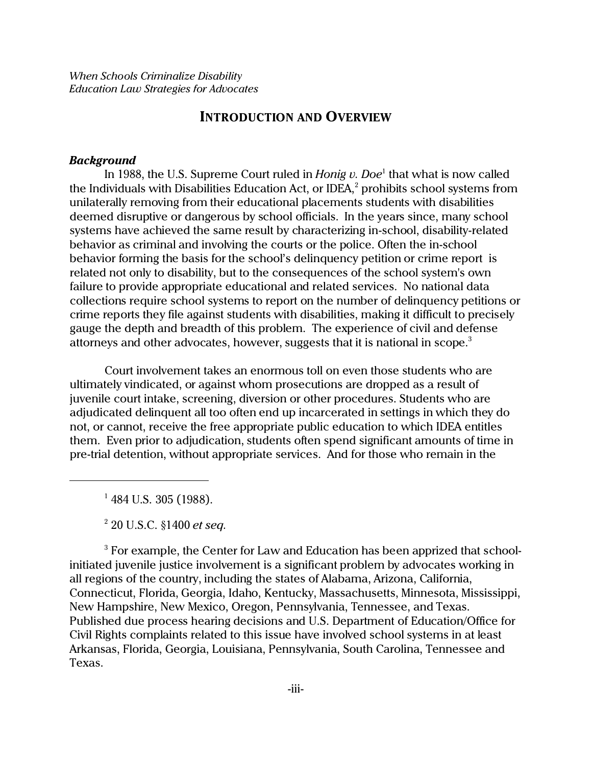### **INTRODUCTION AND OVERVIEW**

#### *Background*

In 1988, the U.S. Supreme Court ruled in *Honig v. Doe*<sup>1</sup> that what is now called the Individuals with Disabilities Education Act, or IDEA, $^{\rm 2}$  prohibits school systems from unilaterally removing from their educational placements students with disabilities deemed disruptive or dangerous by school officials. In the years since, many school systems have achieved the same result by characterizing in-school, disability-related behavior as criminal and involving the courts or the police. Often the in-school behavior forming the basis for the school's delinquency petition or crime report is related not only to disability, but to the consequences of the school system's own failure to provide appropriate educational and related services. No national data collections require school systems to report on the number of delinquency petitions or crime reports they file against students with disabilities, making it difficult to precisely gauge the depth and breadth of this problem. The experience of civil and defense attorneys and other advocates, however, suggests that it is national in scope.<sup>3</sup>

Court involvement takes an enormous toll on even those students who are ultimately vindicated, or against whom prosecutions are dropped as a result of juvenile court intake, screening, diversion or other procedures. Students who are adjudicated delinquent all too often end up incarcerated in settings in which they do not, or cannot, receive the free appropriate public education to which IDEA entitles them. Even prior to adjudication, students often spend significant amounts of time in pre-trial detention, without appropriate services. And for those who remain in the

<sup>1</sup> 484 U.S. 305 (1988).

2 20 U.S.C. §1400 *et seq.*

 $3$  For example, the Center for Law and Education has been apprized that schoolinitiated juvenile justice involvement is a significant problem by advocates working in all regions of the country, including the states of Alabama, Arizona, California, Connecticut, Florida, Georgia, Idaho, Kentucky, Massachusetts, Minnesota, Mississippi, New Hampshire, New Mexico, Oregon, Pennsylvania, Tennessee, and Texas. Published due process hearing decisions and U.S. Department of Education/Office for Civil Rights complaints related to this issue have involved school systems in at least Arkansas, Florida, Georgia, Louisiana, Pennsylvania, South Carolina, Tennessee and Texas.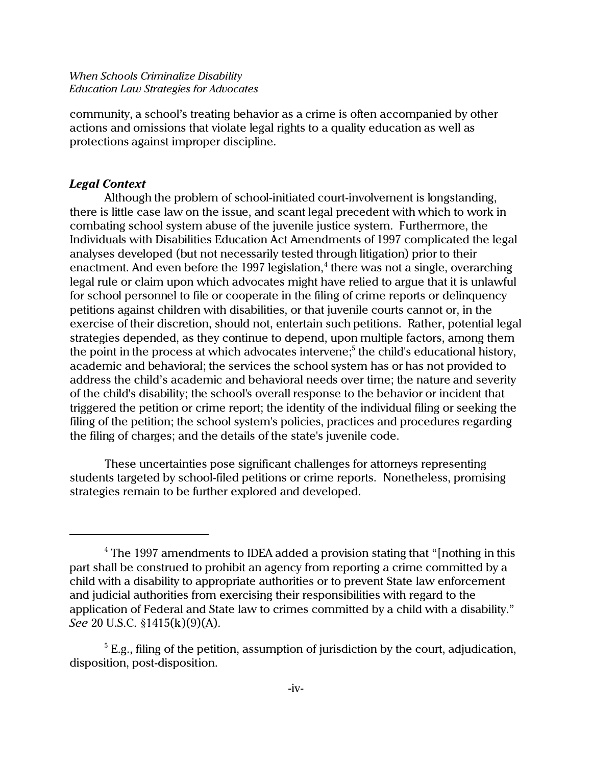community, a school's treating behavior as a crime is often accompanied by other actions and omissions that violate legal rights to a quality education as well as protections against improper discipline.

### *Legal Context*

Although the problem of school-initiated court-involvement is longstanding, there is little case law on the issue, and scant legal precedent with which to work in combating school system abuse of the juvenile justice system. Furthermore, the Individuals with Disabilities Education Act Amendments of 1997 complicated the legal analyses developed (but not necessarily tested through litigation) prior to their enactment. And even before the 1997 legislation,<sup>4</sup> there was not a single, overarching legal rule or claim upon which advocates might have relied to argue that it is unlawful for school personnel to file or cooperate in the filing of crime reports or delinquency petitions against children with disabilities, or that juvenile courts cannot or, in the exercise of their discretion, should not, entertain such petitions. Rather, potential legal strategies depended, as they continue to depend, upon multiple factors, among them the point in the process at which advocates intervene;<sup>5</sup> the child's educational history, academic and behavioral; the services the school system has or has not provided to address the child's academic and behavioral needs over time; the nature and severity of the child's disability; the school's overall response to the behavior or incident that triggered the petition or crime report; the identity of the individual filing or seeking the filing of the petition; the school system's policies, practices and procedures regarding the filing of charges; and the details of the state's juvenile code.

These uncertainties pose significant challenges for attorneys representing students targeted by school-filed petitions or crime reports. Nonetheless, promising strategies remain to be further explored and developed.

 $^4$  The 1997 amendments to IDEA added a provision stating that "[nothing in this  $\,$ part shall be construed to prohibit an agency from reporting a crime committed by a child with a disability to appropriate authorities or to prevent State law enforcement and judicial authorities from exercising their responsibilities with regard to the application of Federal and State law to crimes committed by a child with a disability." *See* 20 U.S.C. §1415(k)(9)(A).

 $^5$  E.g., filing of the petition, assumption of jurisdiction by the court, adjudication, disposition, post-disposition.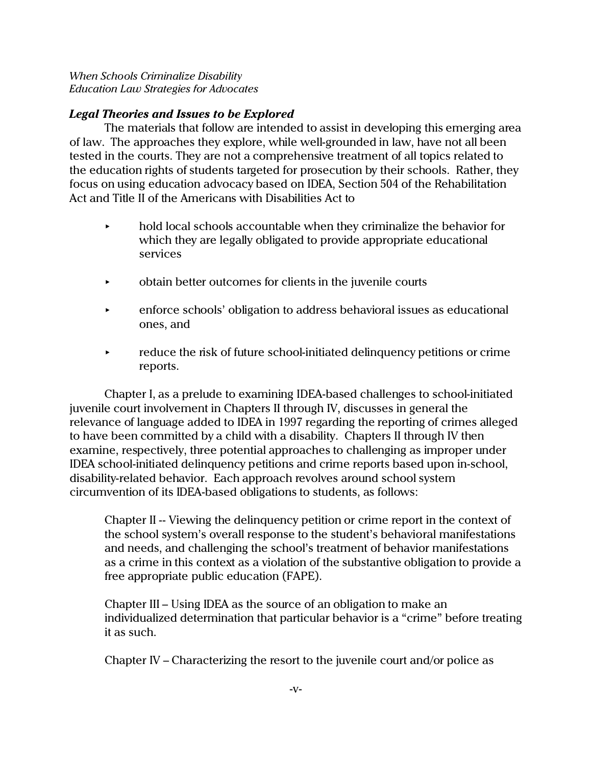## *Legal Theories and Issues to be Explored*

The materials that follow are intended to assist in developing this emerging area of law. The approaches they explore, while well-grounded in law, have not all been tested in the courts. They are not a comprehensive treatment of all topics related to the education rights of students targeted for prosecution by their schools. Rather, they focus on using education advocacy based on IDEA, Section 504 of the Rehabilitation Act and Title II of the Americans with Disabilities Act to

- $\blacktriangleright$  hold local schools accountable when they criminalize the behavior for which they are legally obligated to provide appropriate educational services
- < obtain better outcomes for clients in the juvenile courts
- **EXECUTE:** enforce schools' obligation to address behavioral issues as educational ones, and
- $\rightarrow$  reduce the risk of future school-initiated delinquency petitions or crime reports.

Chapter I, as a prelude to examining IDEA-based challenges to school-initiated juvenile court involvement in Chapters II through IV, discusses in general the relevance of language added to IDEA in 1997 regarding the reporting of crimes alleged to have been committed by a child with a disability. Chapters II through IV then examine, respectively, three potential approaches to challenging as improper under IDEA school-initiated delinquency petitions and crime reports based upon in-school, disability-related behavior. Each approach revolves around school system circumvention of its IDEA-based obligations to students, as follows:

Chapter II -- Viewing the delinquency petition or crime report in the context of the school system's overall response to the student's behavioral manifestations and needs, and challenging the school's treatment of behavior manifestations as a crime in this context as a violation of the substantive obligation to provide a free appropriate public education (FAPE).

Chapter III – Using IDEA as the source of an obligation to make an individualized determination that particular behavior is a "crime" before treating it as such.

Chapter IV – Characterizing the resort to the juvenile court and/or police as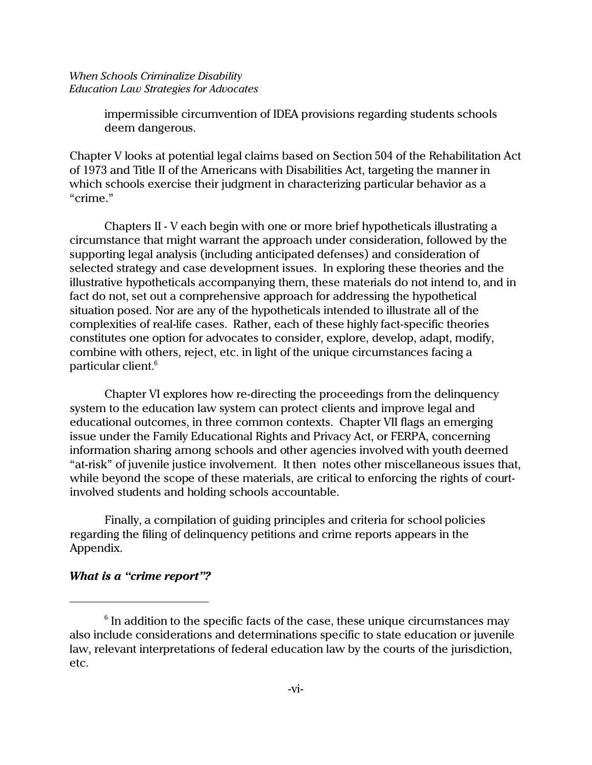impermissible circumvention of IDEA provisions regarding students schools deem dangerous.

Chapter V looks at potential legal claims based on Section 504 of the Rehabilitation Act of 1973 and Title II of the Americans with Disabilities Act, targeting the manner in which schools exercise their judgment in characterizing particular behavior as a "crime."

Chapters II - V each begin with one or more brief hypotheticals illustrating a circumstance that might warrant the approach under consideration, followed by the supporting legal analysis (including anticipated defenses) and consideration of selected strategy and case development issues. In exploring these theories and the illustrative hypotheticals accompanying them, these materials do not intend to, and in fact do not, set out a comprehensive approach for addressing the hypothetical situation posed. Nor are any of the hypotheticals intended to illustrate all of the complexities of real-life cases. Rather, each of these highly fact-specific theories constitutes one option for advocates to consider, explore, develop, adapt, modify, combine with others, reject, etc. in light of the unique circumstances facing a particular client.<sup>6</sup>

Chapter VI explores how re-directing the proceedings from the delinquency system to the education law system can protect clients and improve legal and educational outcomes, in three common contexts. Chapter VII flags an emerging issue under the Family Educational Rights and Privacy Act, or FERPA, concerning information sharing among schools and other agencies involved with youth deemed "at-risk" of juvenile justice involvement. It then notes other miscellaneous issues that, while beyond the scope of these materials, are critical to enforcing the rights of courtinvolved students and holding schools accountable.

Finally, a compilation of guiding principles and criteria for school policies regarding the filing of delinquency petitions and crime reports appears in the Appendix.

### *What is a "crime report"?*

 $^{\rm 6}$  In addition to the specific facts of the case, these unique circumstances may also include considerations and determinations specific to state education or juvenile law, relevant interpretations of federal education law by the courts of the jurisdiction, etc.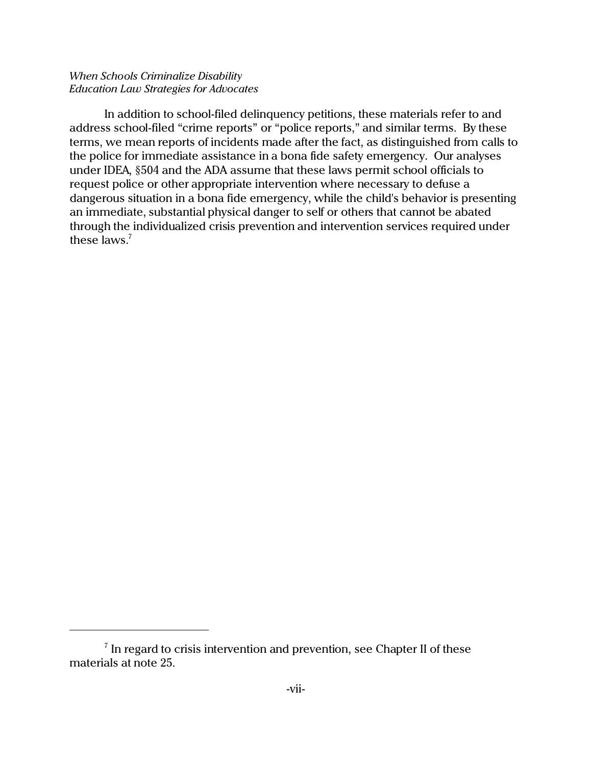In addition to school-filed delinquency petitions, these materials refer to and address school-filed "crime reports" or "police reports," and similar terms. By these terms, we mean reports of incidents made after the fact, as distinguished from calls to the police for immediate assistance in a bona fide safety emergency. Our analyses under IDEA, §504 and the ADA assume that these laws permit school officials to request police or other appropriate intervention where necessary to defuse a dangerous situation in a bona fide emergency, while the child's behavior is presenting an immediate, substantial physical danger to self or others that cannot be abated through the individualized crisis prevention and intervention services required under these laws. $7$ 

 $\mathrm{^{7}}$  In regard to crisis intervention and prevention, see Chapter II of these materials at note 25.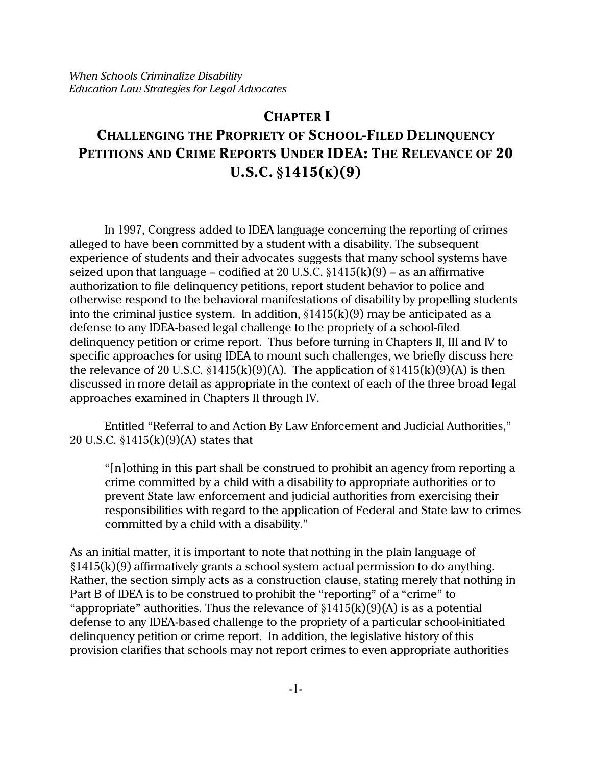## **CHAPTER I**

# **CHALLENGING THE PROPRIETY OF SCHOOL-FILED DELINQUENCY PETITIONS AND CRIME REPORTS UNDER IDEA: THE RELEVANCE OF 20 U.S.C. §1415(K)(9)**

In 1997, Congress added to IDEA language concerning the reporting of crimes alleged to have been committed by a student with a disability. The subsequent experience of students and their advocates suggests that many school systems have seized upon that language – codified at 20 U.S.C.  $\S1415(k)(9)$  – as an affirmative authorization to file delinquency petitions, report student behavior to police and otherwise respond to the behavioral manifestations of disability by propelling students into the criminal justice system. In addition,  $\S1415(k)(9)$  may be anticipated as a defense to any IDEA-based legal challenge to the propriety of a school-filed delinquency petition or crime report. Thus before turning in Chapters II, III and IV to specific approaches for using IDEA to mount such challenges, we briefly discuss here the relevance of 20 U.S.C.  $\S 1415(k)(9)(A)$ . The application of  $\S 1415(k)(9)(A)$  is then discussed in more detail as appropriate in the context of each of the three broad legal approaches examined in Chapters II through IV.

Entitled "Referral to and Action By Law Enforcement and Judicial Authorities," 20 U.S.C. §1415(k)(9)(A) states that

"[n]othing in this part shall be construed to prohibit an agency from reporting a crime committed by a child with a disability to appropriate authorities or to prevent State law enforcement and judicial authorities from exercising their responsibilities with regard to the application of Federal and State law to crimes committed by a child with a disability."

As an initial matter, it is important to note that nothing in the plain language of §1415(k)(9) affirmatively grants a school system actual permission to do anything. Rather, the section simply acts as a construction clause, stating merely that nothing in Part B of IDEA is to be construed to prohibit the "reporting" of a "crime" to "appropriate" authorities. Thus the relevance of  $\S 1415(k)(9)(A)$  is as a potential defense to any IDEA-based challenge to the propriety of a particular school-initiated delinquency petition or crime report. In addition, the legislative history of this provision clarifies that schools may not report crimes to even appropriate authorities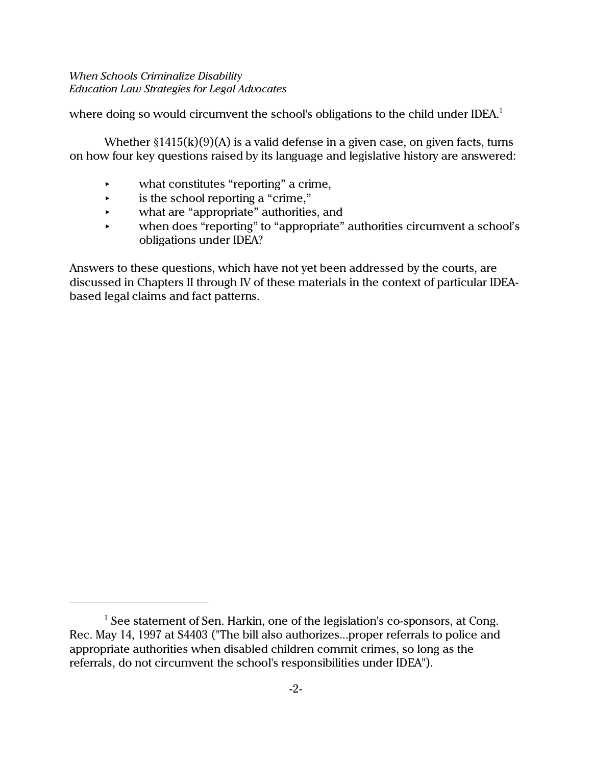where doing so would circumvent the school's obligations to the child under IDEA.<sup>1</sup>

Whether  $\S1415(k)(9)(A)$  is a valid defense in a given case, on given facts, turns on how four key questions raised by its language and legislative history are answered:

- what constitutes "reporting" a crime,
- $\cdot$  is the school reporting a "crime,"
- **EXECUTE:** what are "appropriate" authorities, and
- when does "reporting" to "appropriate" authorities circumvent a school's obligations under IDEA?

Answers to these questions, which have not yet been addressed by the courts, are discussed in Chapters II through IV of these materials in the context of particular IDEAbased legal claims and fact patterns.

<sup>&</sup>lt;sup>1</sup> See statement of Sen. Harkin, one of the legislation's co-sponsors, at Cong. Rec. May 14, 1997 at S4403 ("The bill also authorizes...proper referrals to police and appropriate authorities when disabled children commit crimes, so long as the referrals, do not circumvent the school's responsibilities under IDEA").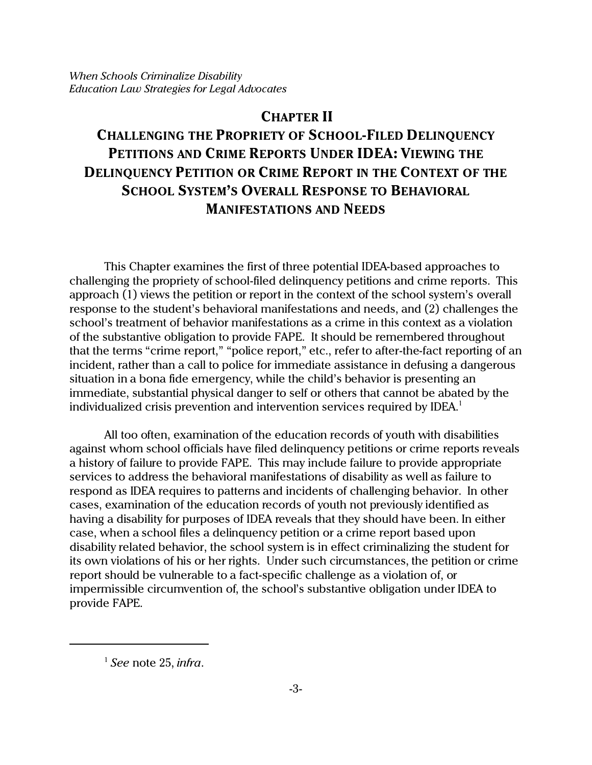# **CHAPTER II**

# **CHALLENGING THE PROPRIETY OF SCHOOL-FILED DELINQUENCY PETITIONS AND CRIME REPORTS UNDER IDEA: VIEWING THE DELINQUENCY PETITION OR CRIME REPORT IN THE CONTEXT OF THE SCHOOL SYSTEM'S OVERALL RESPONSE TO BEHAVIORAL MANIFESTATIONS AND NEEDS**

This Chapter examines the first of three potential IDEA-based approaches to challenging the propriety of school-filed delinquency petitions and crime reports. This approach (1) views the petition or report in the context of the school system's overall response to the student's behavioral manifestations and needs, and (2) challenges the school's treatment of behavior manifestations as a crime in this context as a violation of the substantive obligation to provide FAPE. It should be remembered throughout that the terms "crime report," "police report," etc., refer to after-the-fact reporting of an incident, rather than a call to police for immediate assistance in defusing a dangerous situation in a bona fide emergency, while the child's behavior is presenting an immediate, substantial physical danger to self or others that cannot be abated by the individualized crisis prevention and intervention services required by IDEA.<sup>1</sup>

All too often, examination of the education records of youth with disabilities against whom school officials have filed delinquency petitions or crime reports reveals a history of failure to provide FAPE. This may include failure to provide appropriate services to address the behavioral manifestations of disability as well as failure to respond as IDEA requires to patterns and incidents of challenging behavior. In other cases, examination of the education records of youth not previously identified as having a disability for purposes of IDEA reveals that they should have been. In either case, when a school files a delinquency petition or a crime report based upon disability related behavior, the school system is in effect criminalizing the student for its own violations of his or her rights. Under such circumstances, the petition or crime report should be vulnerable to a fact-specific challenge as a violation of, or impermissible circumvention of, the school's substantive obligation under IDEA to provide FAPE.

<sup>1</sup> *See* note 25, *infra*.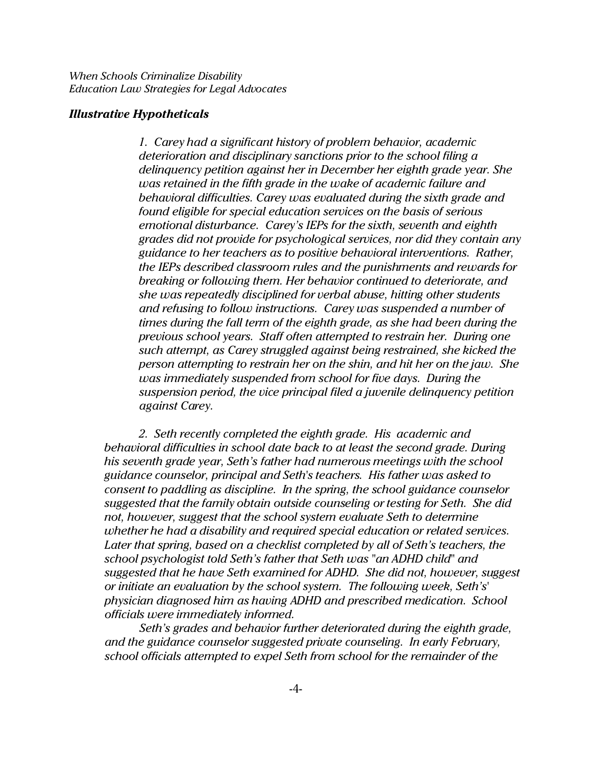#### *Illustrative Hypotheticals*

*1. Carey had a significant history of problem behavior, academic deterioration and disciplinary sanctions prior to the school filing a delinquency petition against her in December her eighth grade year. She was retained in the fifth grade in the wake of academic failure and behavioral difficulties. Carey was evaluated during the sixth grade and found eligible for special education services on the basis of serious emotional disturbance. Carey's IEPs for the sixth, seventh and eighth grades did not provide for psychological services, nor did they contain any guidance to her teachers as to positive behavioral interventions. Rather, the IEPs described classroom rules and the punishments and rewards for breaking or following them. Her behavior continued to deteriorate, and she was repeatedly disciplined for verbal abuse, hitting other students and refusing to follow instructions. Carey was suspended a number of times during the fall term of the eighth grade, as she had been during the previous school years. Staff often attempted to restrain her. During one such attempt, as Carey struggled against being restrained, she kicked the person attempting to restrain her on the shin, and hit her on the jaw. She was immediately suspended from school for five days. During the suspension period, the vice principal filed a juvenile delinquency petition against Carey.* 

*2. Seth recently completed the eighth grade. His academic and behavioral difficulties in school date back to at least the second grade. During his seventh grade year, Seth's father had numerous meetings with the school guidance counselor, principal and Seth's teachers. His father was asked to consent to paddling as discipline. In the spring, the school guidance counselor suggested that the family obtain outside counseling or testing for Seth. She did not, however, suggest that the school system evaluate Seth to determine whether he had a disability and required special education or related services. Later that spring, based on a checklist completed by all of Seth's teachers, the school psychologist told Seth's father that Seth was "an ADHD child" and suggested that he have Seth examined for ADHD. She did not, however, suggest or initiate an evaluation by the school system. The following week, Seth's' physician diagnosed him as having ADHD and prescribed medication. School officials were immediately informed.*

*Seth's grades and behavior further deteriorated during the eighth grade, and the guidance counselor suggested private counseling. In early February, school officials attempted to expel Seth from school for the remainder of the*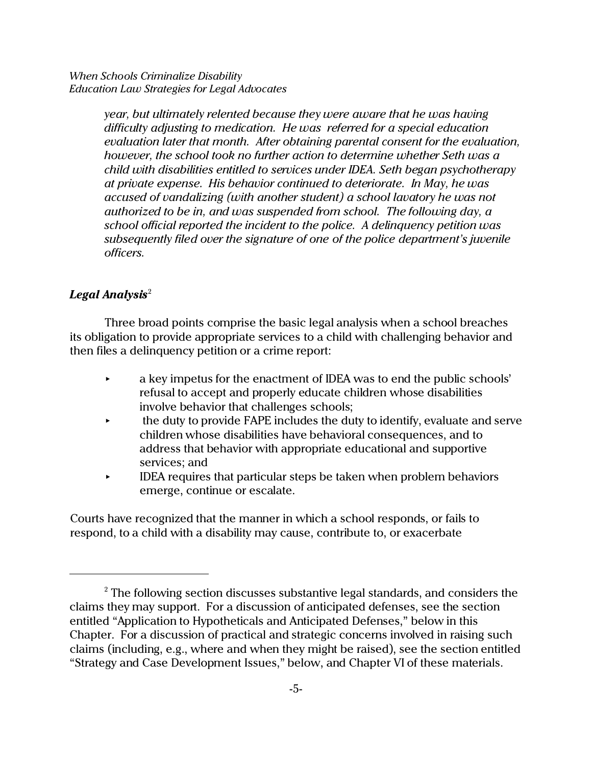> *year, but ultimately relented because they were aware that he was having difficulty adjusting to medication. He was referred for a special education evaluation later that month. After obtaining parental consent for the evaluation, however, the school took no further action to determine whether Seth was a child with disabilities entitled to services under IDEA. Seth began psychotherapy at private expense. His behavior continued to deteriorate. In May, he was accused of vandalizing (with another student) a school lavatory he was not authorized to be in, and was suspended from school. The following day, a school official reported the incident to the police. A delinquency petition was subsequently filed over the signature of one of the police department's juvenile officers.*

# *Legal Analysis* 2

Three broad points comprise the basic legal analysis when a school breaches its obligation to provide appropriate services to a child with challenging behavior and then files a delinquency petition or a crime report:

- $\bullet$  a key impetus for the enactment of IDEA was to end the public schools' refusal to accept and properly educate children whose disabilities involve behavior that challenges schools;
- < the duty to provide FAPE includes the duty to identify, evaluate and serve children whose disabilities have behavioral consequences, and to address that behavior with appropriate educational and supportive services; and
- < IDEA requires that particular steps be taken when problem behaviors emerge, continue or escalate.

Courts have recognized that the manner in which a school responds, or fails to respond, to a child with a disability may cause, contribute to, or exacerbate

 $^{\rm 2}$  The following section discusses substantive legal standards, and considers the claims they may support. For a discussion of anticipated defenses, see the section entitled "Application to Hypotheticals and Anticipated Defenses," below in this Chapter. For a discussion of practical and strategic concerns involved in raising such claims (including, e.g., where and when they might be raised), see the section entitled "Strategy and Case Development Issues," below, and Chapter VI of these materials.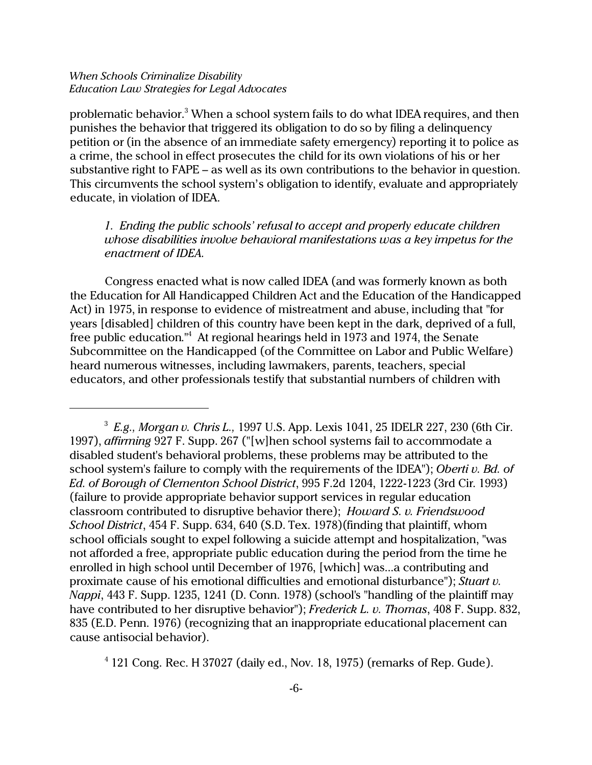problematic behavior.<sup>3</sup> When a school system fails to do what IDEA requires, and then punishes the behavior that triggered its obligation to do so by filing a delinquency petition or (in the absence of an immediate safety emergency) reporting it to police as a crime, the school in effect prosecutes the child for its own violations of his or her substantive right to FAPE – as well as its own contributions to the behavior in question. This circumvents the school system's obligation to identify, evaluate and appropriately educate, in violation of IDEA.

*1. Ending the public schools' refusal to accept and properly educate children whose disabilities involve behavioral manifestations was a key impetus for the enactment of IDEA.* 

Congress enacted what is now called IDEA (and was formerly known as both the Education for All Handicapped Children Act and the Education of the Handicapped Act) in 1975, in response to evidence of mistreatment and abuse, including that "for years [disabled] children of this country have been kept in the dark, deprived of a full, free public education."<sup>4</sup> At regional hearings held in 1973 and 1974, the Senate Subcommittee on the Handicapped (of the Committee on Labor and Public Welfare) heard numerous witnesses, including lawmakers, parents, teachers, special educators, and other professionals testify that substantial numbers of children with

 $<sup>4</sup>$  121 Cong. Rec. H 37027 (daily ed., Nov. 18, 1975) (remarks of Rep. Gude).</sup>

<sup>3</sup> *E.g., Morgan v. Chris L.,* 1997 U.S. App. Lexis 1041, 25 IDELR 227, 230 (6th Cir. 1997), *affirming* 927 F. Supp. 267 ("[w]hen school systems fail to accommodate a disabled student's behavioral problems, these problems may be attributed to the school system's failure to comply with the requirements of the IDEA"); *Oberti v. Bd. of Ed. of Borough of Clementon School District*, 995 F.2d 1204, 1222-1223 (3rd Cir. 1993) (failure to provide appropriate behavior support services in regular education classroom contributed to disruptive behavior there); *Howard S. v. Friendswood School District*, 454 F. Supp. 634, 640 (S.D. Tex. 1978)(finding that plaintiff, whom school officials sought to expel following a suicide attempt and hospitalization, "was not afforded a free, appropriate public education during the period from the time he enrolled in high school until December of 1976, [which] was...a contributing and proximate cause of his emotional difficulties and emotional disturbance"); *Stuart v. Nappi*, 443 F. Supp. 1235, 1241 (D. Conn. 1978) (school's "handling of the plaintiff may have contributed to her disruptive behavior"); *Frederick L. v. Thomas*, 408 F. Supp. 832, 835 (E.D. Penn. 1976) (recognizing that an inappropriate educational placement can cause antisocial behavior).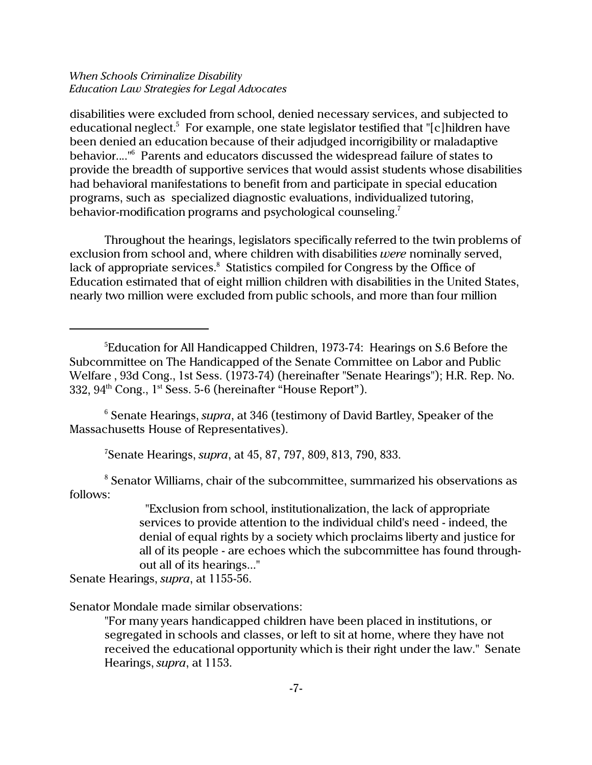disabilities were excluded from school, denied necessary services, and subjected to educational neglect.<sup>5</sup> For example, one state legislator testified that "[c]hildren have been denied an education because of their adjudged incorrigibility or maladaptive behavior...."<sup>6</sup> Parents and educators discussed the widespread failure of states to provide the breadth of supportive services that would assist students whose disabilities had behavioral manifestations to benefit from and participate in special education programs, such as specialized diagnostic evaluations, individualized tutoring, behavior-modification programs and psychological counseling.<sup>7</sup>

Throughout the hearings, legislators specifically referred to the twin problems of exclusion from school and, where children with disabilities *were* nominally served, lack of appropriate services.<sup>8</sup> Statistics compiled for Congress by the Office of Education estimated that of eight million children with disabilities in the United States, nearly two million were excluded from public schools, and more than four million

6 Senate Hearings, *supra*, at 346 (testimony of David Bartley, Speaker of the Massachusetts House of Representatives).

7 Senate Hearings, *supra*, at 45, 87, 797, 809, 813, 790, 833.

 $8$  Senator Williams, chair of the subcommittee, summarized his observations as follows:

> "Exclusion from school, institutionalization, the lack of appropriate services to provide attention to the individual child's need - indeed, the denial of equal rights by a society which proclaims liberty and justice for all of its people - are echoes which the subcommittee has found throughout all of its hearings..."

Senate Hearings, *supra*, at 1155-56.

Senator Mondale made similar observations:

"For many years handicapped children have been placed in institutions, or segregated in schools and classes, or left to sit at home, where they have not received the educational opportunity which is their right under the law." Senate Hearings, *supra*, at 1153.

<sup>&</sup>lt;sup>5</sup>Education for All Handicapped Children, 1973-74: Hearings on S.6 Before the Subcommittee on The Handicapped of the Senate Committee on Labor and Public Welfare , 93d Cong., 1st Sess. (1973-74) (hereinafter "Senate Hearings"); H.R. Rep. No. 332, 94<sup>th</sup> Cong., 1<sup>st</sup> Sess. 5-6 (hereinafter "House Report").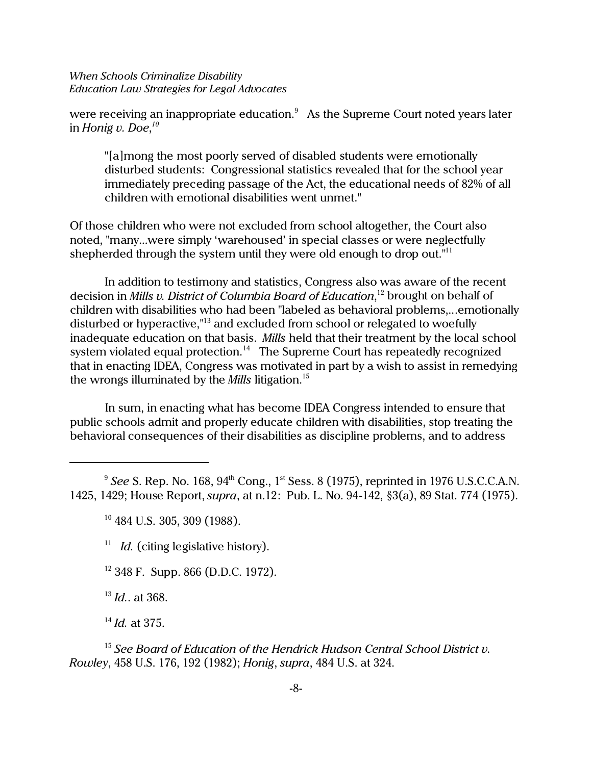were receiving an inappropriate education. $^9\;$  As the Supreme Court noted years later in *Honig v. Doe*, *10*

"[a]mong the most poorly served of disabled students were emotionally disturbed students: Congressional statistics revealed that for the school year immediately preceding passage of the Act, the educational needs of 82% of all children with emotional disabilities went unmet."

Of those children who were not excluded from school altogether, the Court also noted, "many...were simply 'warehoused' in special classes or were neglectfully shepherded through the system until they were old enough to drop out."<sup>11</sup>

In addition to testimony and statistics, Congress also was aware of the recent decision in *Mills v. District of Columbia Board of Education*, <sup>12</sup> brought on behalf of children with disabilities who had been "labeled as behavioral problems,...emotionally disturbed or hyperactive,"<sup>13</sup> and excluded from school or relegated to woefully inadequate education on that basis. *Mills* held that their treatment by the local school system violated equal protection.<sup>14</sup> The Supreme Court has repeatedly recognized that in enacting IDEA, Congress was motivated in part by a wish to assist in remedying the wrongs illuminated by the *Mills* litigation.<sup>15</sup>

In sum, in enacting what has become IDEA Congress intended to ensure that public schools admit and properly educate children with disabilities, stop treating the behavioral consequences of their disabilities as discipline problems, and to address

 $^9$  *See* S. Rep. No. 168, 94<sup>th</sup> Cong., 1<sup>st</sup> Sess. 8 (1975), reprinted in 1976 U.S.C.C.A.N. 1425, 1429; House Report, *supra*, at n.12: Pub. L. No. 94-142, §3(a), 89 Stat. 774 (1975).

<sup>11</sup> *Id.* (citing legislative history).

<sup>12</sup> 348 F. Supp. 866 (D.D.C. 1972).

<sup>13</sup> *Id.*. at 368.

<sup>14</sup> *Id.* at 375.

<sup>15</sup> *See Board of Education of the Hendrick Hudson Central School District v. Rowley*, 458 U.S. 176, 192 (1982); *Honig*, *supra*, 484 U.S. at 324.

<sup>10</sup> 484 U.S. 305, 309 (1988).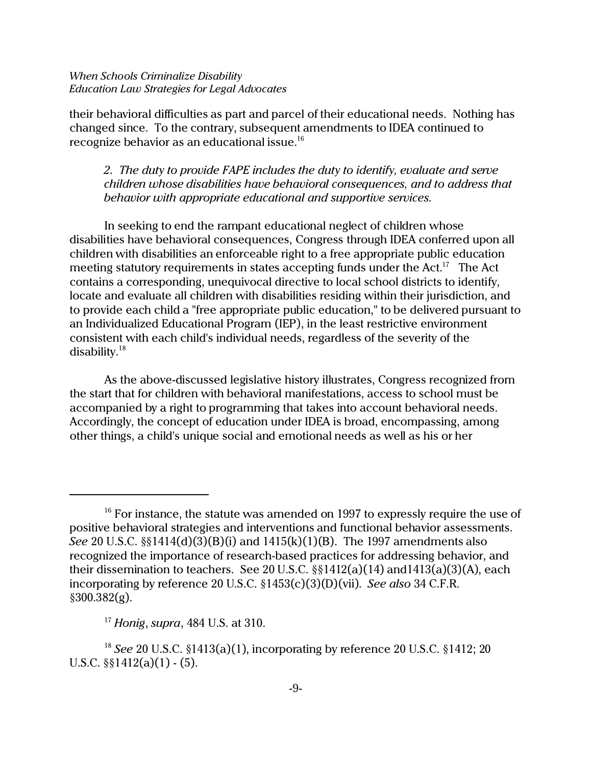their behavioral difficulties as part and parcel of their educational needs. Nothing has changed since. To the contrary, subsequent amendments to IDEA continued to recognize behavior as an educational issue.<sup>16</sup>

*2. The duty to provide FAPE includes the duty to identify, evaluate and serve children whose disabilities have behavioral consequences, and to address that behavior with appropriate educational and supportive services.*

In seeking to end the rampant educational neglect of children whose disabilities have behavioral consequences, Congress through IDEA conferred upon all children with disabilities an enforceable right to a free appropriate public education meeting statutory requirements in states accepting funds under the Act.<sup>17</sup> The Act contains a corresponding, unequivocal directive to local school districts to identify, locate and evaluate all children with disabilities residing within their jurisdiction, and to provide each child a "free appropriate public education," to be delivered pursuant to an Individualized Educational Program (IEP), in the least restrictive environment consistent with each child's individual needs, regardless of the severity of the disability.<sup>18</sup>

As the above-discussed legislative history illustrates, Congress recognized from the start that for children with behavioral manifestations, access to school must be accompanied by a right to programming that takes into account behavioral needs. Accordingly, the concept of education under IDEA is broad, encompassing, among other things, a child's unique social and emotional needs as well as his or her

 $16$  For instance, the statute was amended on 1997 to expressly require the use of positive behavioral strategies and interventions and functional behavior assessments. *See* 20 U.S.C. §§1414(d)(3)(B)(i) and 1415(k)(1)(B). The 1997 amendments also recognized the importance of research-based practices for addressing behavior, and their dissemination to teachers. See 20 U.S.C. §§1412(a)(14) and1413(a)(3)(A), each incorporating by reference 20 U.S.C. §1453(c)(3)(D)(vii). *See also* 34 C.F.R.  $§300.382(g).$ 

<sup>17</sup> *Honig*, *supra*, 484 U.S. at 310.

<sup>18</sup> *See* 20 U.S.C. §1413(a)(1), incorporating by reference 20 U.S.C. §1412; 20 U.S.C.  $\S$  $1412(a)(1) - (5)$ .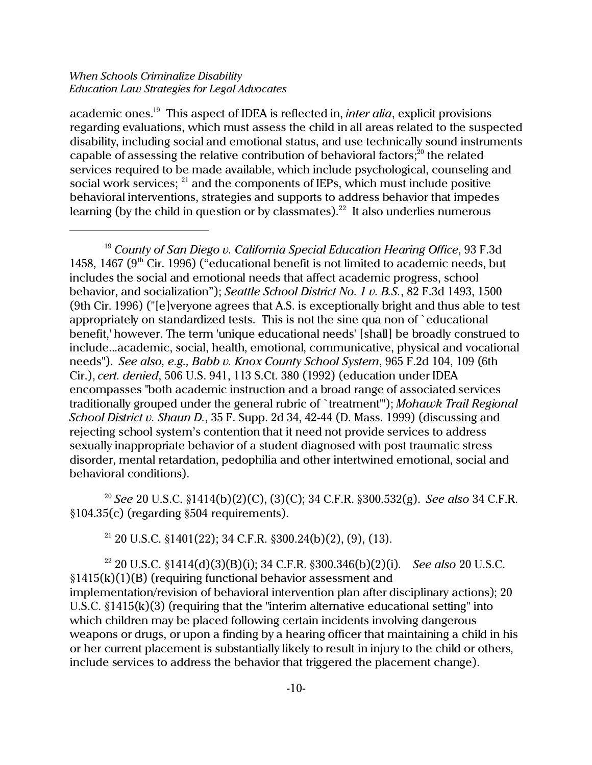academic ones.<sup>19</sup> This aspect of IDEA is reflected in, *inter alia*, explicit provisions regarding evaluations, which must assess the child in all areas related to the suspected disability, including social and emotional status, and use technically sound instruments capable of assessing the relative contribution of behavioral factors; $^{20}$  the related services required to be made available, which include psychological, counseling and social work services; <sup>21</sup> and the components of IEPs, which must include positive behavioral interventions, strategies and supports to address behavior that impedes learning (by the child in question or by classmates).<sup>22</sup> It also underlies numerous

<sup>19</sup> *County of San Diego v. California Special Education Hearing Office*, 93 F.3d 1458, 1467 ( $9<sup>th</sup>$  Cir. 1996) ("educational benefit is not limited to academic needs, but includes the social and emotional needs that affect academic progress, school behavior, and socialization"); *Seattle School District No. 1 v. B.S.*, 82 F.3d 1493, 1500 (9th Cir. 1996) ("[e]veryone agrees that A.S. is exceptionally bright and thus able to test appropriately on standardized tests. This is not the sine qua non of `educational benefit,' however. The term 'unique educational needs' [shall] be broadly construed to include...academic, social, health, emotional, communicative, physical and vocational needs"). *See also, e.g., Babb v. Knox County School System*, 965 F.2d 104, 109 (6th Cir.), *cert. denied*, 506 U.S. 941, 113 S.Ct. 380 (1992) (education under IDEA encompasses "both academic instruction and a broad range of associated services traditionally grouped under the general rubric of `treatment'"); *Mohawk Trail Regional School District v. Shaun D.*, 35 F. Supp. 2d 34, 42-44 (D. Mass. 1999) (discussing and rejecting school system's contention that it need not provide services to address sexually inappropriate behavior of a student diagnosed with post traumatic stress disorder, mental retardation, pedophilia and other intertwined emotional, social and behavioral conditions).

<sup>20</sup> *See* 20 U.S.C. §1414(b)(2)(C), (3)(C); 34 C.F.R. §300.532(g). *See also* 34 C.F.R. §104.35(c) (regarding §504 requirements).

<sup>21</sup> 20 U.S.C. §1401(22); 34 C.F.R. §300.24(b)(2), (9), (13).

<sup>22</sup> 20 U.S.C. §1414(d)(3)(B)(i); 34 C.F.R. §300.346(b)(2)(i). *See also* 20 U.S.C.  $§1415(k)(1)(B)$  (requiring functional behavior assessment and implementation/revision of behavioral intervention plan after disciplinary actions); 20 U.S.C. §1415(k)(3) (requiring that the "interim alternative educational setting" into which children may be placed following certain incidents involving dangerous weapons or drugs, or upon a finding by a hearing officer that maintaining a child in his or her current placement is substantially likely to result in injury to the child or others, include services to address the behavior that triggered the placement change).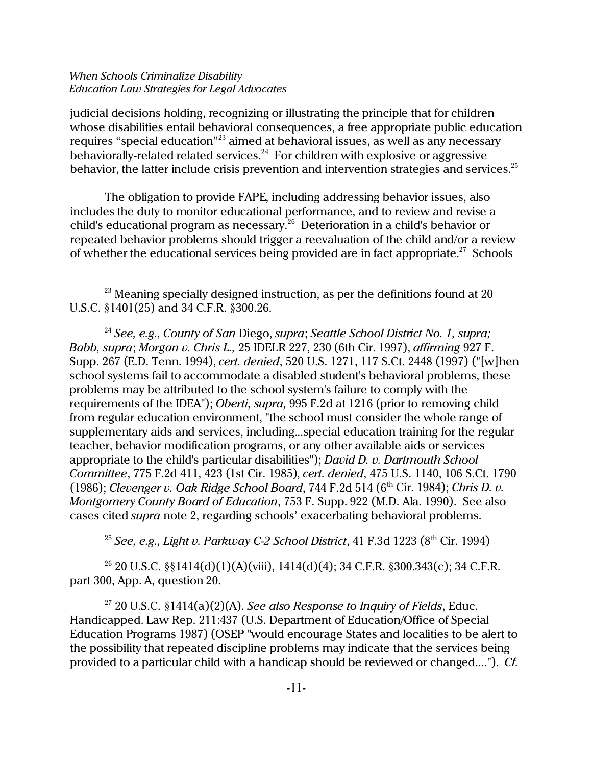judicial decisions holding, recognizing or illustrating the principle that for children whose disabilities entail behavioral consequences, a free appropriate public education requires "special education"<sup>23</sup> aimed at behavioral issues, as well as any necessary behaviorally-related related services.<sup>24</sup> For children with explosive or aggressive behavior, the latter include crisis prevention and intervention strategies and services.<sup>25</sup>

The obligation to provide FAPE, including addressing behavior issues, also includes the duty to monitor educational performance, and to review and revise a child's educational program as necessary.<sup>26</sup> Deterioration in a child's behavior or repeated behavior problems should trigger a reevaluation of the child and/or a review of whether the educational services being provided are in fact appropriate.<sup>27</sup> Schools

<sup>24</sup> *See, e.g., County of San* Diego, *supra*; *Seattle School District No. 1, supra; Babb, supra*; *Morgan v. Chris L.,* 25 IDELR 227, 230 (6th Cir. 1997), *affirming* 927 F. Supp. 267 (E.D. Tenn. 1994), *cert. denied*, 520 U.S. 1271, 117 S.Ct. 2448 (1997) ("[w]hen school systems fail to accommodate a disabled student's behavioral problems, these problems may be attributed to the school system's failure to comply with the requirements of the IDEA"); *Oberti, supra,* 995 F.2d at 1216 (prior to removing child from regular education environment, "the school must consider the whole range of supplementary aids and services, including...special education training for the regular teacher, behavior modification programs, or any other available aids or services appropriate to the child's particular disabilities"); *David D. v. Dartmouth School Committee*, 775 F.2d 411, 423 (1st Cir. 1985), *cert. denied*, 475 U.S. 1140, 106 S.Ct. 1790 (1986); *Clevenger v. Oak Ridge School Board*, 744 F.2d 514 (6th Cir. 1984); *Chris D. v. Montgomery County Board of Education*, 753 F. Supp. 922 (M.D. Ala. 1990). See also cases cited *supra* note 2, regarding schools' exacerbating behavioral problems.

<sup>25</sup> *See, e.g., Light v. Parkway C-2 School District*, 41 F.3d 1223 ( $8<sup>th</sup>$  Cir. 1994)

<sup>26</sup> 20 U.S.C. §§1414(d)(1)(A)(viii), 1414(d)(4); 34 C.F.R. §300.343(c); 34 C.F.R. part 300, App. A, question 20.

<sup>27</sup> 20 U.S.C. §1414(a)(2)(A). *See also Response to Inquiry of Fields*, Educ. Handicapped. Law Rep. 211:437 (U.S. Department of Education/Office of Special Education Programs 1987) (OSEP "would encourage States and localities to be alert to the possibility that repeated discipline problems may indicate that the services being provided to a particular child with a handicap should be reviewed or changed...."). *Cf.*

 $^{23}$  Meaning specially designed instruction, as per the definitions found at 20 U.S.C. §1401(25) and 34 C.F.R. §300.26.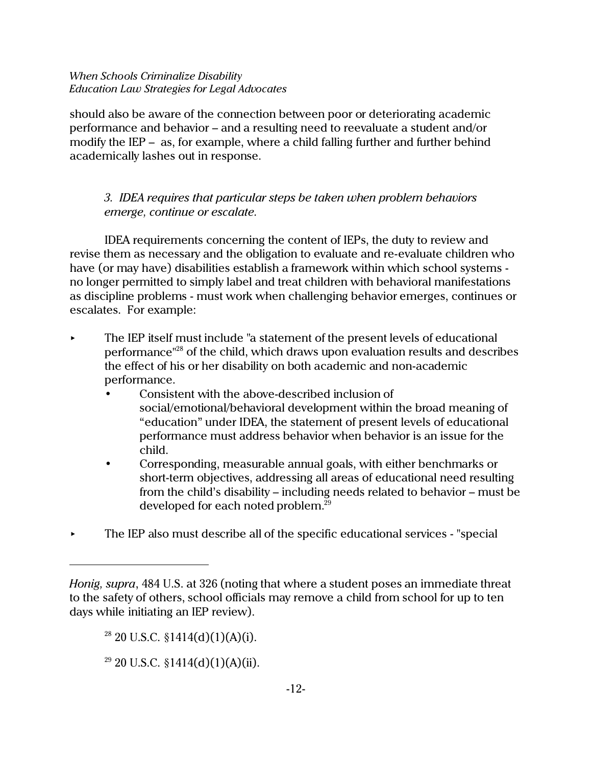should also be aware of the connection between poor or deteriorating academic performance and behavior – and a resulting need to reevaluate a student and/or modify the IEP – as, for example, where a child falling further and further behind academically lashes out in response.

# *3. IDEA requires that particular steps be taken when problem behaviors emerge, continue or escalate.*

IDEA requirements concerning the content of IEPs, the duty to review and revise them as necessary and the obligation to evaluate and re-evaluate children who have (or may have) disabilities establish a framework within which school systems no longer permitted to simply label and treat children with behavioral manifestations as discipline problems - must work when challenging behavior emerges, continues or escalates. For example:

- < The IEP itself must include "a statement of the present levels of educational performance"<sup>28</sup> of the child, which draws upon evaluation results and describes the effect of his or her disability on both academic and non-academic performance.
	- Consistent with the above-described inclusion of social/emotional/behavioral development within the broad meaning of "education" under IDEA, the statement of present levels of educational performance must address behavior when behavior is an issue for the child.
	- Corresponding, measurable annual goals, with either benchmarks or short-term objectives, addressing all areas of educational need resulting from the child's disability – including needs related to behavior – must be developed for each noted problem.<sup>29</sup>
- < The IEP also must describe all of the specific educational services "special

 $28$  20 U.S.C. §1414(d)(1)(A)(i).

 $29$  20 U.S.C. §1414(d)(1)(A)(ii).

*Honig, supra*, 484 U.S. at 326 (noting that where a student poses an immediate threat to the safety of others, school officials may remove a child from school for up to ten days while initiating an IEP review).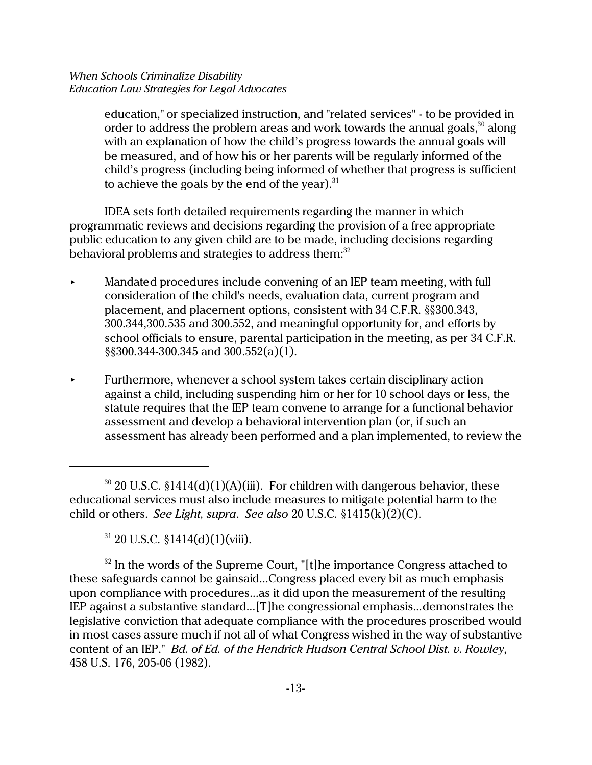education," or specialized instruction, and "related services" - to be provided in order to address the problem areas and work towards the annual goals, $30$  along with an explanation of how the child's progress towards the annual goals will be measured, and of how his or her parents will be regularly informed of the child's progress (including being informed of whether that progress is sufficient to achieve the goals by the end of the year). $31$ 

IDEA sets forth detailed requirements regarding the manner in which programmatic reviews and decisions regarding the provision of a free appropriate public education to any given child are to be made, including decisions regarding behavioral problems and strategies to address them:<sup>32</sup>

- < Mandated procedures include convening of an IEP team meeting, with full consideration of the child's needs, evaluation data, current program and placement, and placement options, consistent with 34 C.F.R. §§300.343, 300.344,300.535 and 300.552, and meaningful opportunity for, and efforts by school officials to ensure, parental participation in the meeting, as per 34 C.F.R. §§300.344-300.345 and 300.552(a)(1).
- < Furthermore, whenever a school system takes certain disciplinary action against a child, including suspending him or her for 10 school days or less, the statute requires that the IEP team convene to arrange for a functional behavior assessment and develop a behavioral intervention plan (or, if such an assessment has already been performed and a plan implemented, to review the

 $32$  In the words of the Supreme Court, "[t]he importance Congress attached to these safeguards cannot be gainsaid...Congress placed every bit as much emphasis upon compliance with procedures...as it did upon the measurement of the resulting IEP against a substantive standard...[T]he congressional emphasis...demonstrates the legislative conviction that adequate compliance with the procedures proscribed would in most cases assure much if not all of what Congress wished in the way of substantive content of an IEP." *Bd. of Ed. of the Hendrick Hudson Central School Dist. v. Rowley*, 458 U.S. 176, 205-06 (1982).

 $30$  20 U.S.C.  $$1414(d)(1)(A)(iii)$ . For children with dangerous behavior, these educational services must also include measures to mitigate potential harm to the child or others. *See Light, supra*. *See also* 20 U.S.C. §1415(k)(2)(C).

 $31$  20 U.S.C. §1414(d)(1)(viii).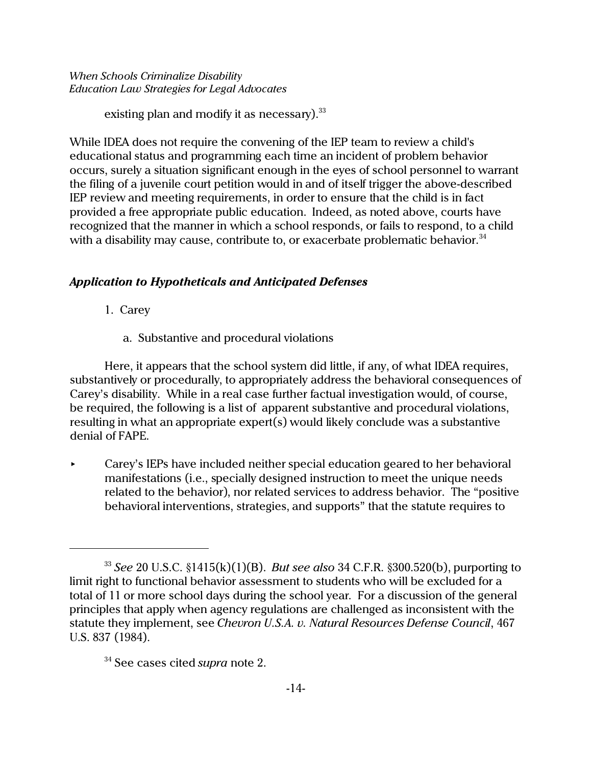existing plan and modify it as necessary).  $33$ 

While IDEA does not require the convening of the IEP team to review a child's educational status and programming each time an incident of problem behavior occurs, surely a situation significant enough in the eyes of school personnel to warrant the filing of a juvenile court petition would in and of itself trigger the above-described IEP review and meeting requirements, in order to ensure that the child is in fact provided a free appropriate public education. Indeed, as noted above, courts have recognized that the manner in which a school responds, or fails to respond, to a child with a disability may cause, contribute to, or exacerbate problematic behavior. $34$ 

# *Application to Hypotheticals and Anticipated Defenses*

- 1. Carey
	- a. Substantive and procedural violations

Here, it appears that the school system did little, if any, of what IDEA requires, substantively or procedurally, to appropriately address the behavioral consequences of Carey's disability. While in a real case further factual investigation would, of course, be required, the following is a list of apparent substantive and procedural violations, resulting in what an appropriate expert(s) would likely conclude was a substantive denial of FAPE.

< Carey's IEPs have included neither special education geared to her behavioral manifestations (i.e., specially designed instruction to meet the unique needs related to the behavior), nor related services to address behavior. The "positive behavioral interventions, strategies, and supports" that the statute requires to

<sup>33</sup> *See* 20 U.S.C. §1415(k)(1)(B). *But see also* 34 C.F.R. §300.520(b), purporting to limit right to functional behavior assessment to students who will be excluded for a total of 11 or more school days during the school year. For a discussion of the general principles that apply when agency regulations are challenged as inconsistent with the statute they implement, see *Chevron U.S.A. v. Natural Resources Defense Council*, 467 U.S. 837 (1984).

<sup>34</sup> See cases cited *supra* note 2.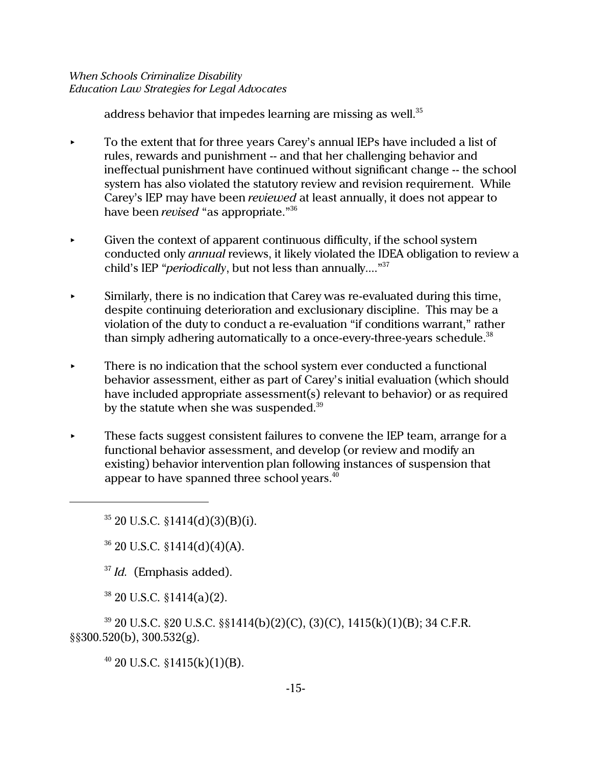address behavior that impedes learning are missing as well.<sup>35</sup>

- $\triangleright$  To the extent that for three years Carey's annual IEPs have included a list of rules, rewards and punishment -- and that her challenging behavior and ineffectual punishment have continued without significant change -- the school system has also violated the statutory review and revision requirement. While Carey's IEP may have been *reviewed* at least annually, it does not appear to have been *revised* "as appropriate."<sup>36</sup>
- $\triangleright$  Given the context of apparent continuous difficulty, if the school system conducted only *annual* reviews, it likely violated the IDEA obligation to review a child's IEP "*periodically*, but not less than annually...."<sup>37</sup>
- $\blacktriangleright$  Similarly, there is no indication that Carey was re-evaluated during this time, despite continuing deterioration and exclusionary discipline. This may be a violation of the duty to conduct a re-evaluation "if conditions warrant," rather than simply adhering automatically to a once-every-three-years schedule.<sup>38</sup>
- $\blacktriangleright$  There is no indication that the school system ever conducted a functional behavior assessment, either as part of Carey's initial evaluation (which should have included appropriate assessment(s) relevant to behavior) or as required by the statute when she was suspended.<sup>39</sup>
- $\blacktriangleright$  These facts suggest consistent failures to convene the IEP team, arrange for a functional behavior assessment, and develop (or review and modify an existing) behavior intervention plan following instances of suspension that appear to have spanned three school years.<sup>40</sup>

 $35$  20 U.S.C.  $$1414(d)(3)(B)(i)$ .

 $36$  20 U.S.C. §1414(d)(4)(A).

<sup>37</sup> *Id.* (Emphasis added).

 $38$  20 U.S.C. §1414(a)(2).

<sup>39</sup> 20 U.S.C. §20 U.S.C. §§1414(b)(2)(C), (3)(C), 1415(k)(1)(B); 34 C.F.R. §§300.520(b), 300.532(g).

 $^{40}$  20 U.S.C. §1415(k)(1)(B).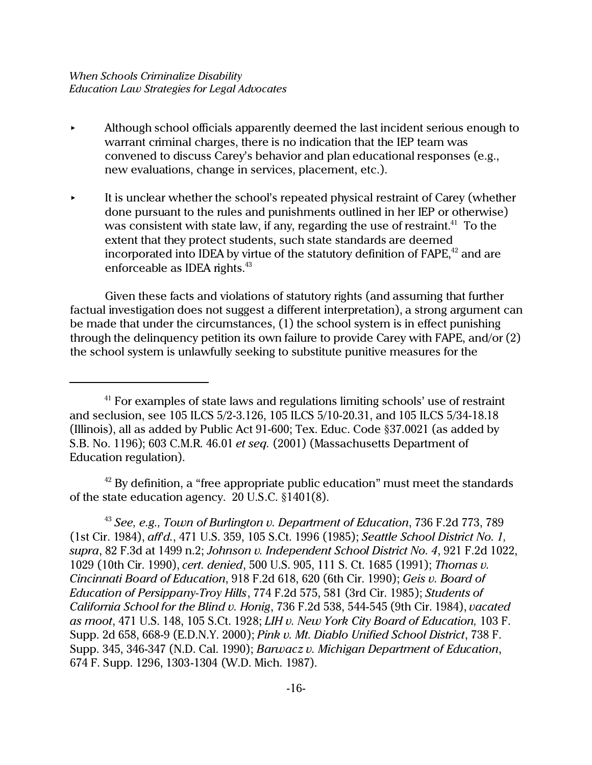- < Although school officials apparently deemed the last incident serious enough to warrant criminal charges, there is no indication that the IEP team was convened to discuss Carey's behavior and plan educational responses (e.g., new evaluations, change in services, placement, etc.).
- It is unclear whether the school's repeated physical restraint of Carey (whether done pursuant to the rules and punishments outlined in her IEP or otherwise) was consistent with state law, if any, regarding the use of restraint.<sup>41</sup> To the extent that they protect students, such state standards are deemed incorporated into IDEA by virtue of the statutory definition of  $FAPE<sub>1</sub><sup>42</sup>$  and are enforceable as IDEA rights. $43$

Given these facts and violations of statutory rights (and assuming that further factual investigation does not suggest a different interpretation), a strong argument can be made that under the circumstances, (1) the school system is in effect punishing through the delinquency petition its own failure to provide Carey with FAPE, and/or (2) the school system is unlawfully seeking to substitute punitive measures for the

 $42$  By definition, a "free appropriate public education" must meet the standards of the state education agency. 20 U.S.C. §1401(8).

<sup>43</sup> *See, e.g., Town of Burlington v. Department of Education*, 736 F.2d 773, 789 (1st Cir. 1984), *aff'd.*, 471 U.S. 359, 105 S.Ct. 1996 (1985); *Seattle School District No. 1, supra*, 82 F.3d at 1499 n.2; *Johnson v. Independent School District No. 4*, 921 F.2d 1022, 1029 (10th Cir. 1990), *cert. denied*, 500 U.S. 905, 111 S. Ct. 1685 (1991); *Thomas v. Cincinnati Board of Education*, 918 F.2d 618, 620 (6th Cir. 1990); *Geis v. Board of Education of Persippany-Troy Hills*, 774 F.2d 575, 581 (3rd Cir. 1985); *Students of California School for the Blind v. Honig*, 736 F.2d 538, 544-545 (9th Cir. 1984), *vacated as moot*, 471 U.S. 148, 105 S.Ct. 1928; *LIH v. New York City Board of Education,* 103 F. Supp. 2d 658, 668-9 (E.D.N.Y. 2000); *Pink v. Mt. Diablo Unified School District*, 738 F. Supp. 345, 346-347 (N.D. Cal. 1990); *Barwacz v. Michigan Department of Education*, 674 F. Supp. 1296, 1303-1304 (W.D. Mich. 1987).

 $41$  For examples of state laws and regulations limiting schools' use of restraint and seclusion, see 105 ILCS 5/2-3.126, 105 ILCS 5/10-20.31, and 105 ILCS 5/34-18.18 (Illinois), all as added by Public Act 91-600; Tex. Educ. Code §37.0021 (as added by S.B. No. 1196); 603 C.M.R. 46.01 *et seq.* (2001) (Massachusetts Department of Education regulation).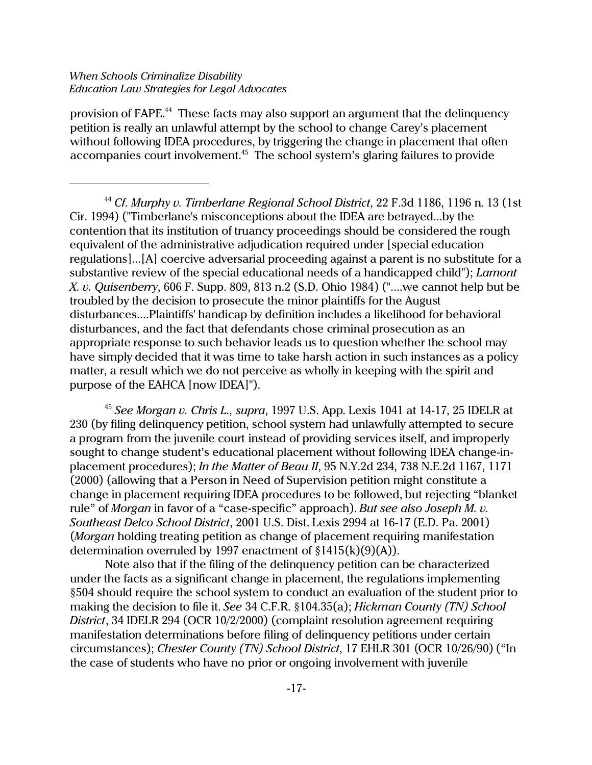provision of FAPE.<sup>44</sup> These facts may also support an argument that the delinquency petition is really an unlawful attempt by the school to change Carey's placement without following IDEA procedures, by triggering the change in placement that often accompanies court involvement.<sup>45</sup> The school system's glaring failures to provide

<sup>44</sup> *Cf. Murphy v. Timberlane Regional School District*, 22 F.3d 1186, 1196 n. 13 (1st Cir. 1994) ("Timberlane's misconceptions about the IDEA are betrayed...by the contention that its institution of truancy proceedings should be considered the rough equivalent of the administrative adjudication required under [special education regulations]...[A] coercive adversarial proceeding against a parent is no substitute for a substantive review of the special educational needs of a handicapped child"); *Lamont X. v. Quisenberry*, 606 F. Supp. 809, 813 n.2 (S.D. Ohio 1984) ("....we cannot help but be troubled by the decision to prosecute the minor plaintiffs for the August disturbances....Plaintiffs' handicap by definition includes a likelihood for behavioral disturbances, and the fact that defendants chose criminal prosecution as an appropriate response to such behavior leads us to question whether the school may have simply decided that it was time to take harsh action in such instances as a policy matter, a result which we do not perceive as wholly in keeping with the spirit and purpose of the EAHCA [now IDEA]").

<sup>45</sup> *See Morgan v. Chris L., supra*, 1997 U.S. App. Lexis 1041 at 14-17, 25 IDELR at 230 (by filing delinquency petition, school system had unlawfully attempted to secure a program from the juvenile court instead of providing services itself, and improperly sought to change student's educational placement without following IDEA change-inplacement procedures); *In the Matter of Beau II*, 95 N.Y.2d 234, 738 N.E.2d 1167, 1171 (2000) (allowing that a Person in Need of Supervision petition might constitute a change in placement requiring IDEA procedures to be followed, but rejecting "blanket rule" of *Morgan* in favor of a "case-specific" approach). *But see also Joseph M. v. Southeast Delco School District*, 2001 U.S. Dist. Lexis 2994 at 16-17 (E.D. Pa. 2001) (*Morgan* holding treating petition as change of placement requiring manifestation determination overruled by 1997 enactment of §1415(k)(9)(A)).

Note also that if the filing of the delinquency petition can be characterized under the facts as a significant change in placement, the regulations implementing §504 should require the school system to conduct an evaluation of the student prior to making the decision to file it. *See* 34 C.F.R. §104.35(a); *Hickman County (TN) School District*, 34 IDELR 294 (OCR 10/2/2000) (complaint resolution agreement requiring manifestation determinations before filing of delinquency petitions under certain circumstances); *Chester County (TN) School District*, 17 EHLR 301 (OCR 10/26/90) ("In the case of students who have no prior or ongoing involvement with juvenile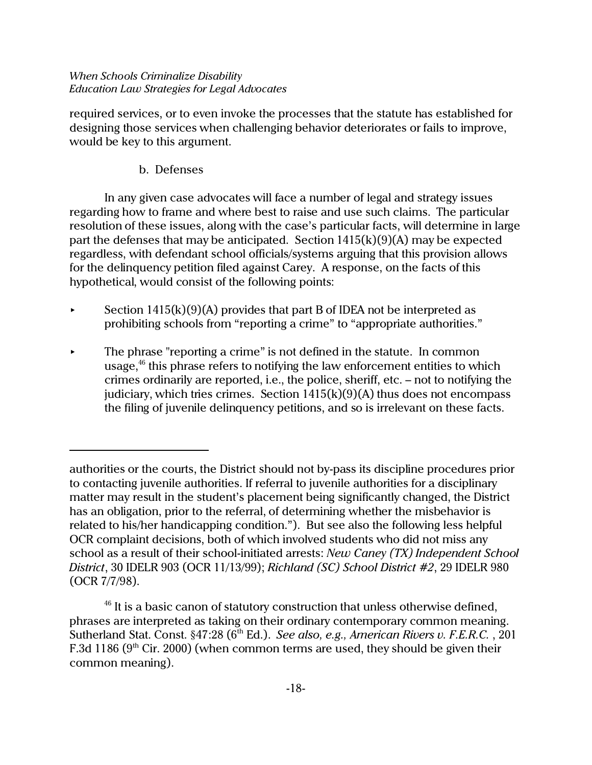required services, or to even invoke the processes that the statute has established for designing those services when challenging behavior deteriorates or fails to improve, would be key to this argument.

# b. Defenses

In any given case advocates will face a number of legal and strategy issues regarding how to frame and where best to raise and use such claims. The particular resolution of these issues, along with the case's particular facts, will determine in large part the defenses that may be anticipated. Section  $1415(k)(9)(A)$  may be expected regardless, with defendant school officials/systems arguing that this provision allows for the delinquency petition filed against Carey. A response, on the facts of this hypothetical, would consist of the following points:

- Section  $1415(k)(9)(A)$  provides that part B of IDEA not be interpreted as prohibiting schools from "reporting a crime" to "appropriate authorities."
- The phrase "reporting a crime" is not defined in the statute. In common usage, $46$  this phrase refers to notifying the law enforcement entities to which crimes ordinarily are reported, i.e., the police, sheriff, etc. – not to notifying the judiciary, which tries crimes. Section  $1415(k)(9)(A)$  thus does not encompass the filing of juvenile delinquency petitions, and so is irrelevant on these facts.

authorities or the courts, the District should not by-pass its discipline procedures prior to contacting juvenile authorities. If referral to juvenile authorities for a disciplinary matter may result in the student's placement being significantly changed, the District has an obligation, prior to the referral, of determining whether the misbehavior is related to his/her handicapping condition."). But see also the following less helpful OCR complaint decisions, both of which involved students who did not miss any school as a result of their school-initiated arrests: *New Caney (TX) Independent School District*, 30 IDELR 903 (OCR 11/13/99); *Richland (SC) School District #2*, 29 IDELR 980 (OCR 7/7/98).

 $46$  It is a basic canon of statutory construction that unless otherwise defined, phrases are interpreted as taking on their ordinary contemporary common meaning. Sutherland Stat. Const. §47:28 (6<sup>th</sup> Ed.). *See also, e.g., American Rivers v. F.E.R.C.*, 201 F.3d 1186 ( $9<sup>th</sup>$  Cir. 2000) (when common terms are used, they should be given their common meaning).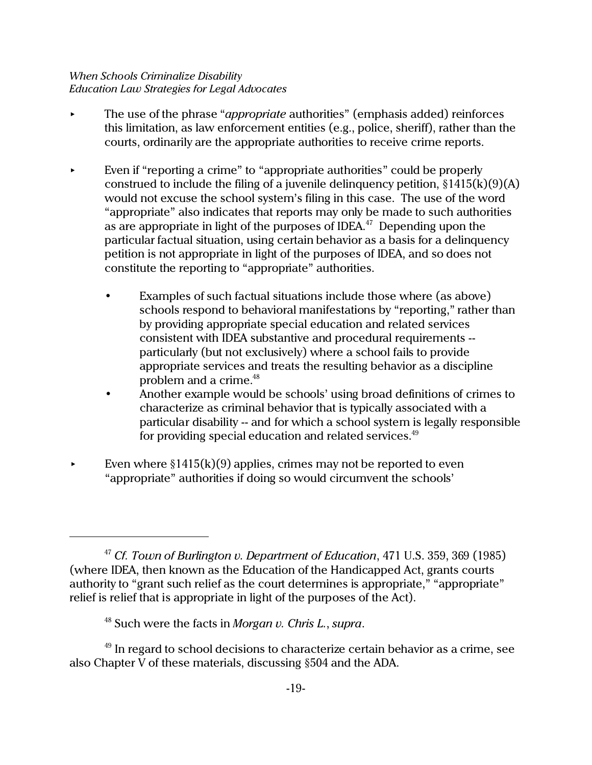- < The use of the phrase "*appropriate* authorities" (emphasis added) reinforces this limitation, as law enforcement entities (e.g., police, sheriff), rather than the courts, ordinarily are the appropriate authorities to receive crime reports.
- Even if "reporting a crime" to "appropriate authorities" could be properly construed to include the filing of a juvenile delinquency petition,  $\S1415(k)(9)(A)$ would not excuse the school system's filing in this case. The use of the word "appropriate" also indicates that reports may only be made to such authorities as are appropriate in light of the purposes of IDEA.<sup>47</sup> Depending upon the particular factual situation, using certain behavior as a basis for a delinquency petition is not appropriate in light of the purposes of IDEA, and so does not constitute the reporting to "appropriate" authorities.
	- Examples of such factual situations include those where (as above) schools respond to behavioral manifestations by "reporting," rather than by providing appropriate special education and related services consistent with IDEA substantive and procedural requirements - particularly (but not exclusively) where a school fails to provide appropriate services and treats the resulting behavior as a discipline problem and a crime.<sup>48</sup>
	- Another example would be schools' using broad definitions of crimes to characterize as criminal behavior that is typically associated with a particular disability -- and for which a school system is legally responsible for providing special education and related services.<sup>49</sup>
- Even where  $\S1415(k)(9)$  applies, crimes may not be reported to even "appropriate" authorities if doing so would circumvent the schools'

<sup>47</sup> *Cf. Town of Burlington v. Department of Education*, 471 U.S. 359, 369 (1985) (where IDEA, then known as the Education of the Handicapped Act, grants courts authority to "grant such relief as the court determines is appropriate," "appropriate" relief is relief that is appropriate in light of the purposes of the Act).

<sup>48</sup> Such were the facts in *Morgan v. Chris L.*, *supra*.

 $49$  In regard to school decisions to characterize certain behavior as a crime, see also Chapter V of these materials, discussing §504 and the ADA.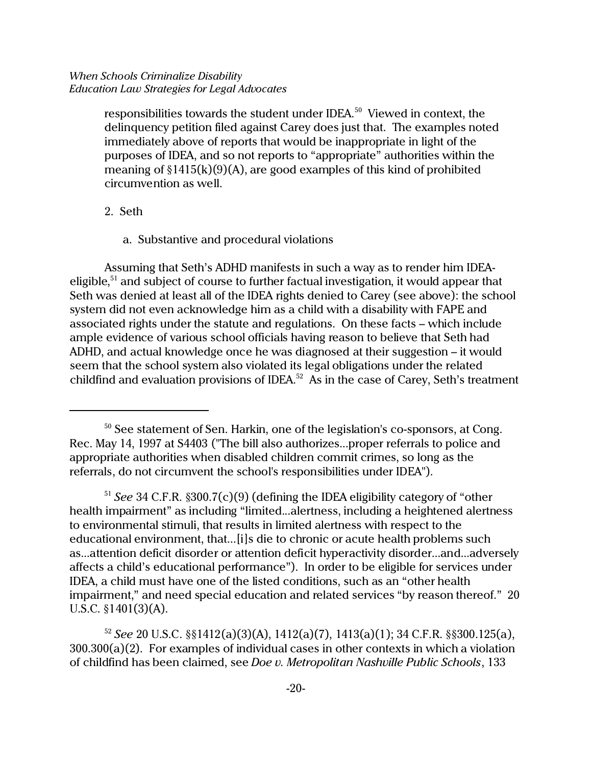responsibilities towards the student under IDEA.<sup>50</sup> Viewed in context, the delinquency petition filed against Carey does just that. The examples noted immediately above of reports that would be inappropriate in light of the purposes of IDEA, and so not reports to "appropriate" authorities within the meaning of  $\S1415(k)(9)(A)$ , are good examples of this kind of prohibited circumvention as well.

- 2. Seth
	- a. Substantive and procedural violations

Assuming that Seth's ADHD manifests in such a way as to render him IDEAeligible, <sup>51</sup> and subject of course to further factual investigation, it would appear that Seth was denied at least all of the IDEA rights denied to Carey (see above): the school system did not even acknowledge him as a child with a disability with FAPE and associated rights under the statute and regulations. On these facts – which include ample evidence of various school officials having reason to believe that Seth had ADHD, and actual knowledge once he was diagnosed at their suggestion – it would seem that the school system also violated its legal obligations under the related childfind and evaluation provisions of IDEA.<sup>52</sup> As in the case of Carey, Seth's treatment

<sup>52</sup> *See* 20 U.S.C. §§1412(a)(3)(A), 1412(a)(7), 1413(a)(1); 34 C.F.R. §§300.125(a), 300.300(a)(2). For examples of individual cases in other contexts in which a violation of childfind has been claimed, see *Doe v. Metropolitan Nashville Public Schools*, 133

<sup>&</sup>lt;sup>50</sup> See statement of Sen. Harkin, one of the legislation's co-sponsors, at Cong. Rec. May 14, 1997 at S4403 ("The bill also authorizes...proper referrals to police and appropriate authorities when disabled children commit crimes, so long as the referrals, do not circumvent the school's responsibilities under IDEA").

<sup>51</sup> *See* 34 C.F.R. §300.7(c)(9) (defining the IDEA eligibility category of "other health impairment" as including "limited...alertness, including a heightened alertness to environmental stimuli, that results in limited alertness with respect to the educational environment, that...[i]s die to chronic or acute health problems such as...attention deficit disorder or attention deficit hyperactivity disorder...and...adversely affects a child's educational performance"). In order to be eligible for services under IDEA, a child must have one of the listed conditions, such as an "other health impairment," and need special education and related services "by reason thereof." 20 U.S.C. §1401(3)(A).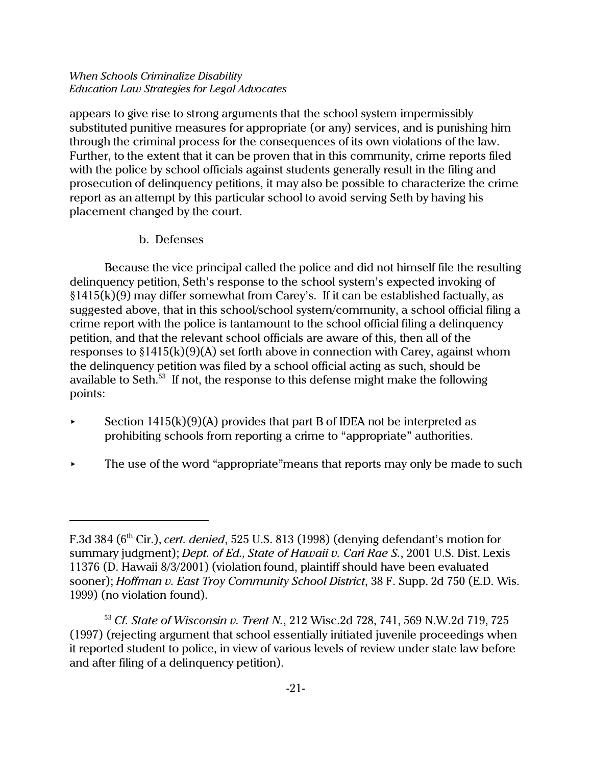appears to give rise to strong arguments that the school system impermissibly substituted punitive measures for appropriate (or any) services, and is punishing him through the criminal process for the consequences of its own violations of the law. Further, to the extent that it can be proven that in this community, crime reports filed with the police by school officials against students generally result in the filing and prosecution of delinquency petitions, it may also be possible to characterize the crime report as an attempt by this particular school to avoid serving Seth by having his placement changed by the court.

b. Defenses

Because the vice principal called the police and did not himself file the resulting delinquency petition, Seth's response to the school system's expected invoking of  $§1415(k)(9)$  may differ somewhat from Carey's. If it can be established factually, as suggested above, that in this school/school system/community, a school official filing a crime report with the police is tantamount to the school official filing a delinquency petition, and that the relevant school officials are aware of this, then all of the responses to  $\S1415(k)(9)(A)$  set forth above in connection with Carey, against whom the delinquency petition was filed by a school official acting as such, should be available to Seth.<sup>53</sup> If not, the response to this defense might make the following points:

- Section  $1415(k)(9)(A)$  provides that part B of IDEA not be interpreted as prohibiting schools from reporting a crime to "appropriate" authorities.
- $\triangleright$  The use of the word "appropriate" means that reports may only be made to such

F.3d 384 (6th Cir.), *cert. denied*, 525 U.S. 813 (1998) (denying defendant's motion for summary judgment); *Dept. of Ed., State of Hawaii v. Cari Rae S.*, 2001 U.S. Dist. Lexis 11376 (D. Hawaii 8/3/2001) (violation found, plaintiff should have been evaluated sooner); *Hoffman v. East Troy Community School District*, 38 F. Supp. 2d 750 (E.D. Wis. 1999) (no violation found).

<sup>53</sup> *Cf. State of Wisconsin v. Trent N.*, 212 Wisc.2d 728, 741, 569 N.W.2d 719, 725 (1997) (rejecting argument that school essentially initiated juvenile proceedings when it reported student to police, in view of various levels of review under state law before and after filing of a delinquency petition).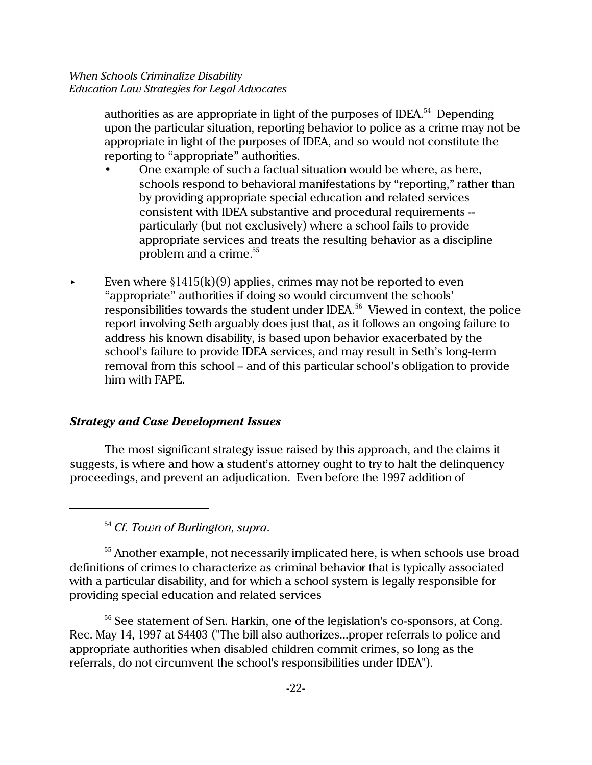authorities as are appropriate in light of the purposes of IDEA.<sup>54</sup> Depending upon the particular situation, reporting behavior to police as a crime may not be appropriate in light of the purposes of IDEA, and so would not constitute the reporting to "appropriate" authorities.

- One example of such a factual situation would be where, as here, schools respond to behavioral manifestations by "reporting," rather than by providing appropriate special education and related services consistent with IDEA substantive and procedural requirements - particularly (but not exclusively) where a school fails to provide appropriate services and treats the resulting behavior as a discipline problem and a crime.<sup>55</sup>
- Even where  $\S 1415(k)(9)$  applies, crimes may not be reported to even "appropriate" authorities if doing so would circumvent the schools' responsibilities towards the student under IDEA.<sup>56</sup> Viewed in context, the police report involving Seth arguably does just that, as it follows an ongoing failure to address his known disability, is based upon behavior exacerbated by the school's failure to provide IDEA services, and may result in Seth's long-term removal from this school – and of this particular school's obligation to provide him with FAPE.

### *Strategy and Case Development Issues*

The most significant strategy issue raised by this approach, and the claims it suggests, is where and how a student's attorney ought to try to halt the delinquency proceedings, and prevent an adjudication. Even before the 1997 addition of

<sup>54</sup> *Cf. Town of Burlington, supra*.

<sup>55</sup> Another example, not necessarily implicated here, is when schools use broad definitions of crimes to characterize as criminal behavior that is typically associated with a particular disability, and for which a school system is legally responsible for providing special education and related services

<sup>56</sup> See statement of Sen. Harkin, one of the legislation's co-sponsors, at Cong. Rec. May 14, 1997 at S4403 ("The bill also authorizes...proper referrals to police and appropriate authorities when disabled children commit crimes, so long as the referrals, do not circumvent the school's responsibilities under IDEA").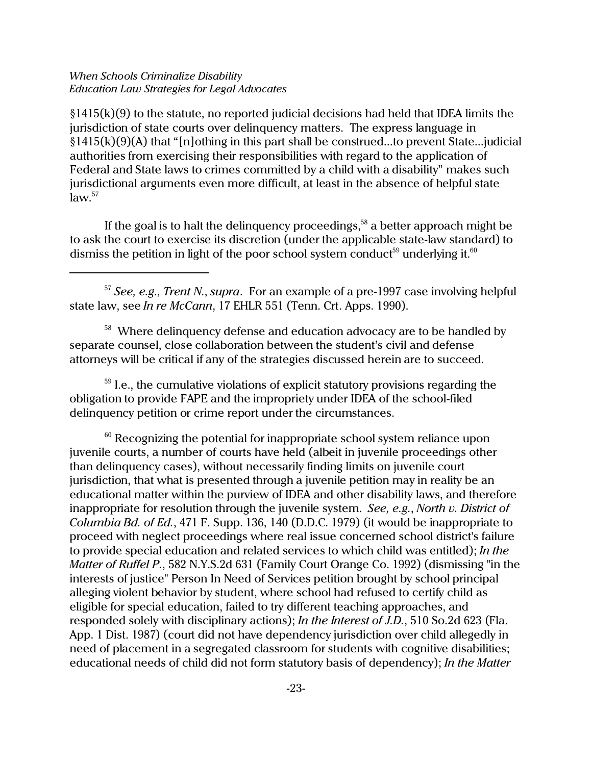$§1415(k)(9)$  to the statute, no reported judicial decisions had held that IDEA limits the jurisdiction of state courts over delinquency matters. The express language in §1415(k)(9)(A) that "[n]othing in this part shall be construed...to prevent State...judicial authorities from exercising their responsibilities with regard to the application of Federal and State laws to crimes committed by a child with a disability" makes such jurisdictional arguments even more difficult, at least in the absence of helpful state  $law<sup>57</sup>$ 

If the goal is to halt the delinguency proceedings,<sup>58</sup> a better approach might be to ask the court to exercise its discretion (under the applicable state-law standard) to dismiss the petition in light of the poor school system conduct<sup>59</sup> underlying it.<sup>60</sup>

<sup>57</sup> *See, e.g., Trent N.*, *supra*. For an example of a pre-1997 case involving helpful state law, see *In re McCann*, 17 EHLR 551 (Tenn. Crt. Apps. 1990).

<sup>58</sup> Where delinquency defense and education advocacy are to be handled by separate counsel, close collaboration between the student's civil and defense attorneys will be critical if any of the strategies discussed herein are to succeed.

 $59$  I.e., the cumulative violations of explicit statutory provisions regarding the obligation to provide FAPE and the impropriety under IDEA of the school-filed delinquency petition or crime report under the circumstances.

 $60$  Recognizing the potential for inappropriate school system reliance upon juvenile courts, a number of courts have held (albeit in juvenile proceedings other than delinquency cases), without necessarily finding limits on juvenile court jurisdiction, that what is presented through a juvenile petition may in reality be an educational matter within the purview of IDEA and other disability laws, and therefore inappropriate for resolution through the juvenile system. *See, e.g.*, *North v. District of Columbia Bd. of Ed.*, 471 F. Supp. 136, 140 (D.D.C. 1979) (it would be inappropriate to proceed with neglect proceedings where real issue concerned school district's failure to provide special education and related services to which child was entitled); *In the Matter of Ruffel P.*, 582 N.Y.S.2d 631 (Family Court Orange Co. 1992) (dismissing "in the interests of justice" Person In Need of Services petition brought by school principal alleging violent behavior by student, where school had refused to certify child as eligible for special education, failed to try different teaching approaches, and responded solely with disciplinary actions); *In the Interest of J.D.*, 510 So.2d 623 (Fla. App. 1 Dist. 1987) (court did not have dependency jurisdiction over child allegedly in need of placement in a segregated classroom for students with cognitive disabilities; educational needs of child did not form statutory basis of dependency); *In the Matter*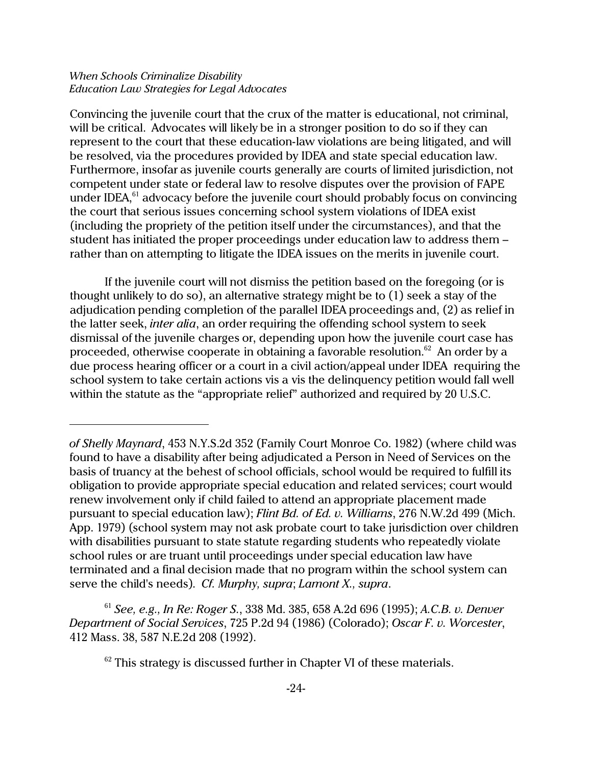Convincing the juvenile court that the crux of the matter is educational, not criminal, will be critical. Advocates will likely be in a stronger position to do so if they can represent to the court that these education-law violations are being litigated, and will be resolved, via the procedures provided by IDEA and state special education law. Furthermore, insofar as juvenile courts generally are courts of limited jurisdiction, not competent under state or federal law to resolve disputes over the provision of FAPE under IDEA, $^{61}$  advocacy before the juvenile court should probably focus on convincing the court that serious issues concerning school system violations of IDEA exist (including the propriety of the petition itself under the circumstances), and that the student has initiated the proper proceedings under education law to address them – rather than on attempting to litigate the IDEA issues on the merits in juvenile court.

If the juvenile court will not dismiss the petition based on the foregoing (or is thought unlikely to do so), an alternative strategy might be to (1) seek a stay of the adjudication pending completion of the parallel IDEA proceedings and, (2) as relief in the latter seek, *inter alia*, an order requiring the offending school system to seek dismissal of the juvenile charges or, depending upon how the juvenile court case has proceeded, otherwise cooperate in obtaining a favorable resolution.<sup>62</sup> An order by a due process hearing officer or a court in a civil action/appeal under IDEA requiring the school system to take certain actions vis a vis the delinquency petition would fall well within the statute as the "appropriate relief" authorized and required by 20 U.S.C.

*of Shelly Maynard*, 453 N.Y.S.2d 352 (Family Court Monroe Co. 1982) (where child was found to have a disability after being adjudicated a Person in Need of Services on the basis of truancy at the behest of school officials, school would be required to fulfill its obligation to provide appropriate special education and related services; court would renew involvement only if child failed to attend an appropriate placement made pursuant to special education law); *Flint Bd. of Ed. v. Williams*, 276 N.W.2d 499 (Mich. App. 1979) (school system may not ask probate court to take jurisdiction over children with disabilities pursuant to state statute regarding students who repeatedly violate school rules or are truant until proceedings under special education law have terminated and a final decision made that no program within the school system can serve the child's needs). *Cf. Murphy, supra*; *Lamont X., supra*.

<sup>61</sup> *See, e.g., In Re: Roger S.*, 338 Md. 385, 658 A.2d 696 (1995); *A.C.B. v. Denver Department of Social Services*, 725 P.2d 94 (1986) (Colorado); *Oscar F. v. Worcester*, 412 Mass. 38, 587 N.E.2d 208 (1992).

 $62$  This strategy is discussed further in Chapter VI of these materials.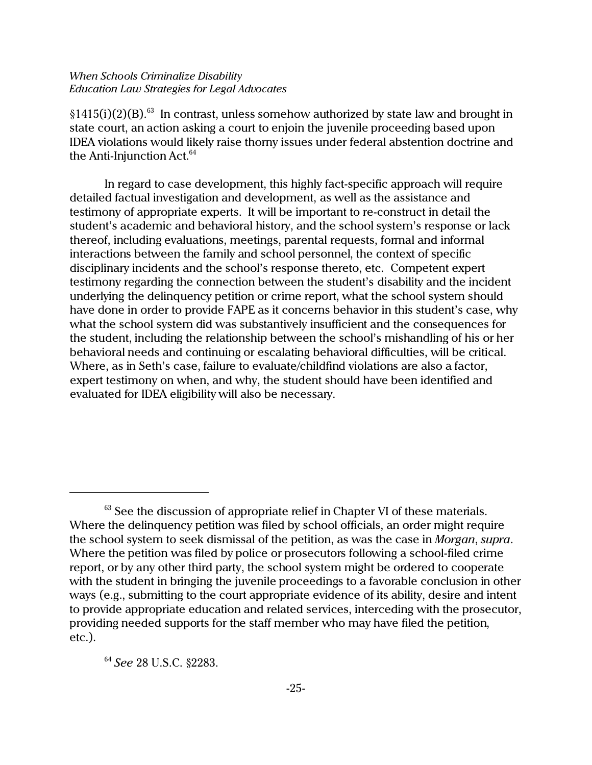§1415(i)(2)(B).<sup>63</sup> In contrast, unless somehow authorized by state law and brought in state court, an action asking a court to enjoin the juvenile proceeding based upon IDEA violations would likely raise thorny issues under federal abstention doctrine and the Anti-Injunction Act.<sup>64</sup>

In regard to case development, this highly fact-specific approach will require detailed factual investigation and development, as well as the assistance and testimony of appropriate experts. It will be important to re-construct in detail the student's academic and behavioral history, and the school system's response or lack thereof, including evaluations, meetings, parental requests, formal and informal interactions between the family and school personnel, the context of specific disciplinary incidents and the school's response thereto, etc. Competent expert testimony regarding the connection between the student's disability and the incident underlying the delinquency petition or crime report, what the school system should have done in order to provide FAPE as it concerns behavior in this student's case, why what the school system did was substantively insufficient and the consequences for the student, including the relationship between the school's mishandling of his or her behavioral needs and continuing or escalating behavioral difficulties, will be critical. Where, as in Seth's case, failure to evaluate/childfind violations are also a factor, expert testimony on when, and why, the student should have been identified and evaluated for IDEA eligibility will also be necessary.

<sup>64</sup> *See* 28 U.S.C. §2283.

 $63$  See the discussion of appropriate relief in Chapter VI of these materials. Where the delinquency petition was filed by school officials, an order might require the school system to seek dismissal of the petition, as was the case in *Morgan*, *supra*. Where the petition was filed by police or prosecutors following a school-filed crime report, or by any other third party, the school system might be ordered to cooperate with the student in bringing the juvenile proceedings to a favorable conclusion in other ways (e.g., submitting to the court appropriate evidence of its ability, desire and intent to provide appropriate education and related services, interceding with the prosecutor, providing needed supports for the staff member who may have filed the petition, etc.).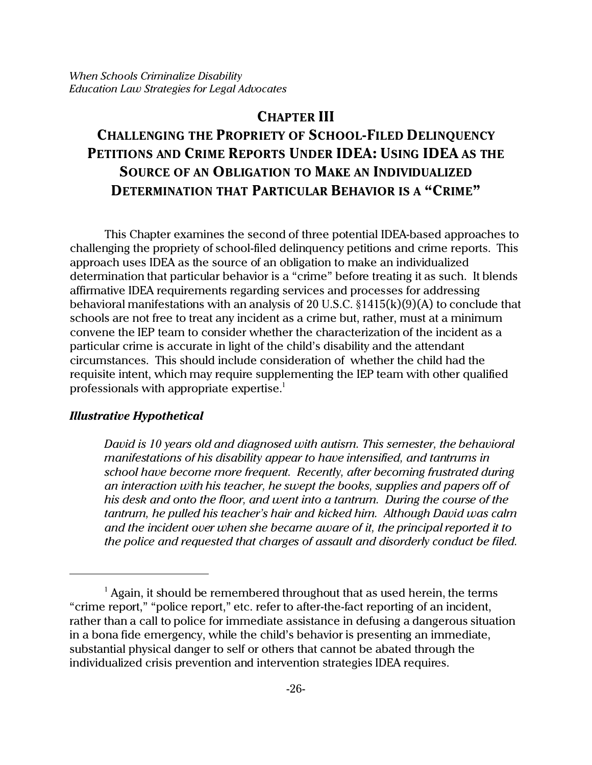# **CHAPTER III**

# **CHALLENGING THE PROPRIETY OF SCHOOL-FILED DELINQUENCY PETITIONS AND CRIME REPORTS UNDER IDEA: USING IDEA AS THE SOURCE OF AN OBLIGATION TO MAKE AN INDIVIDUALIZED DETERMINATION THAT PARTICULAR BEHAVIOR IS A "CRIME"**

This Chapter examines the second of three potential IDEA-based approaches to challenging the propriety of school-filed delinquency petitions and crime reports. This approach uses IDEA as the source of an obligation to make an individualized determination that particular behavior is a "crime" before treating it as such. It blends affirmative IDEA requirements regarding services and processes for addressing behavioral manifestations with an analysis of 20 U.S.C. §1415(k)(9)(A) to conclude that schools are not free to treat any incident as a crime but, rather, must at a minimum convene the IEP team to consider whether the characterization of the incident as a particular crime is accurate in light of the child's disability and the attendant circumstances. This should include consideration of whether the child had the requisite intent, which may require supplementing the IEP team with other qualified professionals with appropriate expertise.<sup>1</sup>

# *Illustrative Hypothetical*

*David is 10 years old and diagnosed with autism. This semester, the behavioral manifestations of his disability appear to have intensified, and tantrums in school have become more frequent. Recently, after becoming frustrated during an interaction with his teacher, he swept the books, supplies and papers off of his desk and onto the floor, and went into a tantrum. During the course of the tantrum, he pulled his teacher's hair and kicked him. Although David was calm and the incident over when she became aware of it, the principal reported it to the police and requested that charges of assault and disorderly conduct be filed.*

 $<sup>1</sup>$  Again, it should be remembered throughout that as used herein, the terms</sup> "crime report," "police report," etc. refer to after-the-fact reporting of an incident, rather than a call to police for immediate assistance in defusing a dangerous situation in a bona fide emergency, while the child's behavior is presenting an immediate, substantial physical danger to self or others that cannot be abated through the individualized crisis prevention and intervention strategies IDEA requires.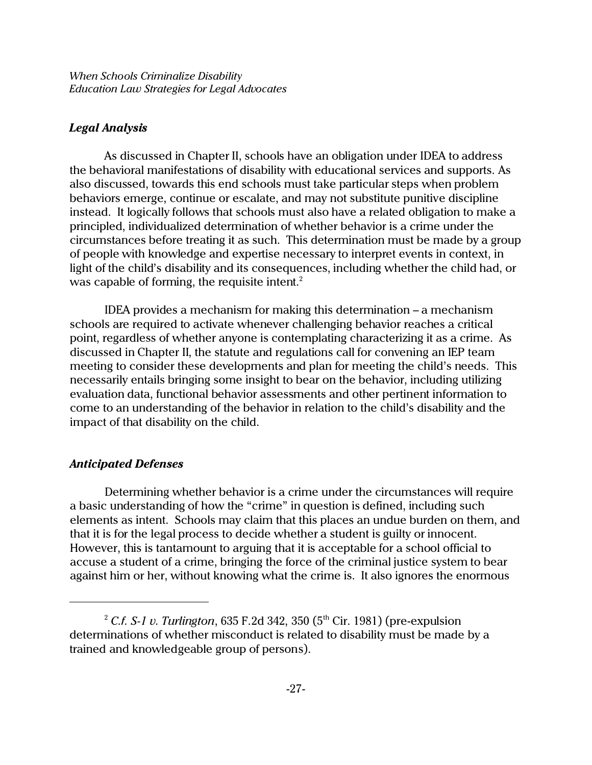# *Legal Analysis*

As discussed in Chapter II, schools have an obligation under IDEA to address the behavioral manifestations of disability with educational services and supports. As also discussed, towards this end schools must take particular steps when problem behaviors emerge, continue or escalate, and may not substitute punitive discipline instead. It logically follows that schools must also have a related obligation to make a principled, individualized determination of whether behavior is a crime under the circumstances before treating it as such. This determination must be made by a group of people with knowledge and expertise necessary to interpret events in context, in light of the child's disability and its consequences, including whether the child had, or was capable of forming, the requisite intent.<sup>2</sup>

IDEA provides a mechanism for making this determination – a mechanism schools are required to activate whenever challenging behavior reaches a critical point, regardless of whether anyone is contemplating characterizing it as a crime. As discussed in Chapter II, the statute and regulations call for convening an IEP team meeting to consider these developments and plan for meeting the child's needs. This necessarily entails bringing some insight to bear on the behavior, including utilizing evaluation data, functional behavior assessments and other pertinent information to come to an understanding of the behavior in relation to the child's disability and the impact of that disability on the child.

### *Anticipated Defenses*

Determining whether behavior is a crime under the circumstances will require a basic understanding of how the "crime" in question is defined, including such elements as intent. Schools may claim that this places an undue burden on them, and that it is for the legal process to decide whether a student is guilty or innocent. However, this is tantamount to arguing that it is acceptable for a school official to accuse a student of a crime, bringing the force of the criminal justice system to bear against him or her, without knowing what the crime is. It also ignores the enormous

<sup>&</sup>lt;sup>2</sup> *C.f. S-1 v. Turlington*, 635 F.2d 342, 350 (5<sup>th</sup> Cir. 1981) (pre-expulsion determinations of whether misconduct is related to disability must be made by a trained and knowledgeable group of persons).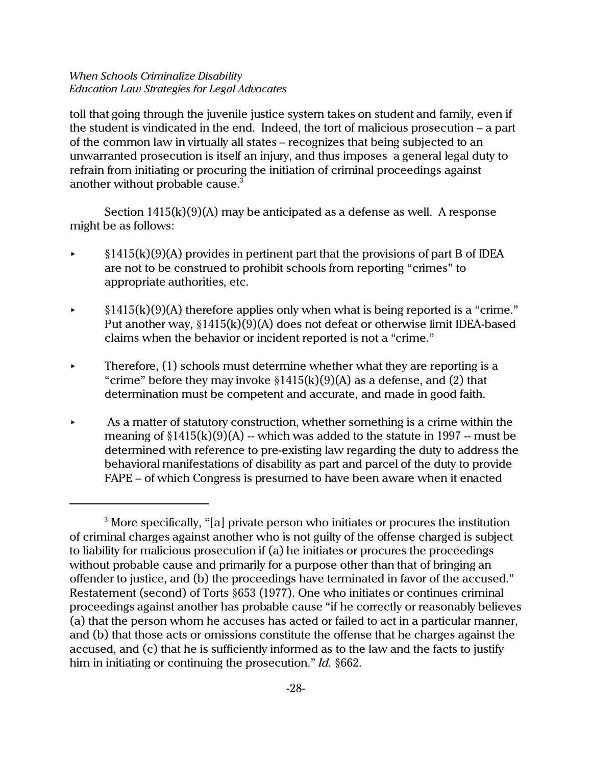toll that going through the juvenile justice system takes on student and family, even if the student is vindicated in the end. Indeed, the tort of malicious prosecution – a part of the common law in virtually all states – recognizes that being subjected to an unwarranted prosecution is itself an injury, and thus imposes a general legal duty to refrain from initiating or procuring the initiation of criminal proceedings against another without probable cause.<sup>3</sup>

Section 1415(k)(9)(A) may be anticipated as a defense as well. A response might be as follows:

- $\triangleright$  §1415(k)(9)(A) provides in pertinent part that the provisions of part B of IDEA are not to be construed to prohibit schools from reporting "crimes" to appropriate authorities, etc.
- $\S1415(k)(9)(A)$  therefore applies only when what is being reported is a "crime." Put another way, §1415(k)(9)(A) does not defeat or otherwise limit IDEA-based claims when the behavior or incident reported is not a "crime."
- Therefore, (1) schools must determine whether what they are reporting is a "crime" before they may invoke  $\S1415(k)(9)(A)$  as a defense, and (2) that determination must be competent and accurate, and made in good faith.
- As a matter of statutory construction, whether something is a crime within the meaning of  $$1415(k)(9)(A)$  -- which was added to the statute in 1997 -- must be determined with reference to pre-existing law regarding the duty to address the behavioral manifestations of disability as part and parcel of the duty to provide FAPE – of which Congress is presumed to have been aware when it enacted

<sup>&</sup>lt;sup>3</sup> More specifically, "[a] private person who initiates or procures the institution of criminal charges against another who is not guilty of the offense charged is subject to liability for malicious prosecution if (a) he initiates or procures the proceedings without probable cause and primarily for a purpose other than that of bringing an offender to justice, and (b) the proceedings have terminated in favor of the accused." Restatement (second) of Torts §653 (1977). One who initiates or continues criminal proceedings against another has probable cause "if he correctly or reasonably believes (a) that the person whom he accuses has acted or failed to act in a particular manner, and (b) that those acts or omissions constitute the offense that he charges against the accused, and (c) that he is sufficiently informed as to the law and the facts to justify him in initiating or continuing the prosecution." *Id.* §662.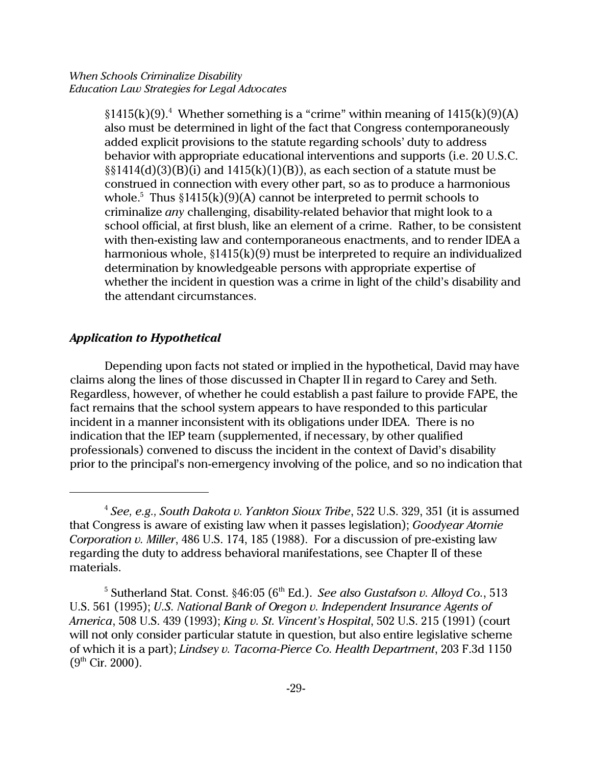$§1415(k)(9).$ <sup>4</sup> Whether something is a "crime" within meaning of  $1415(k)(9)(A)$ also must be determined in light of the fact that Congress contemporaneously added explicit provisions to the statute regarding schools' duty to address behavior with appropriate educational interventions and supports (i.e. 20 U.S.C.  $\S(1414(d)(3)(B)(i)$  and  $1415(k)(1)(B)$ , as each section of a statute must be construed in connection with every other part, so as to produce a harmonious whole. $^5$  Thus  $\S 1415(k)(9)(A)$  cannot be interpreted to permit schools to criminalize *any* challenging, disability-related behavior that might look to a school official, at first blush, like an element of a crime. Rather, to be consistent with then-existing law and contemporaneous enactments, and to render IDEA a harmonious whole, §1415(k)(9) must be interpreted to require an individualized determination by knowledgeable persons with appropriate expertise of whether the incident in question was a crime in light of the child's disability and the attendant circumstances.

# *Application to Hypothetical*

Depending upon facts not stated or implied in the hypothetical, David may have claims along the lines of those discussed in Chapter II in regard to Carey and Seth. Regardless, however, of whether he could establish a past failure to provide FAPE, the fact remains that the school system appears to have responded to this particular incident in a manner inconsistent with its obligations under IDEA. There is no indication that the IEP team (supplemented, if necessary, by other qualified professionals) convened to discuss the incident in the context of David's disability prior to the principal's non-emergency involving of the police, and so no indication that

<sup>4</sup> *See, e.g., South Dakota v. Yankton Sioux Tribe*, 522 U.S. 329, 351 (it is assumed that Congress is aware of existing law when it passes legislation); *Goodyear Atomie Corporation v. Miller*, 486 U.S. 174, 185 (1988). For a discussion of pre-existing law regarding the duty to address behavioral manifestations, see Chapter II of these materials.

<sup>&</sup>lt;sup>5</sup> Sutherland Stat. Const. §46:05 (6<sup>th</sup> Ed.). *See also Gustafson v. Alloyd Co.*, 513 U.S. 561 (1995); *U.S. National Bank of Oregon v. Independent Insurance Agents of America*, 508 U.S. 439 (1993); *King v. St. Vincent's Hospital*, 502 U.S. 215 (1991) (court will not only consider particular statute in question, but also entire legislative scheme of which it is a part); *Lindsey v. Tacoma-Pierce Co. Health Department*, 203 F.3d 1150  $(9<sup>th</sup> Cir. 2000)$ .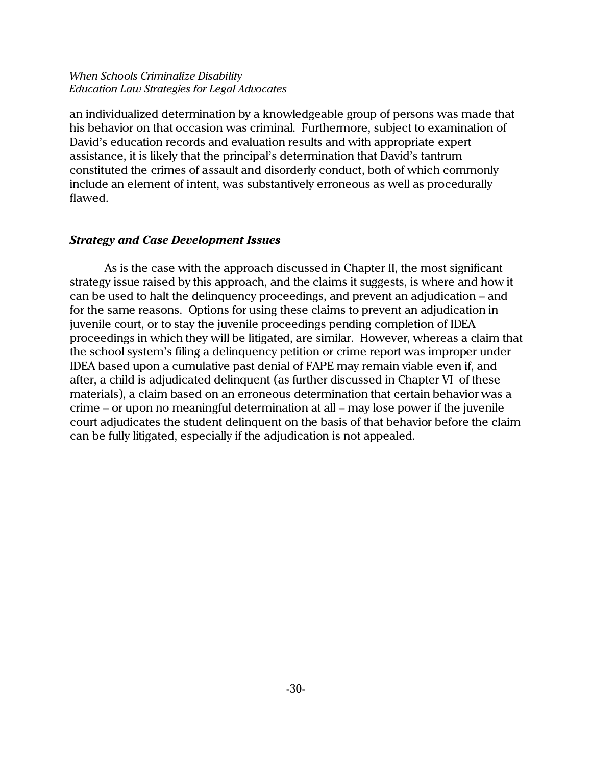an individualized determination by a knowledgeable group of persons was made that his behavior on that occasion was criminal. Furthermore, subject to examination of David's education records and evaluation results and with appropriate expert assistance, it is likely that the principal's determination that David's tantrum constituted the crimes of assault and disorderly conduct, both of which commonly include an element of intent, was substantively erroneous as well as procedurally flawed.

## *Strategy and Case Development Issues*

As is the case with the approach discussed in Chapter II, the most significant strategy issue raised by this approach, and the claims it suggests, is where and how it can be used to halt the delinquency proceedings, and prevent an adjudication – and for the same reasons. Options for using these claims to prevent an adjudication in juvenile court, or to stay the juvenile proceedings pending completion of IDEA proceedings in which they will be litigated, are similar. However, whereas a claim that the school system's filing a delinquency petition or crime report was improper under IDEA based upon a cumulative past denial of FAPE may remain viable even if, and after, a child is adjudicated delinquent (as further discussed in Chapter VI of these materials), a claim based on an erroneous determination that certain behavior was a crime – or upon no meaningful determination at all – may lose power if the juvenile court adjudicates the student delinquent on the basis of that behavior before the claim can be fully litigated, especially if the adjudication is not appealed.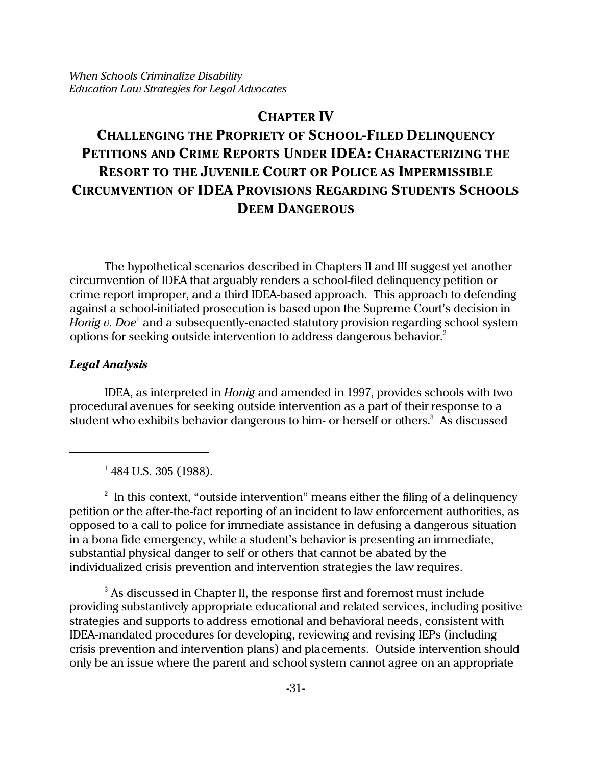# **CHAPTER IV**

# **CHALLENGING THE PROPRIETY OF SCHOOL-FILED DELINQUENCY PETITIONS AND CRIME REPORTS UNDER IDEA: CHARACTERIZING THE RESORT TO THE JUVENILE COURT OR POLICE AS IMPERMISSIBLE CIRCUMVENTION OF IDEA PROVISIONS REGARDING STUDENTS SCHOOLS DEEM DANGEROUS**

The hypothetical scenarios described in Chapters II and III suggest yet another circumvention of IDEA that arguably renders a school-filed delinquency petition or crime report improper, and a third IDEA-based approach. This approach to defending against a school-initiated prosecution is based upon the Supreme Court's decision in *Honig v. Doe*<sup>1</sup> and a subsequently-enacted statutory provision regarding school system options for seeking outside intervention to address dangerous behavior. $2$ 

## *Legal Analysis*

IDEA, as interpreted in *Honig* and amended in 1997, provides schools with two procedural avenues for seeking outside intervention as a part of their response to a student who exhibits behavior dangerous to him- or herself or others.<sup>3</sup> As discussed

<sup>1</sup> 484 U.S. 305 (1988).

 $^{\rm 2}$  In this context, "outside intervention" means either the filing of a delinquency petition or the after-the-fact reporting of an incident to law enforcement authorities, as opposed to a call to police for immediate assistance in defusing a dangerous situation in a bona fide emergency, while a student's behavior is presenting an immediate, substantial physical danger to self or others that cannot be abated by the individualized crisis prevention and intervention strategies the law requires.

 $^3$  As discussed in Chapter II, the response first and foremost must include providing substantively appropriate educational and related services, including positive strategies and supports to address emotional and behavioral needs, consistent with IDEA-mandated procedures for developing, reviewing and revising IEPs (including crisis prevention and intervention plans) and placements. Outside intervention should only be an issue where the parent and school system cannot agree on an appropriate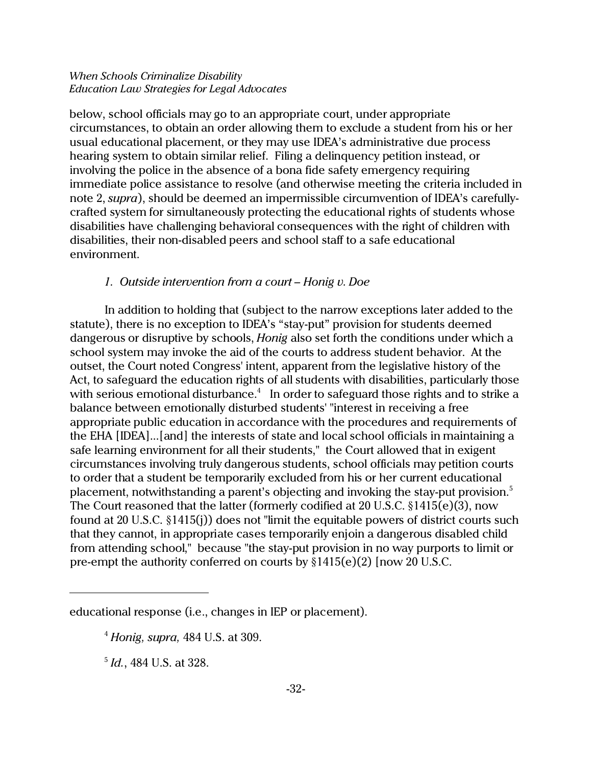below, school officials may go to an appropriate court, under appropriate circumstances, to obtain an order allowing them to exclude a student from his or her usual educational placement, or they may use IDEA's administrative due process hearing system to obtain similar relief. Filing a delinquency petition instead, or involving the police in the absence of a bona fide safety emergency requiring immediate police assistance to resolve (and otherwise meeting the criteria included in note 2, *supra*), should be deemed an impermissible circumvention of IDEA's carefullycrafted system for simultaneously protecting the educational rights of students whose disabilities have challenging behavioral consequences with the right of children with disabilities, their non-disabled peers and school staff to a safe educational environment.

## *1. Outside intervention from a court – Honig v. Doe*

In addition to holding that (subject to the narrow exceptions later added to the statute), there is no exception to IDEA's "stay-put" provision for students deemed dangerous or disruptive by schools, *Honig* also set forth the conditions under which a school system may invoke the aid of the courts to address student behavior. At the outset, the Court noted Congress' intent, apparent from the legislative history of the Act, to safeguard the education rights of all students with disabilities, particularly those with serious emotional disturbance. $^4\;$  In order to safeguard those rights and to strike a balance between emotionally disturbed students' "interest in receiving a free appropriate public education in accordance with the procedures and requirements of the EHA [IDEA]...[and] the interests of state and local school officials in maintaining a safe learning environment for all their students," the Court allowed that in exigent circumstances involving truly dangerous students, school officials may petition courts to order that a student be temporarily excluded from his or her current educational placement, notwithstanding a parent's objecting and invoking the stay-put provision.<sup>5</sup> The Court reasoned that the latter (formerly codified at 20 U.S.C. §1415(e)(3), now found at 20 U.S.C. §1415(j)) does not "limit the equitable powers of district courts such that they cannot, in appropriate cases temporarily enjoin a dangerous disabled child from attending school," because "the stay-put provision in no way purports to limit or pre-empt the authority conferred on courts by §1415(e)(2) [now 20 U.S.C.

5 *Id.*, 484 U.S. at 328.

educational response (i.e., changes in IEP or placement).

<sup>4</sup> *Honig, supra,* 484 U.S. at 309.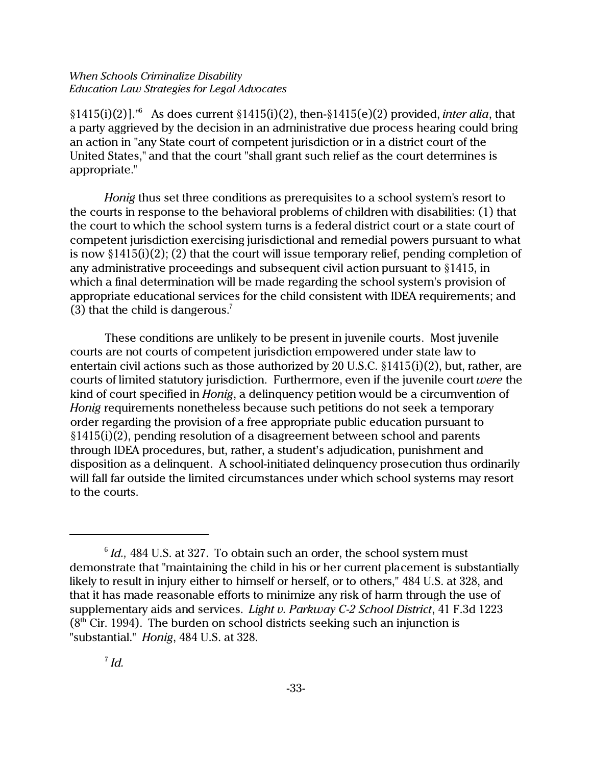§1415(i)(2)]."<sup>6</sup> As does current §1415(i)(2), then-§1415(e)(2) provided, *inter alia*, that a party aggrieved by the decision in an administrative due process hearing could bring an action in "any State court of competent jurisdiction or in a district court of the United States," and that the court "shall grant such relief as the court determines is appropriate."

*Honig* thus set three conditions as prerequisites to a school system's resort to the courts in response to the behavioral problems of children with disabilities: (1) that the court to which the school system turns is a federal district court or a state court of competent jurisdiction exercising jurisdictional and remedial powers pursuant to what is now §1415(i)(2); (2) that the court will issue temporary relief, pending completion of any administrative proceedings and subsequent civil action pursuant to §1415, in which a final determination will be made regarding the school system's provision of appropriate educational services for the child consistent with IDEA requirements; and (3) that the child is dangerous.<sup>7</sup>

These conditions are unlikely to be present in juvenile courts. Most juvenile courts are not courts of competent jurisdiction empowered under state law to entertain civil actions such as those authorized by 20 U.S.C. §1415(i)(2), but, rather, are courts of limited statutory jurisdiction. Furthermore, even if the juvenile court *were* the kind of court specified in *Honig*, a delinquency petition would be a circumvention of *Honig* requirements nonetheless because such petitions do not seek a temporary order regarding the provision of a free appropriate public education pursuant to §1415(i)(2), pending resolution of a disagreement between school and parents through IDEA procedures, but, rather, a student's adjudication, punishment and disposition as a delinquent. A school-initiated delinquency prosecution thus ordinarily will fall far outside the limited circumstances under which school systems may resort to the courts.

 $^6$  *Id.,* 484 U.S. at 327. To obtain such an order, the school system must demonstrate that "maintaining the child in his or her current placement is substantially likely to result in injury either to himself or herself, or to others," 484 U.S. at 328, and that it has made reasonable efforts to minimize any risk of harm through the use of supplementary aids and services. *Light v. Parkway C-2 School District*, 41 F.3d 1223  $(8<sup>th</sup>$  Cir. 1994). The burden on school districts seeking such an injunction is "substantial." *Honig*, 484 U.S. at 328.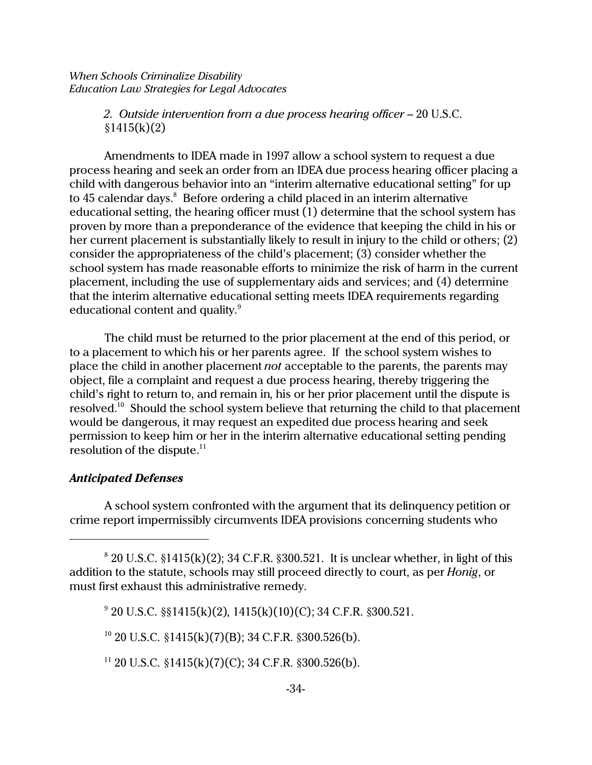*2. Outside intervention from a due process hearing officer* – 20 U.S.C.  $§1415(k)(2)$ 

Amendments to IDEA made in 1997 allow a school system to request a due process hearing and seek an order from an IDEA due process hearing officer placing a child with dangerous behavior into an "interim alternative educational setting" for up to 45 calendar days. $^8$  Before ordering a child placed in an interim alternative educational setting, the hearing officer must (1) determine that the school system has proven by more than a preponderance of the evidence that keeping the child in his or her current placement is substantially likely to result in injury to the child or others; (2) consider the appropriateness of the child's placement; (3) consider whether the school system has made reasonable efforts to minimize the risk of harm in the current placement, including the use of supplementary aids and services; and (4) determine that the interim alternative educational setting meets IDEA requirements regarding educational content and quality.<sup>9</sup>

The child must be returned to the prior placement at the end of this period, or to a placement to which his or her parents agree. If the school system wishes to place the child in another placement *not* acceptable to the parents, the parents may object, file a complaint and request a due process hearing, thereby triggering the child's right to return to, and remain in, his or her prior placement until the dispute is resolved.<sup>10</sup> Should the school system believe that returning the child to that placement would be dangerous, it may request an expedited due process hearing and seek permission to keep him or her in the interim alternative educational setting pending resolution of the dispute. $11$ 

## *Anticipated Defenses*

A school system confronted with the argument that its delinquency petition or crime report impermissibly circumvents IDEA provisions concerning students who

 $10$  20 U.S.C. §1415(k)(7)(B); 34 C.F.R. §300.526(b).

 $11$  20 U.S.C. §1415(k)(7)(C); 34 C.F.R. §300.526(b).

 $820$  U.S.C.  $$1415(k)(2);$  34 C.F.R.  $$300.521$ . It is unclear whether, in light of this addition to the statute, schools may still proceed directly to court, as per *Honig*, or must first exhaust this administrative remedy.

<sup>9</sup> 20 U.S.C. §§1415(k)(2), 1415(k)(10)(C); 34 C.F.R. §300.521.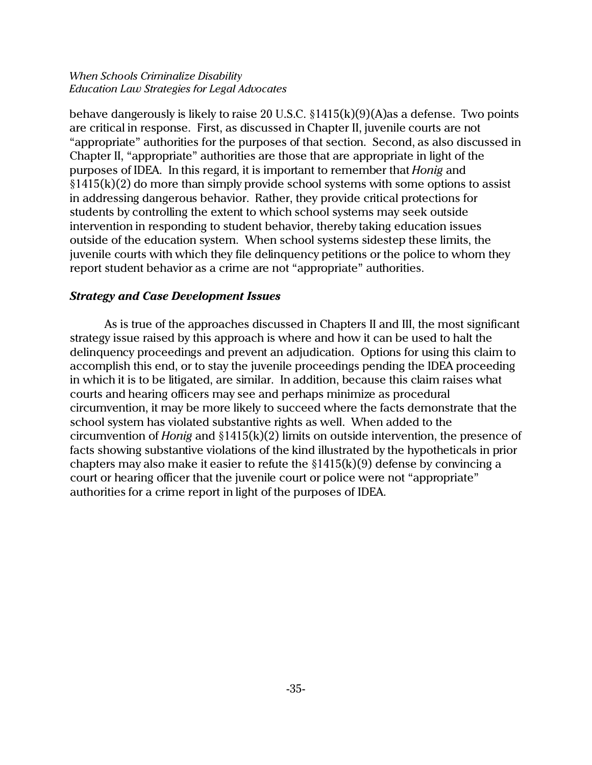behave dangerously is likely to raise 20 U.S.C.  $\S 1415(k)(9)(A)$  as a defense. Two points are critical in response. First, as discussed in Chapter II, juvenile courts are not "appropriate" authorities for the purposes of that section. Second, as also discussed in Chapter II, "appropriate" authorities are those that are appropriate in light of the purposes of IDEA. In this regard, it is important to remember that *Honig* and  $§1415(k)(2)$  do more than simply provide school systems with some options to assist in addressing dangerous behavior. Rather, they provide critical protections for students by controlling the extent to which school systems may seek outside intervention in responding to student behavior, thereby taking education issues outside of the education system. When school systems sidestep these limits, the juvenile courts with which they file delinquency petitions or the police to whom they report student behavior as a crime are not "appropriate" authorities.

## *Strategy and Case Development Issues*

As is true of the approaches discussed in Chapters II and III, the most significant strategy issue raised by this approach is where and how it can be used to halt the delinquency proceedings and prevent an adjudication. Options for using this claim to accomplish this end, or to stay the juvenile proceedings pending the IDEA proceeding in which it is to be litigated, are similar. In addition, because this claim raises what courts and hearing officers may see and perhaps minimize as procedural circumvention, it may be more likely to succeed where the facts demonstrate that the school system has violated substantive rights as well. When added to the circumvention of *Honig* and §1415(k)(2) limits on outside intervention, the presence of facts showing substantive violations of the kind illustrated by the hypotheticals in prior chapters may also make it easier to refute the  $$1415(k)(9)$  defense by convincing a court or hearing officer that the juvenile court or police were not "appropriate" authorities for a crime report in light of the purposes of IDEA.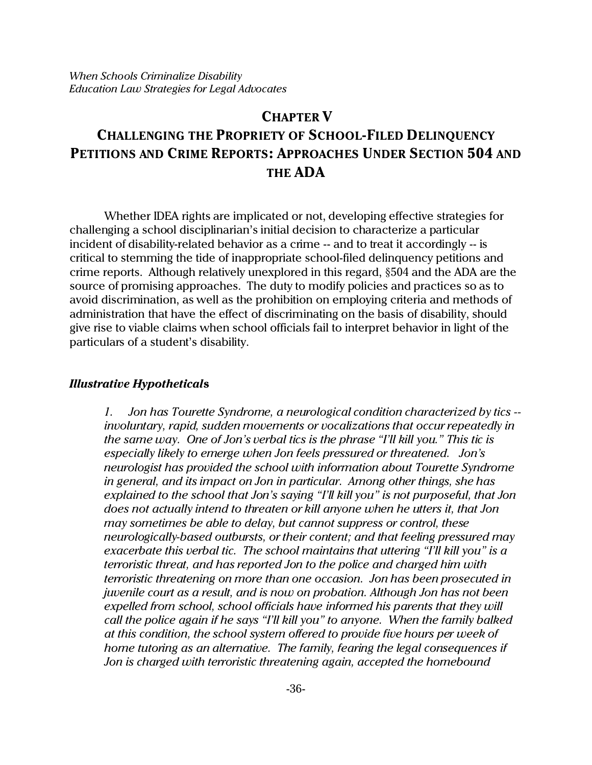# **CHAPTER V CHALLENGING THE PROPRIETY OF SCHOOL-FILED DELINQUENCY PETITIONS AND CRIME REPORTS: APPROACHES UNDER SECTION 504 AND THE ADA**

Whether IDEA rights are implicated or not, developing effective strategies for challenging a school disciplinarian's initial decision to characterize a particular incident of disability-related behavior as a crime -- and to treat it accordingly -- is critical to stemming the tide of inappropriate school-filed delinquency petitions and crime reports. Although relatively unexplored in this regard, §504 and the ADA are the source of promising approaches. The duty to modify policies and practices so as to avoid discrimination, as well as the prohibition on employing criteria and methods of administration that have the effect of discriminating on the basis of disability, should give rise to viable claims when school officials fail to interpret behavior in light of the particulars of a student's disability.

## *Illustrative Hypothetical***s**

*1. Jon has Tourette Syndrome, a neurological condition characterized by tics - involuntary, rapid, sudden movements or vocalizations that occur repeatedly in the same way. One of Jon's verbal tics is the phrase "I'll kill you." This tic is especially likely to emerge when Jon feels pressured or threatened. Jon's neurologist has provided the school with information about Tourette Syndrome in general, and its impact on Jon in particular. Among other things, she has explained to the school that Jon's saying "I'll kill you" is not purposeful, that Jon does not actually intend to threaten or kill anyone when he utters it, that Jon may sometimes be able to delay, but cannot suppress or control, these neurologically-based outbursts, or their content; and that feeling pressured may exacerbate this verbal tic. The school maintains that uttering "I'll kill you" is a terroristic threat, and has reported Jon to the police and charged him with terroristic threatening on more than one occasion. Jon has been prosecuted in juvenile court as a result, and is now on probation. Although Jon has not been expelled from school, school officials have informed his parents that they will call the police again if he says "I'll kill you" to anyone. When the family balked at this condition, the school system offered to provide five hours per week of home tutoring as an alternative. The family, fearing the legal consequences if Jon is charged with terroristic threatening again, accepted the homebound*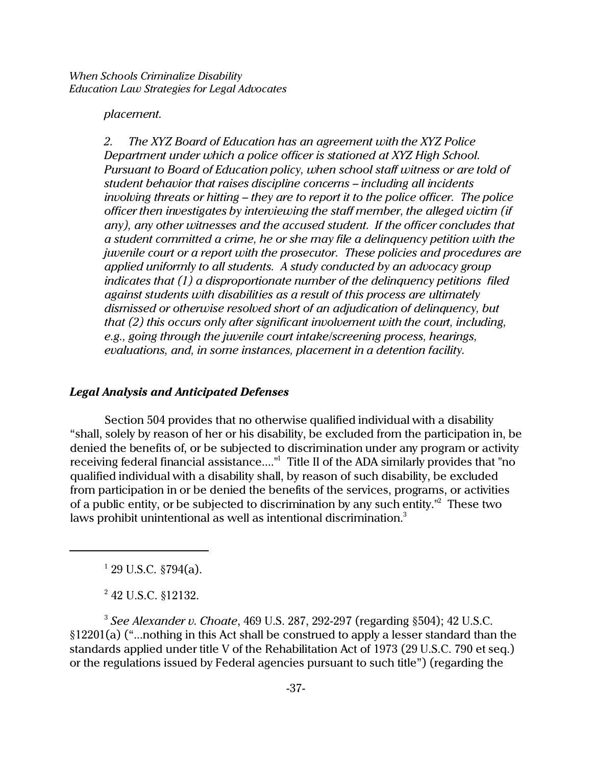#### *placement.*

*2. The XYZ Board of Education has an agreement with the XYZ Police Department under which a police officer is stationed at XYZ High School. Pursuant to Board of Education policy, when school staff witness or are told of student behavior that raises discipline concerns – including all incidents involving threats or hitting – they are to report it to the police officer. The police officer then investigates by interviewing the staff member, the alleged victim (if any), any other witnesses and the accused student. If the officer concludes that a student committed a crime, he or she may file a delinquency petition with the juvenile court or a report with the prosecutor. These policies and procedures are applied uniformly to all students. A study conducted by an advocacy group indicates that (1) a disproportionate number of the delinquency petitions filed against students with disabilities as a result of this process are ultimately dismissed or otherwise resolved short of an adjudication of delinquency, but that (2) this occurs only after significant involvement with the court, including, e.g., going through the juvenile court intake/screening process, hearings, evaluations, and, in some instances, placement in a detention facility.*

### *Legal Analysis and Anticipated Defenses*

Section 504 provides that no otherwise qualified individual with a disability "shall, solely by reason of her or his disability, be excluded from the participation in, be denied the benefits of, or be subjected to discrimination under any program or activity receiving federal financial assistance...."1 Title II of the ADA similarly provides that "no qualified individual with a disability shall, by reason of such disability, be excluded from participation in or be denied the benefits of the services, programs, or activities of a public entity, or be subjected to discrimination by any such entity.<sup>"2</sup> These two laws prohibit unintentional as well as intentional discrimination.<sup>3</sup>

 $1$  29 U.S.C. §794(a).

<sup>2</sup> 42 U.S.C. §12132.

3 *See Alexander v. Choate*, 469 U.S. 287, 292-297 (regarding §504); 42 U.S.C. §12201(a) ("...nothing in this Act shall be construed to apply a lesser standard than the standards applied under title V of the Rehabilitation Act of 1973 (29 U.S.C. 790 et seq.) or the regulations issued by Federal agencies pursuant to such title") (regarding the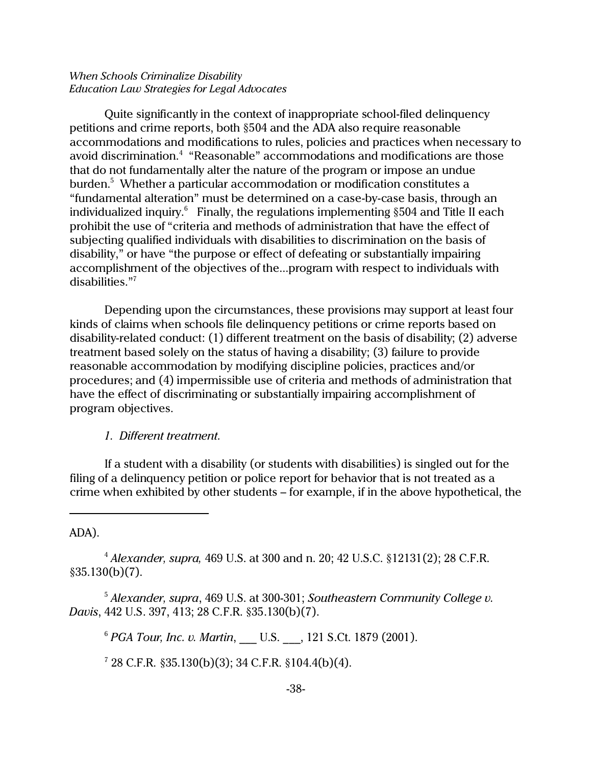Quite significantly in the context of inappropriate school-filed delinquency petitions and crime reports, both §504 and the ADA also require reasonable accommodations and modifications to rules, policies and practices when necessary to avoid discrimination.<sup>4</sup> "Reasonable" accommodations and modifications are those that do not fundamentally alter the nature of the program or impose an undue burden. $^5\,$  Whether a particular accommodation or modification constitutes a "fundamental alteration" must be determined on a case-by-case basis, through an individualized inquiry. $^6$  Finally, the regulations implementing  $\S 504$  and Title II each prohibit the use of "criteria and methods of administration that have the effect of subjecting qualified individuals with disabilities to discrimination on the basis of disability," or have "the purpose or effect of defeating or substantially impairing accomplishment of the objectives of the...program with respect to individuals with disabilities."<sup>7</sup>

Depending upon the circumstances, these provisions may support at least four kinds of claims when schools file delinquency petitions or crime reports based on disability-related conduct: (1) different treatment on the basis of disability; (2) adverse treatment based solely on the status of having a disability; (3) failure to provide reasonable accommodation by modifying discipline policies, practices and/or procedures; and (4) impermissible use of criteria and methods of administration that have the effect of discriminating or substantially impairing accomplishment of program objectives.

*1. Different treatment.*

If a student with a disability (or students with disabilities) is singled out for the filing of a delinquency petition or police report for behavior that is not treated as a crime when exhibited by other students – for example, if in the above hypothetical, the

ADA).

<sup>4</sup> *Alexander, supra,* 469 U.S. at 300 and n. 20; 42 U.S.C. §12131(2); 28 C.F.R. §35.130(b)(7).

<sup>5</sup> *Alexander, supra*, 469 U.S. at 300-301; *Southeastern Community College v. Davis*, 442 U.S. 397, 413; 28 C.F.R. §35.130(b)(7).

<sup>6</sup> *PGA Tour, Inc. v. Martin,* U.S. , 121 S.Ct. 1879 (2001).

 $728$  C.F.R.  $$35.130(b)(3); 34$  C.F.R.  $$104.4(b)(4)$ .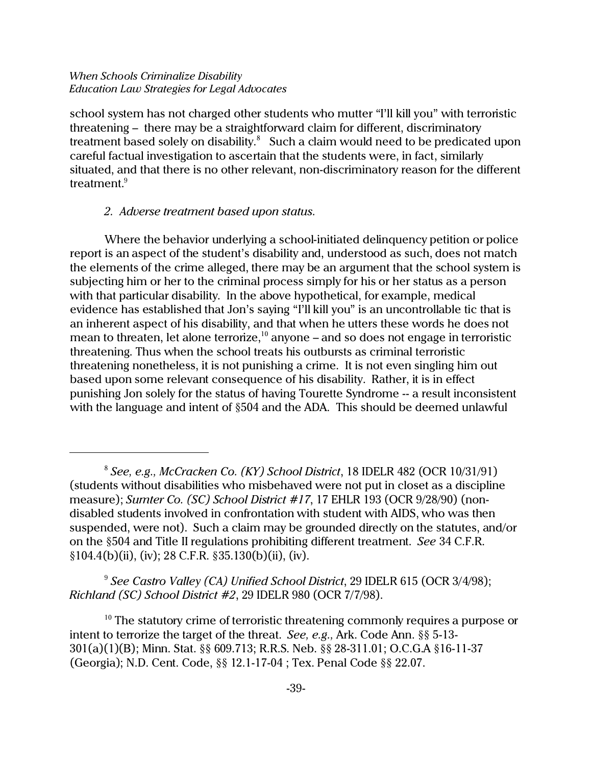school system has not charged other students who mutter "I'll kill you" with terroristic threatening – there may be a straightforward claim for different, discriminatory treatment based solely on disability. $^8$  Such a claim would need to be predicated upon careful factual investigation to ascertain that the students were, in fact, similarly situated, and that there is no other relevant, non-discriminatory reason for the different treatment.<sup>9</sup>

## *2. Adverse treatment based upon status.*

Where the behavior underlying a school-initiated delinquency petition or police report is an aspect of the student's disability and, understood as such, does not match the elements of the crime alleged, there may be an argument that the school system is subjecting him or her to the criminal process simply for his or her status as a person with that particular disability. In the above hypothetical, for example, medical evidence has established that Jon's saying "I'll kill you" is an uncontrollable tic that is an inherent aspect of his disability, and that when he utters these words he does not mean to threaten, let alone terrorize, $10$  anyone – and so does not engage in terroristic threatening. Thus when the school treats his outbursts as criminal terroristic threatening nonetheless, it is not punishing a crime. It is not even singling him out based upon some relevant consequence of his disability. Rather, it is in effect punishing Jon solely for the status of having Tourette Syndrome -- a result inconsistent with the language and intent of §504 and the ADA. This should be deemed unlawful

9 *See Castro Valley (CA) Unified School District*, 29 IDELR 615 (OCR 3/4/98); *Richland (SC) School District #2*, 29 IDELR 980 (OCR 7/7/98).

 $10$  The statutory crime of terroristic threatening commonly requires a purpose or intent to terrorize the target of the threat. *See, e.g.,* Ark. Code Ann. §§ 5-13- 301(a)(1)(B); Minn. Stat. §§ 609.713; R.R.S. Neb. §§ 28-311.01; O.C.G.A §16-11-37 (Georgia); N.D. Cent. Code, §§ 12.1-17-04 ; Tex. Penal Code §§ 22.07.

<sup>8</sup> *See, e.g., McCracken Co. (KY) School District*, 18 IDELR 482 (OCR 10/31/91) (students without disabilities who misbehaved were not put in closet as a discipline measure); *Sumter Co. (SC) School District #17*, 17 EHLR 193 (OCR 9/28/90) (nondisabled students involved in confrontation with student with AIDS, who was then suspended, were not). Such a claim may be grounded directly on the statutes, and/or on the §504 and Title II regulations prohibiting different treatment. *See* 34 C.F.R. §104.4(b)(ii), (iv); 28 C.F.R. §35.130(b)(ii), (iv).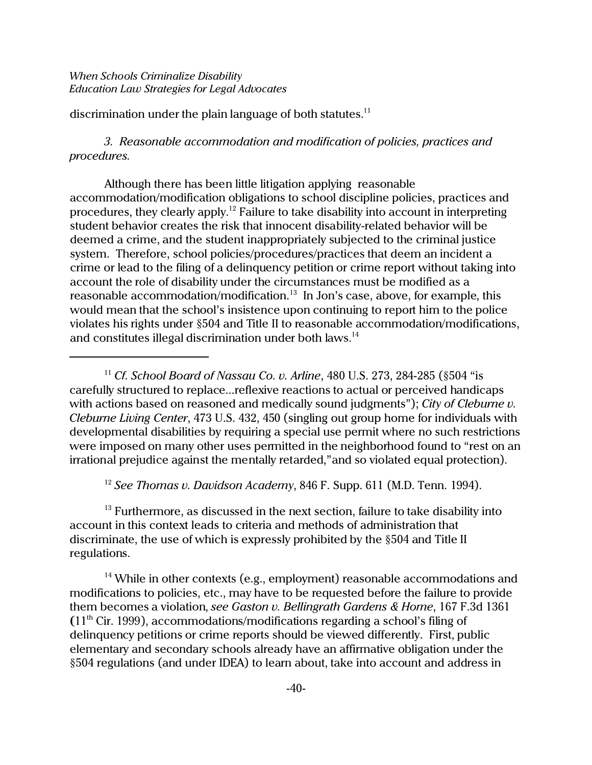discrimination under the plain language of both statutes.<sup>11</sup>

*3. Reasonable accommodation and modification of policies, practices and procedures.*

Although there has been little litigation applying reasonable accommodation/modification obligations to school discipline policies, practices and procedures, they clearly apply.<sup>12</sup> Failure to take disability into account in interpreting student behavior creates the risk that innocent disability-related behavior will be deemed a crime, and the student inappropriately subjected to the criminal justice system. Therefore, school policies/procedures/practices that deem an incident a crime or lead to the filing of a delinquency petition or crime report without taking into account the role of disability under the circumstances must be modified as a reasonable accommodation/modification.<sup>13</sup> In Jon's case, above, for example, this would mean that the school's insistence upon continuing to report him to the police violates his rights under §504 and Title II to reasonable accommodation/modifications, and constitutes illegal discrimination under both laws.<sup>14</sup>

<sup>11</sup> *Cf. School Board of Nassau Co. v. Arline*, 480 U.S. 273, 284-285 (§504 "is carefully structured to replace...reflexive reactions to actual or perceived handicaps with actions based on reasoned and medically sound judgments"); *City of Cleburne v. Cleburne Living Center*, 473 U.S. 432, 450 (singling out group home for individuals with developmental disabilities by requiring a special use permit where no such restrictions were imposed on many other uses permitted in the neighborhood found to "rest on an irrational prejudice against the mentally retarded,"and so violated equal protection).

<sup>12</sup> *See Thomas v. Davidson Academy*, 846 F. Supp. 611 (M.D. Tenn. 1994).

 $13$  Furthermore, as discussed in the next section, failure to take disability into account in this context leads to criteria and methods of administration that discriminate, the use of which is expressly prohibited by the §504 and Title II regulations.

<sup>14</sup> While in other contexts (e.g., employment) reasonable accommodations and modifications to policies, etc., may have to be requested before the failure to provide them becomes a violation, *see Gaston v. Bellingrath Gardens & Home*, 167 F.3d 1361 **(**11th Cir. 1999), accommodations/modifications regarding a school's filing of delinquency petitions or crime reports should be viewed differently. First, public elementary and secondary schools already have an affirmative obligation under the §504 regulations (and under IDEA) to learn about, take into account and address in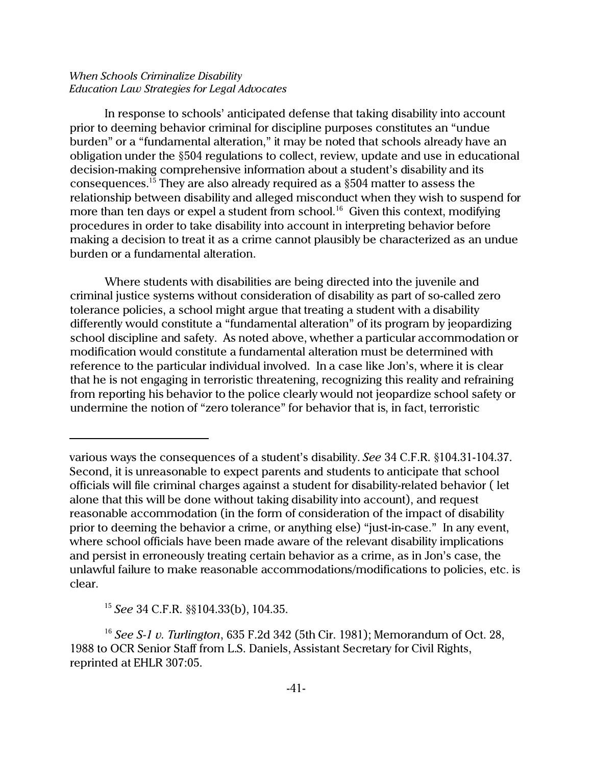In response to schools' anticipated defense that taking disability into account prior to deeming behavior criminal for discipline purposes constitutes an "undue burden" or a "fundamental alteration," it may be noted that schools already have an obligation under the §504 regulations to collect, review, update and use in educational decision-making comprehensive information about a student's disability and its consequences.<sup>15</sup> They are also already required as a  $$504$  matter to assess the relationship between disability and alleged misconduct when they wish to suspend for more than ten days or expel a student from school.<sup>16</sup> Given this context, modifying procedures in order to take disability into account in interpreting behavior before making a decision to treat it as a crime cannot plausibly be characterized as an undue burden or a fundamental alteration.

Where students with disabilities are being directed into the juvenile and criminal justice systems without consideration of disability as part of so-called zero tolerance policies, a school might argue that treating a student with a disability differently would constitute a "fundamental alteration" of its program by jeopardizing school discipline and safety. As noted above, whether a particular accommodation or modification would constitute a fundamental alteration must be determined with reference to the particular individual involved. In a case like Jon's, where it is clear that he is not engaging in terroristic threatening, recognizing this reality and refraining from reporting his behavior to the police clearly would not jeopardize school safety or undermine the notion of "zero tolerance" for behavior that is, in fact, terroristic

various ways the consequences of a student's disability. *See* 34 C.F.R. §104.31-104.37. Second, it is unreasonable to expect parents and students to anticipate that school officials will file criminal charges against a student for disability-related behavior ( let alone that this will be done without taking disability into account), and request reasonable accommodation (in the form of consideration of the impact of disability prior to deeming the behavior a crime, or anything else) "just-in-case." In any event, where school officials have been made aware of the relevant disability implications and persist in erroneously treating certain behavior as a crime, as in Jon's case, the unlawful failure to make reasonable accommodations/modifications to policies, etc. is clear.

<sup>15</sup> *See* 34 C.F.R. §§104.33(b), 104.35.

<sup>16</sup> *See S-1 v. Turlington*, 635 F.2d 342 (5th Cir. 1981); Memorandum of Oct. 28, 1988 to OCR Senior Staff from L.S. Daniels, Assistant Secretary for Civil Rights, reprinted at EHLR 307:05.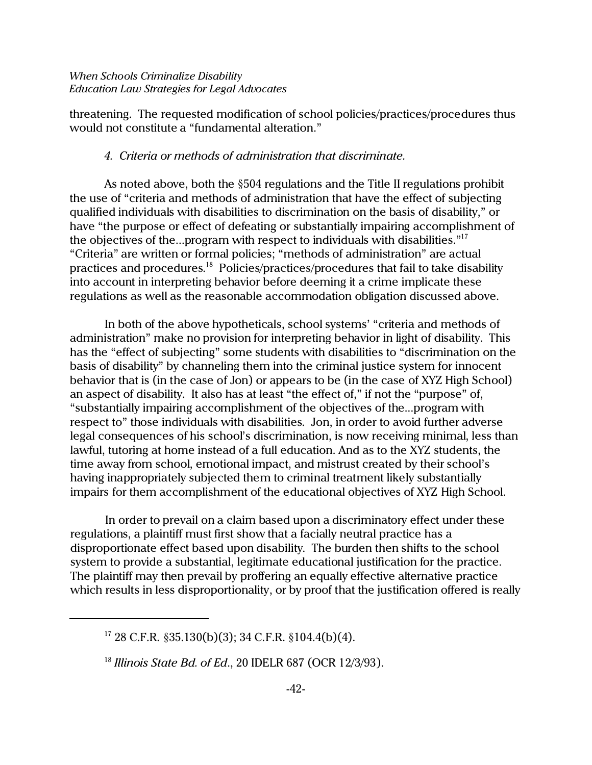threatening. The requested modification of school policies/practices/procedures thus would not constitute a "fundamental alteration."

## *4. Criteria or methods of administration that discriminate.*

As noted above, both the §504 regulations and the Title II regulations prohibit the use of "criteria and methods of administration that have the effect of subjecting qualified individuals with disabilities to discrimination on the basis of disability," or have "the purpose or effect of defeating or substantially impairing accomplishment of the objectives of the...program with respect to individuals with disabilities."<sup>17</sup> "Criteria" are written or formal policies; "methods of administration" are actual practices and procedures.<sup>18</sup> Policies/practices/procedures that fail to take disability into account in interpreting behavior before deeming it a crime implicate these regulations as well as the reasonable accommodation obligation discussed above.

In both of the above hypotheticals, school systems' "criteria and methods of administration" make no provision for interpreting behavior in light of disability. This has the "effect of subjecting" some students with disabilities to "discrimination on the basis of disability" by channeling them into the criminal justice system for innocent behavior that is (in the case of Jon) or appears to be (in the case of XYZ High School) an aspect of disability. It also has at least "the effect of," if not the "purpose" of, "substantially impairing accomplishment of the objectives of the...program with respect to" those individuals with disabilities. Jon, in order to avoid further adverse legal consequences of his school's discrimination, is now receiving minimal, less than lawful, tutoring at home instead of a full education. And as to the XYZ students, the time away from school, emotional impact, and mistrust created by their school's having inappropriately subjected them to criminal treatment likely substantially impairs for them accomplishment of the educational objectives of XYZ High School.

In order to prevail on a claim based upon a discriminatory effect under these regulations, a plaintiff must first show that a facially neutral practice has a disproportionate effect based upon disability. The burden then shifts to the school system to provide a substantial, legitimate educational justification for the practice. The plaintiff may then prevail by proffering an equally effective alternative practice which results in less disproportionality, or by proof that the justification offered is really

 $17$  28 C.F.R. §35.130(b)(3); 34 C.F.R. §104.4(b)(4).

<sup>18</sup> *Illinois State Bd. of Ed*., 20 IDELR 687 (OCR 12/3/93).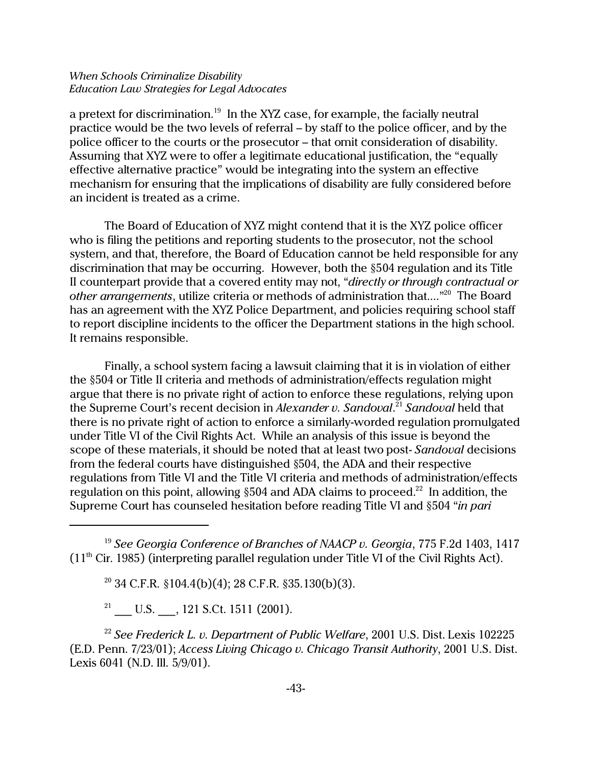a pretext for discrimination.<sup>19</sup> In the XYZ case, for example, the facially neutral practice would be the two levels of referral – by staff to the police officer, and by the police officer to the courts or the prosecutor – that omit consideration of disability. Assuming that XYZ were to offer a legitimate educational justification, the "equally effective alternative practice" would be integrating into the system an effective mechanism for ensuring that the implications of disability are fully considered before an incident is treated as a crime.

The Board of Education of XYZ might contend that it is the XYZ police officer who is filing the petitions and reporting students to the prosecutor, not the school system, and that, therefore, the Board of Education cannot be held responsible for any discrimination that may be occurring. However, both the §504 regulation and its Title II counterpart provide that a covered entity may not, "*directly or through contractual or* other arrangements, utilize criteria or methods of administration that....<sup>"20</sup> The Board has an agreement with the XYZ Police Department, and policies requiring school staff to report discipline incidents to the officer the Department stations in the high school. It remains responsible.

Finally, a school system facing a lawsuit claiming that it is in violation of either the §504 or Title II criteria and methods of administration/effects regulation might argue that there is no private right of action to enforce these regulations, relying upon the Supreme Court's recent decision in *Alexander v. Sandoval*. <sup>21</sup> *Sandoval* held that there is no private right of action to enforce a similarly-worded regulation promulgated under Title VI of the Civil Rights Act. While an analysis of this issue is beyond the scope of these materials, it should be noted that at least two post- *Sandoval* decisions from the federal courts have distinguished §504, the ADA and their respective regulations from Title VI and the Title VI criteria and methods of administration/effects regulation on this point, allowing §504 and ADA claims to proceed.<sup>22</sup> In addition, the Supreme Court has counseled hesitation before reading Title VI and §504 "*in pari*

<sup>19</sup> *See Georgia Conference of Branches of NAACP v. Georgia*, 775 F.2d 1403, 1417  $(11<sup>th</sup>$  Cir. 1985) (interpreting parallel regulation under Title VI of the Civil Rights Act).

 $20$  34 C.F.R. §104.4(b)(4); 28 C.F.R. §35.130(b)(3).

<sup>21</sup> U.S.  $, 121$  S.Ct. 1511 (2001).

<sup>22</sup> *See Frederick L. v. Department of Public Welfare*, 2001 U.S. Dist. Lexis 102225 (E.D. Penn. 7/23/01); *Access Living Chicago v. Chicago Transit Authority*, 2001 U.S. Dist. Lexis 6041 (N.D. Ill. 5/9/01).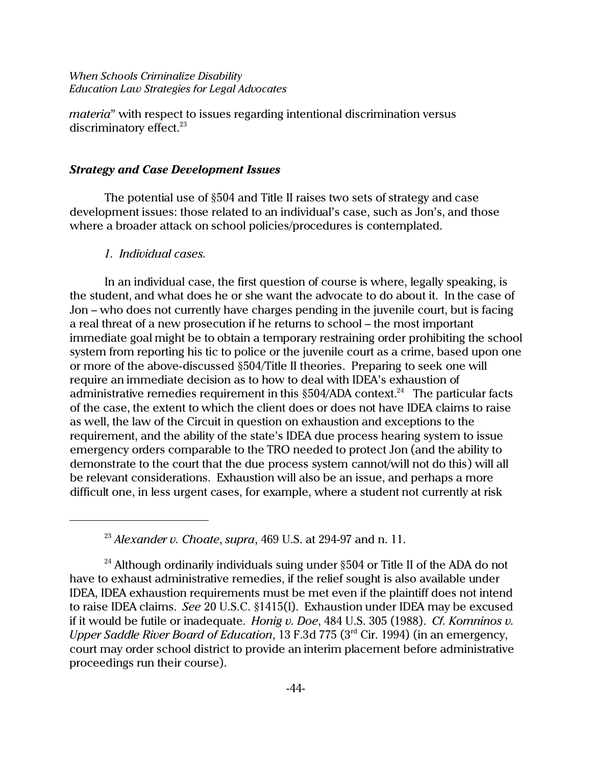*materia*" with respect to issues regarding intentional discrimination versus discriminatory effect.<sup>23</sup>

### *Strategy and Case Development Issues*

The potential use of §504 and Title II raises two sets of strategy and case development issues: those related to an individual's case, such as Jon's, and those where a broader attack on school policies/procedures is contemplated.

#### *1. Individual cases.*

In an individual case, the first question of course is where, legally speaking, is the student, and what does he or she want the advocate to do about it. In the case of Jon – who does not currently have charges pending in the juvenile court, but is facing a real threat of a new prosecution if he returns to school – the most important immediate goal might be to obtain a temporary restraining order prohibiting the school system from reporting his tic to police or the juvenile court as a crime, based upon one or more of the above-discussed §504/Title II theories. Preparing to seek one will require an immediate decision as to how to deal with IDEA's exhaustion of administrative remedies requirement in this  $\S 504$ /ADA context.<sup>24</sup> The particular facts of the case, the extent to which the client does or does not have IDEA claims to raise as well, the law of the Circuit in question on exhaustion and exceptions to the requirement, and the ability of the state's IDEA due process hearing system to issue emergency orders comparable to the TRO needed to protect Jon (and the ability to demonstrate to the court that the due process system cannot/will not do this) will all be relevant considerations. Exhaustion will also be an issue, and perhaps a more difficult one, in less urgent cases, for example, where a student not currently at risk

<sup>23</sup> *Alexander v. Choate*, *supra*, 469 U.S. at 294-97 and n. 11.

<sup>&</sup>lt;sup>24</sup> Although ordinarily individuals suing under  $\S504$  or Title II of the ADA do not have to exhaust administrative remedies, if the relief sought is also available under IDEA, IDEA exhaustion requirements must be met even if the plaintiff does not intend to raise IDEA claims. *See* 20 U.S.C. §1415(l). Exhaustion under IDEA may be excused if it would be futile or inadequate. *Honig v. Doe*, 484 U.S. 305 (1988). *Cf. Komninos v. Upper Saddle River Board of Education*, 13 F.3d 775 (3rd Cir. 1994) (in an emergency, court may order school district to provide an interim placement before administrative proceedings run their course).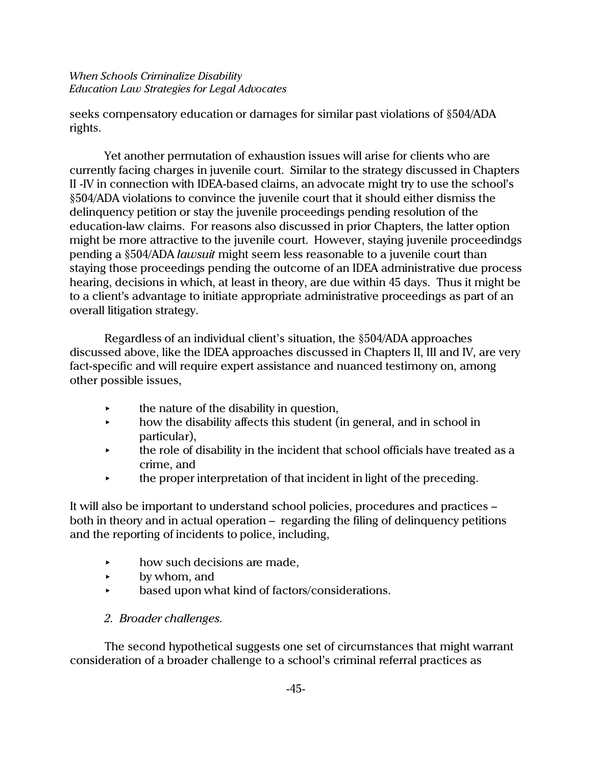seeks compensatory education or damages for similar past violations of §504/ADA rights.

Yet another permutation of exhaustion issues will arise for clients who are currently facing charges in juvenile court. Similar to the strategy discussed in Chapters II -IV in connection with IDEA-based claims, an advocate might try to use the school's §504/ADA violations to convince the juvenile court that it should either dismiss the delinquency petition or stay the juvenile proceedings pending resolution of the education-law claims. For reasons also discussed in prior Chapters, the latter option might be more attractive to the juvenile court. However, staying juvenile proceedindgs pending a §504/ADA *lawsuit* might seem less reasonable to a juvenile court than staying those proceedings pending the outcome of an IDEA administrative due process hearing, decisions in which, at least in theory, are due within 45 days. Thus it might be to a client's advantage to initiate appropriate administrative proceedings as part of an overall litigation strategy.

Regardless of an individual client's situation, the §504/ADA approaches discussed above, like the IDEA approaches discussed in Chapters II, III and IV, are very fact-specific and will require expert assistance and nuanced testimony on, among other possible issues,

- $\rightarrow$  the nature of the disability in question,
- $\rightarrow$  how the disability affects this student (in general, and in school in particular),
- $\star$  the role of disability in the incident that school officials have treated as a crime, and
- $\rightarrow$  the proper interpretation of that incident in light of the preceding.

It will also be important to understand school policies, procedures and practices – both in theory and in actual operation – regarding the filing of delinquency petitions and the reporting of incidents to police, including,

- $\rightarrow$  how such decisions are made,
- $\rightarrow$  by whom, and
- based upon what kind of factors/considerations.

# *2. Broader challenges.*

The second hypothetical suggests one set of circumstances that might warrant consideration of a broader challenge to a school's criminal referral practices as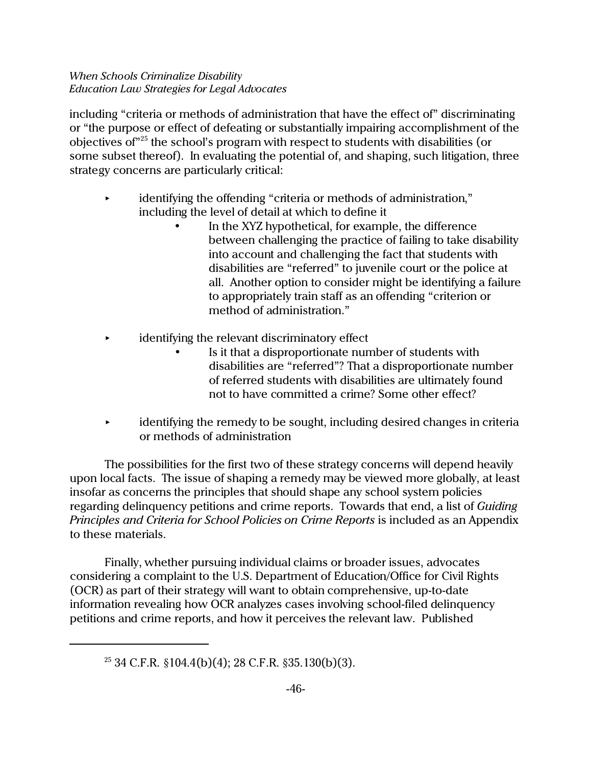including "criteria or methods of administration that have the effect of" discriminating or "the purpose or effect of defeating or substantially impairing accomplishment of the objectives of"<sup>25</sup> the school's program with respect to students with disabilities (or some subset thereof). In evaluating the potential of, and shaping, such litigation, three strategy concerns are particularly critical:

- identifying the offending "criteria or methods of administration," including the level of detail at which to define it
	- In the XYZ hypothetical, for example, the difference between challenging the practice of failing to take disability into account and challenging the fact that students with disabilities are "referred" to juvenile court or the police at all. Another option to consider might be identifying a failure to appropriately train staff as an offending "criterion or method of administration."
- identifying the relevant discriminatory effect
	- Is it that a disproportionate number of students with disabilities are "referred"? That a disproportionate number of referred students with disabilities are ultimately found not to have committed a crime? Some other effect?
- identifying the remedy to be sought, including desired changes in criteria or methods of administration

The possibilities for the first two of these strategy concerns will depend heavily upon local facts. The issue of shaping a remedy may be viewed more globally, at least insofar as concerns the principles that should shape any school system policies regarding delinquency petitions and crime reports. Towards that end, a list of *Guiding Principles and Criteria for School Policies on Crime Reports* is included as an Appendix to these materials.

Finally, whether pursuing individual claims or broader issues, advocates considering a complaint to the U.S. Department of Education/Office for Civil Rights (OCR) as part of their strategy will want to obtain comprehensive, up-to-date information revealing how OCR analyzes cases involving school-filed delinquency petitions and crime reports, and how it perceives the relevant law. Published

 $25$  34 C.F.R. §104.4(b)(4); 28 C.F.R. §35.130(b)(3).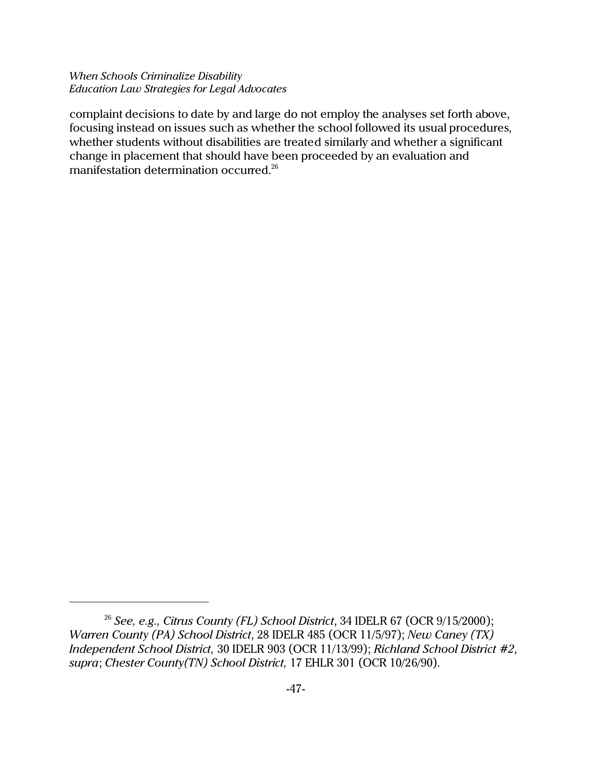complaint decisions to date by and large do not employ the analyses set forth above, focusing instead on issues such as whether the school followed its usual procedures, whether students without disabilities are treated similarly and whether a significant change in placement that should have been proceeded by an evaluation and manifestation determination occurred.<sup>26</sup>

<sup>&</sup>lt;sup>26</sup> See, e.g., Citrus County (FL) School District, 34 IDELR 67 (OCR 9/15/2000); *Warren County (PA) School District*, 28 IDELR 485 (OCR 11/5/97); *New Caney (TX) Independent School District,* 30 IDELR 903 (OCR 11/13/99); *Richland School District #2*, *supra*; *Chester County(TN) School District,* 17 EHLR 301 (OCR 10/26/90).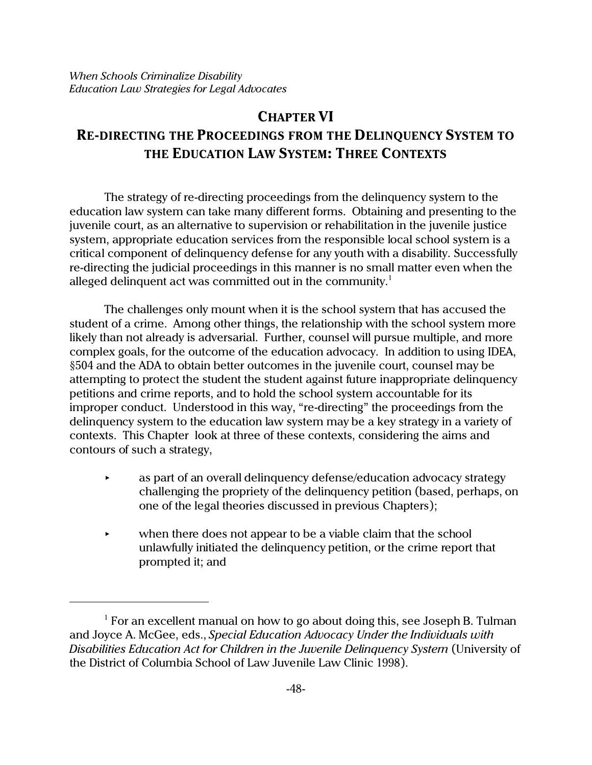# **CHAPTER VI RE-DIRECTING THE PROCEEDINGS FROM THE DELINQUENCY SYSTEM TO THE EDUCATION LAW SYSTEM: THREE CONTEXTS**

The strategy of re-directing proceedings from the delinquency system to the education law system can take many different forms. Obtaining and presenting to the juvenile court, as an alternative to supervision or rehabilitation in the juvenile justice system, appropriate education services from the responsible local school system is a critical component of delinquency defense for any youth with a disability. Successfully re-directing the judicial proceedings in this manner is no small matter even when the alleged delinquent act was committed out in the community.<sup>1</sup>

The challenges only mount when it is the school system that has accused the student of a crime. Among other things, the relationship with the school system more likely than not already is adversarial. Further, counsel will pursue multiple, and more complex goals, for the outcome of the education advocacy. In addition to using IDEA, §504 and the ADA to obtain better outcomes in the juvenile court, counsel may be attempting to protect the student the student against future inappropriate delinquency petitions and crime reports, and to hold the school system accountable for its improper conduct. Understood in this way, "re-directing" the proceedings from the delinquency system to the education law system may be a key strategy in a variety of contexts. This Chapter look at three of these contexts, considering the aims and contours of such a strategy,

- **EXECUTE:** As part of an overall delinquency defense/education advocacy strategy challenging the propriety of the delinquency petition (based, perhaps, on one of the legal theories discussed in previous Chapters);
- when there does not appear to be a viable claim that the school unlawfully initiated the delinquency petition, or the crime report that prompted it; and

<sup>&</sup>lt;sup>1</sup> For an excellent manual on how to go about doing this, see Joseph B. Tulman and Joyce A. McGee, eds., *Special Education Advocacy Under the Individuals with Disabilities Education Act for Children in the Juvenile Delinquency System* (University of the District of Columbia School of Law Juvenile Law Clinic 1998).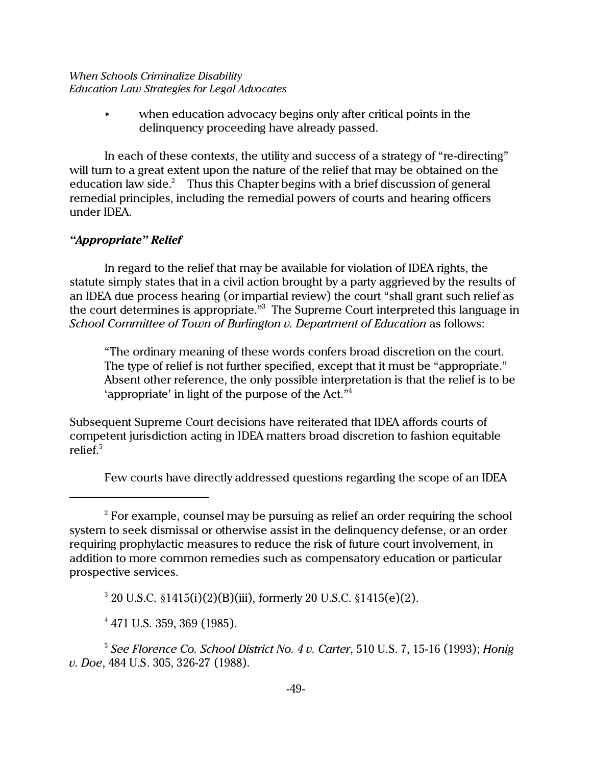$\rightarrow$  when education advocacy begins only after critical points in the delinquency proceeding have already passed.

In each of these contexts, the utility and success of a strategy of "re-directing" will turn to a great extent upon the nature of the relief that may be obtained on the education law side. $^2$  Thus this Chapter begins with a brief discussion of general remedial principles, including the remedial powers of courts and hearing officers under IDEA.

## *"Appropriate" Relief*

In regard to the relief that may be available for violation of IDEA rights, the statute simply states that in a civil action brought by a party aggrieved by the results of an IDEA due process hearing (or impartial review) the court "shall grant such relief as the court determines is appropriate."<sup>3</sup> The Supreme Court interpreted this language in *School Committee of Town of Burlington v. Department of Education* as follows:

"The ordinary meaning of these words confers broad discretion on the court. The type of relief is not further specified, except that it must be "appropriate." Absent other reference, the only possible interpretation is that the relief is to be 'appropriate' in light of the purpose of the Act."<sup>4</sup>

Subsequent Supreme Court decisions have reiterated that IDEA affords courts of competent jurisdiction acting in IDEA matters broad discretion to fashion equitable relief.<sup>5</sup>

Few courts have directly addressed questions regarding the scope of an IDEA

 $^2$  For example, counsel may be pursuing as relief an order requiring the school system to seek dismissal or otherwise assist in the delinquency defense, or an order requiring prophylactic measures to reduce the risk of future court involvement, in addition to more common remedies such as compensatory education or particular prospective services.

<sup>3</sup> 20 U.S.C. §1415(i)(2)(B)(iii), formerly 20 U.S.C. §1415(e)(2).

<sup>4</sup> 471 U.S. 359, 369 (1985).

<sup>5</sup> *See Florence Co. School District No. 4 v. Carter*, 510 U.S. 7, 15-16 (1993); *Honig v. Doe*, 484 U.S. 305, 326-27 (1988).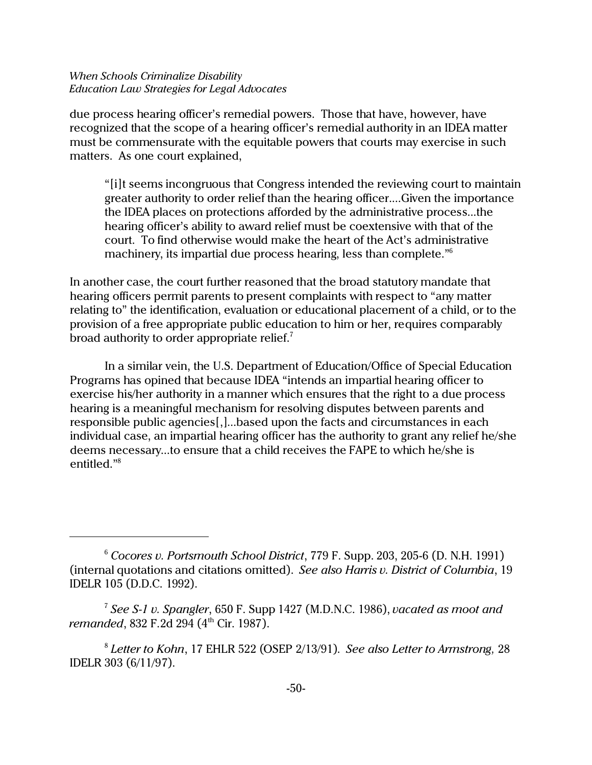due process hearing officer's remedial powers. Those that have, however, have recognized that the scope of a hearing officer's remedial authority in an IDEA matter must be commensurate with the equitable powers that courts may exercise in such matters. As one court explained,

"[i]t seems incongruous that Congress intended the reviewing court to maintain greater authority to order relief than the hearing officer....Given the importance the IDEA places on protections afforded by the administrative process...the hearing officer's ability to award relief must be coextensive with that of the court. To find otherwise would make the heart of the Act's administrative machinery, its impartial due process hearing, less than complete."<sup>6</sup>

In another case, the court further reasoned that the broad statutory mandate that hearing officers permit parents to present complaints with respect to "any matter relating to" the identification, evaluation or educational placement of a child, or to the provision of a free appropriate public education to him or her, requires comparably broad authority to order appropriate relief.<sup>7</sup>

In a similar vein, the U.S. Department of Education/Office of Special Education Programs has opined that because IDEA "intends an impartial hearing officer to exercise his/her authority in a manner which ensures that the right to a due process hearing is a meaningful mechanism for resolving disputes between parents and responsible public agencies[,]...based upon the facts and circumstances in each individual case, an impartial hearing officer has the authority to grant any relief he/she deems necessary...to ensure that a child receives the FAPE to which he/she is entitled."<sup>8</sup>

<sup>6</sup> *Cocores v. Portsmouth School District*, 779 F. Supp. 203, 205-6 (D. N.H. 1991) (internal quotations and citations omitted). *See also Harris v. District of Columbia*, 19 IDELR 105 (D.D.C. 1992).

<sup>7</sup> *See S-1 v. Spangler*, 650 F. Supp 1427 (M.D.N.C. 1986), *vacated as moot and remanded*, 832 F.2d 294 (4<sup>th</sup> Cir. 1987).

<sup>8</sup> *Letter to Kohn*, 17 EHLR 522 (OSEP 2/13/91). *See also Letter to Armstrong,* 28 IDELR 303 (6/11/97).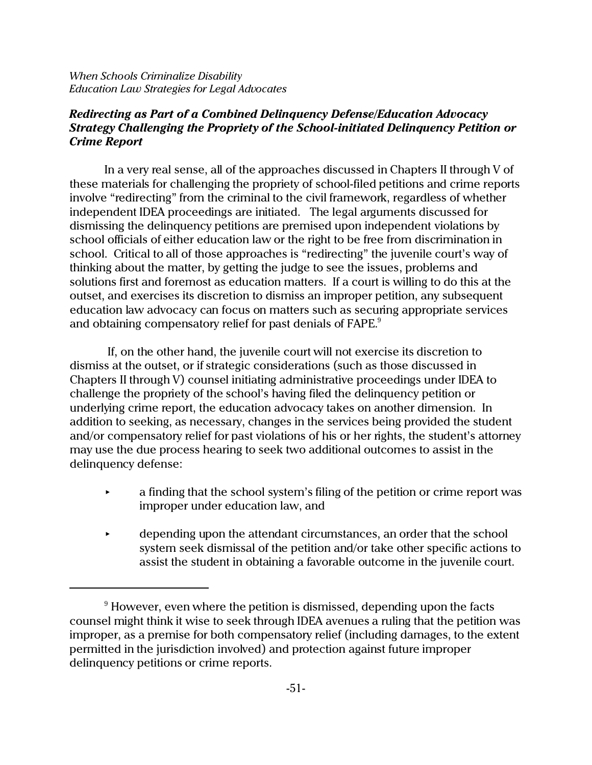## *Redirecting as Part of a Combined Delinquency Defense/Education Advocacy Strategy Challenging the Propriety of the School-initiated Delinquency Petition or Crime Report*

In a very real sense, all of the approaches discussed in Chapters II through V of these materials for challenging the propriety of school-filed petitions and crime reports involve "redirecting" from the criminal to the civil framework, regardless of whether independent IDEA proceedings are initiated. The legal arguments discussed for dismissing the delinquency petitions are premised upon independent violations by school officials of either education law or the right to be free from discrimination in school. Critical to all of those approaches is "redirecting" the juvenile court's way of thinking about the matter, by getting the judge to see the issues, problems and solutions first and foremost as education matters. If a court is willing to do this at the outset, and exercises its discretion to dismiss an improper petition, any subsequent education law advocacy can focus on matters such as securing appropriate services and obtaining compensatory relief for past denials of FAPE.<sup>9</sup>

 If, on the other hand, the juvenile court will not exercise its discretion to dismiss at the outset, or if strategic considerations (such as those discussed in Chapters II through V) counsel initiating administrative proceedings under IDEA to challenge the propriety of the school's having filed the delinquency petition or underlying crime report, the education advocacy takes on another dimension. In addition to seeking, as necessary, changes in the services being provided the student and/or compensatory relief for past violations of his or her rights, the student's attorney may use the due process hearing to seek two additional outcomes to assist in the delinquency defense:

- $\rightarrow$  a finding that the school system's filing of the petition or crime report was improper under education law, and
- < depending upon the attendant circumstances, an order that the school system seek dismissal of the petition and/or take other specific actions to assist the student in obtaining a favorable outcome in the juvenile court.

 $^9$  However, even where the petition is dismissed, depending upon the facts counsel might think it wise to seek through IDEA avenues a ruling that the petition was improper, as a premise for both compensatory relief (including damages, to the extent permitted in the jurisdiction involved) and protection against future improper delinquency petitions or crime reports.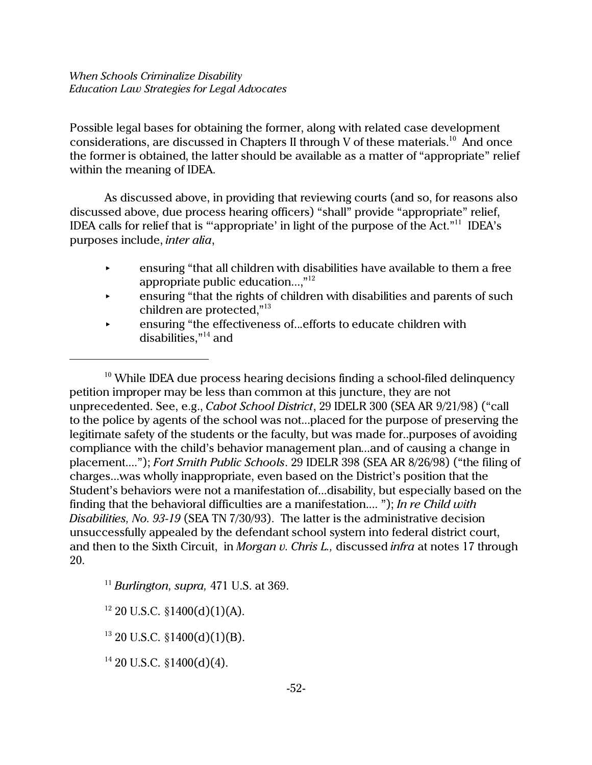Possible legal bases for obtaining the former, along with related case development considerations, are discussed in Chapters II through V of these materials.<sup>10</sup> And once the former is obtained, the latter should be available as a matter of "appropriate" relief within the meaning of IDEA.

As discussed above, in providing that reviewing courts (and so, for reasons also discussed above, due process hearing officers) "shall" provide "appropriate" relief, IDEA calls for relief that is ""appropriate' in light of the purpose of the Act." $11$  IDEA's purposes include, *inter alia*,

- $\rightarrow$  ensuring "that all children with disabilities have available to them a free appropriate public education...," $^{\scriptscriptstyle 12}$
- $\overline{\phantom{a}}$  ensuring "that the rights of children with disabilities and parents of such children are protected," $^{13}$
- **EXECUTE:** ensuring "the effectiveness of...efforts to educate children with disabilities,"<sup>14</sup> and

 $10$  While IDEA due process hearing decisions finding a school-filed delinquency petition improper may be less than common at this juncture, they are not unprecedented. See, e.g., *Cabot School District*, 29 IDELR 300 (SEA AR 9/21/98) ("call to the police by agents of the school was not...placed for the purpose of preserving the legitimate safety of the students or the faculty, but was made for..purposes of avoiding compliance with the child's behavior management plan...and of causing a change in placement...."); *Fort Smith Public Schools*. 29 IDELR 398 (SEA AR 8/26/98) ("the filing of charges...was wholly inappropriate, even based on the District's position that the Student's behaviors were not a manifestation of...disability, but especially based on the finding that the behavioral difficulties are a manifestation.... "); *In re Child with Disabilities, No. 93-19* (SEA TN 7/30/93). The latter is the administrative decision unsuccessfully appealed by the defendant school system into federal district court, and then to the Sixth Circuit, in *Morgan v. Chris L.,* discussed *infra* at notes 17 through 20.

<sup>11</sup> *Burlington, supra,* 471 U.S. at 369.

 $12$  20 U.S.C. §1400(d)(1)(A).

 $13$  20 U.S.C. §1400(d)(1)(B).

 $14$  20 U.S.C. §1400(d)(4).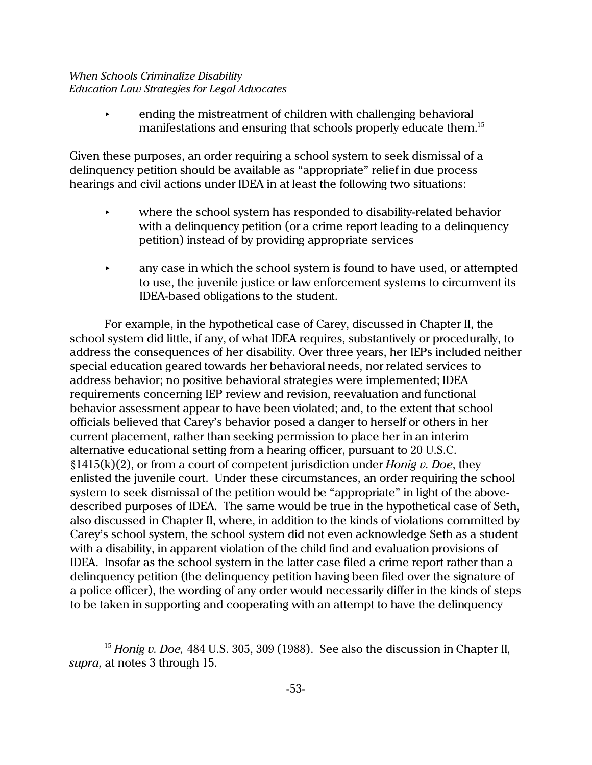< ending the mistreatment of children with challenging behavioral manifestations and ensuring that schools properly educate them.<sup>15</sup>

Given these purposes, an order requiring a school system to seek dismissal of a delinquency petition should be available as "appropriate" relief in due process hearings and civil actions under IDEA in at least the following two situations:

- $\blacktriangleright$  where the school system has responded to disability-related behavior with a delinquency petition (or a crime report leading to a delinquency petition) instead of by providing appropriate services
- $\rightarrow$  any case in which the school system is found to have used, or attempted to use, the juvenile justice or law enforcement systems to circumvent its IDEA-based obligations to the student.

For example, in the hypothetical case of Carey, discussed in Chapter II, the school system did little, if any, of what IDEA requires, substantively or procedurally, to address the consequences of her disability. Over three years, her IEPs included neither special education geared towards her behavioral needs, nor related services to address behavior; no positive behavioral strategies were implemented; IDEA requirements concerning IEP review and revision, reevaluation and functional behavior assessment appear to have been violated; and, to the extent that school officials believed that Carey's behavior posed a danger to herself or others in her current placement, rather than seeking permission to place her in an interim alternative educational setting from a hearing officer, pursuant to 20 U.S.C. §1415(k)(2), or from a court of competent jurisdiction under *Honig v. Doe*, they enlisted the juvenile court. Under these circumstances, an order requiring the school system to seek dismissal of the petition would be "appropriate" in light of the abovedescribed purposes of IDEA. The same would be true in the hypothetical case of Seth, also discussed in Chapter II, where, in addition to the kinds of violations committed by Carey's school system, the school system did not even acknowledge Seth as a student with a disability, in apparent violation of the child find and evaluation provisions of IDEA. Insofar as the school system in the latter case filed a crime report rather than a delinquency petition (the delinquency petition having been filed over the signature of a police officer), the wording of any order would necessarily differ in the kinds of steps to be taken in supporting and cooperating with an attempt to have the delinquency

<sup>15</sup> *Honig v. Doe,* 484 U.S. 305, 309 (1988). See also the discussion in Chapter II, *supra,* at notes 3 through 15.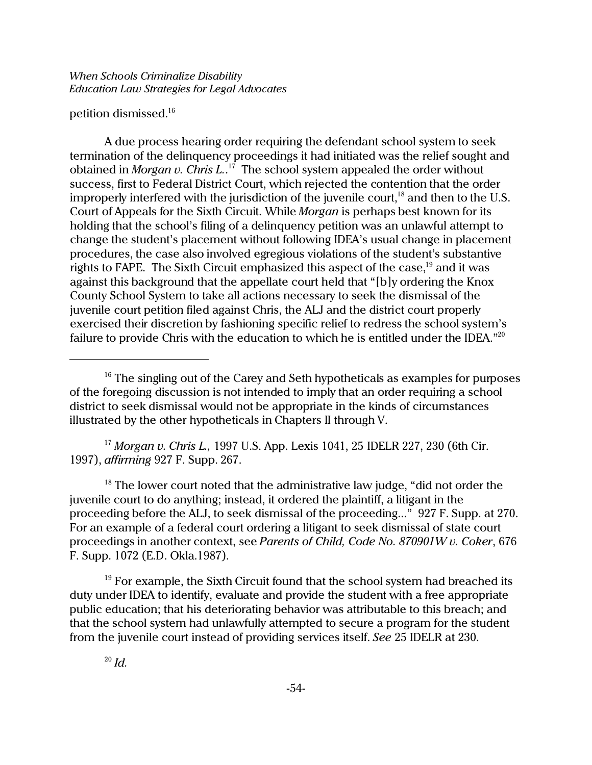## petition dismissed.<sup>16</sup>

A due process hearing order requiring the defendant school system to seek termination of the delinquency proceedings it had initiated was the relief sought and obtained in *Morgan v. Chris L.*. <sup>17</sup> The school system appealed the order without success, first to Federal District Court, which rejected the contention that the order improperly interfered with the jurisdiction of the juvenile court,<sup>18</sup> and then to the U.S. Court of Appeals for the Sixth Circuit. While *Morgan* is perhaps best known for its holding that the school's filing of a delinquency petition was an unlawful attempt to change the student's placement without following IDEA's usual change in placement procedures, the case also involved egregious violations of the student's substantive rights to FAPE. The Sixth Circuit emphasized this aspect of the case,<sup>19</sup> and it was against this background that the appellate court held that "[b]y ordering the Knox County School System to take all actions necessary to seek the dismissal of the juvenile court petition filed against Chris, the ALJ and the district court properly exercised their discretion by fashioning specific relief to redress the school system's failure to provide Chris with the education to which he is entitled under the IDEA."<sup>20</sup>

<sup>17</sup> *Morgan v. Chris L.,* 1997 U.S. App. Lexis 1041, 25 IDELR 227, 230 (6th Cir. 1997), *affirming* 927 F. Supp. 267.

 $18$  The lower court noted that the administrative law judge, "did not order the juvenile court to do anything; instead, it ordered the plaintiff, a litigant in the proceeding before the ALJ, to seek dismissal of the proceeding..." 927 F. Supp. at 270. For an example of a federal court ordering a litigant to seek dismissal of state court proceedings in another context, see *Parents of Child, Code No. 870901W v. Coker*, 676 F. Supp. 1072 (E.D. Okla.1987).

 $19$  For example, the Sixth Circuit found that the school system had breached its duty under IDEA to identify, evaluate and provide the student with a free appropriate public education; that his deteriorating behavior was attributable to this breach; and that the school system had unlawfully attempted to secure a program for the student from the juvenile court instead of providing services itself. *See* 25 IDELR at 230.

<sup>&</sup>lt;sup>16</sup> The singling out of the Carey and Seth hypotheticals as examples for purposes of the foregoing discussion is not intended to imply that an order requiring a school district to seek dismissal would not be appropriate in the kinds of circumstances illustrated by the other hypotheticals in Chapters II through V.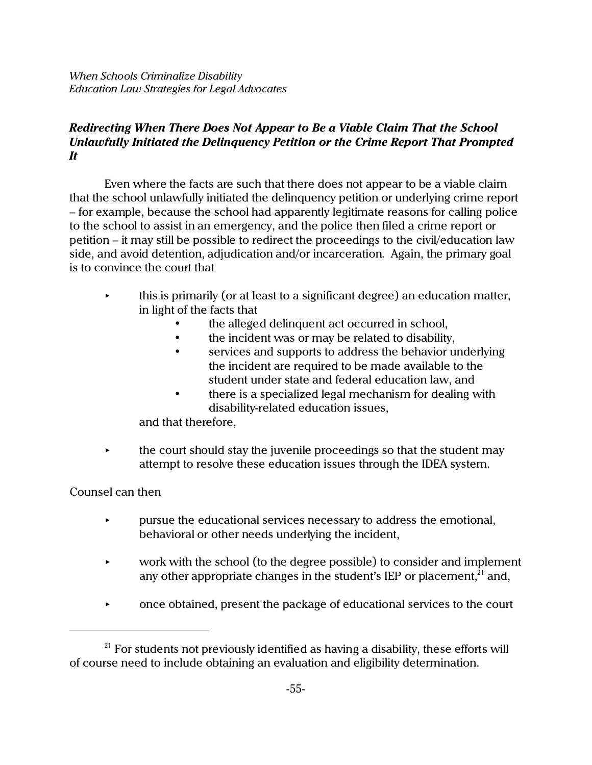## *Redirecting When There Does Not Appear to Be a Viable Claim That the School Unlawfully Initiated the Delinquency Petition or the Crime Report That Prompted It*

Even where the facts are such that there does not appear to be a viable claim that the school unlawfully initiated the delinquency petition or underlying crime report – for example, because the school had apparently legitimate reasons for calling police to the school to assist in an emergency, and the police then filed a crime report or petition – it may still be possible to redirect the proceedings to the civil/education law side, and avoid detention, adjudication and/or incarceration. Again, the primary goal is to convince the court that

- $\rightarrow$  this is primarily (or at least to a significant degree) an education matter, in light of the facts that
	- the alleged delinquent act occurred in school,
	- the incident was or may be related to disability,
	- services and supports to address the behavior underlying the incident are required to be made available to the student under state and federal education law, and
	- there is a specialized legal mechanism for dealing with disability-related education issues,

and that therefore,

 $\rightarrow$  the court should stay the juvenile proceedings so that the student may attempt to resolve these education issues through the IDEA system.

## Counsel can then

- $\rightarrow$  pursue the educational services necessary to address the emotional, behavioral or other needs underlying the incident,
- $\triangleright$  work with the school (to the degree possible) to consider and implement any other appropriate changes in the student's IEP or placement, $21$  and,
- < once obtained, present the package of educational services to the court

 $21$  For students not previously identified as having a disability, these efforts will of course need to include obtaining an evaluation and eligibility determination.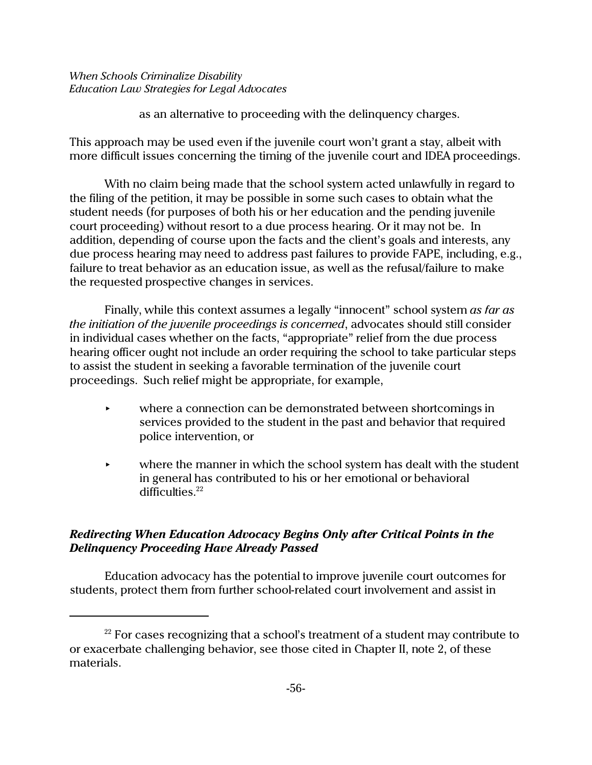as an alternative to proceeding with the delinquency charges.

This approach may be used even if the juvenile court won't grant a stay, albeit with more difficult issues concerning the timing of the juvenile court and IDEA proceedings.

With no claim being made that the school system acted unlawfully in regard to the filing of the petition, it may be possible in some such cases to obtain what the student needs (for purposes of both his or her education and the pending juvenile court proceeding) without resort to a due process hearing. Or it may not be. In addition, depending of course upon the facts and the client's goals and interests, any due process hearing may need to address past failures to provide FAPE, including, e.g., failure to treat behavior as an education issue, as well as the refusal/failure to make the requested prospective changes in services.

Finally, while this context assumes a legally "innocent" school system *as far as the initiation of the juvenile proceedings is concerned*, advocates should still consider in individual cases whether on the facts, "appropriate" relief from the due process hearing officer ought not include an order requiring the school to take particular steps to assist the student in seeking a favorable termination of the juvenile court proceedings. Such relief might be appropriate, for example,

- where a connection can be demonstrated between shortcomings in services provided to the student in the past and behavior that required police intervention, or
- $\rightarrow$  where the manner in which the school system has dealt with the student in general has contributed to his or her emotional or behavioral difficulties. $22$

# *Redirecting When Education Advocacy Begins Only after Critical Points in the Delinquency Proceeding Have Already Passed*

Education advocacy has the potential to improve juvenile court outcomes for students, protect them from further school-related court involvement and assist in

 $22$  For cases recognizing that a school's treatment of a student may contribute to or exacerbate challenging behavior, see those cited in Chapter II, note 2, of these materials.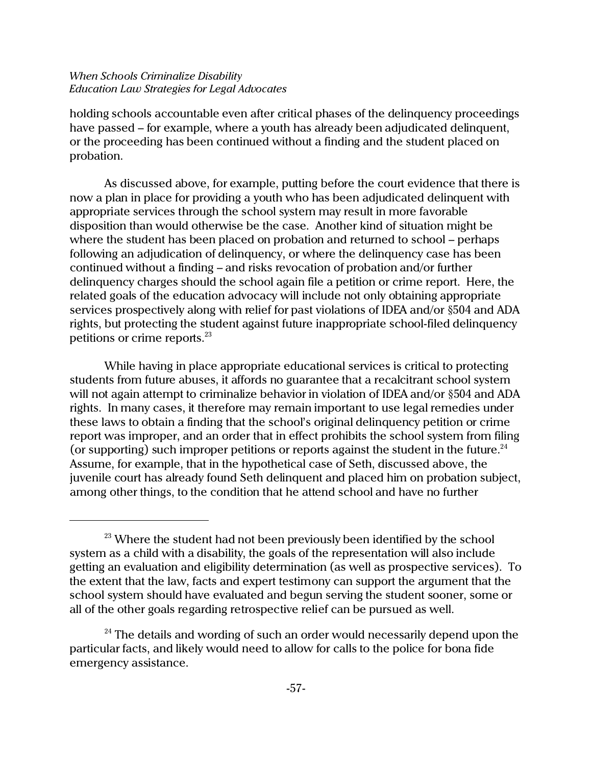holding schools accountable even after critical phases of the delinquency proceedings have passed – for example, where a youth has already been adjudicated delinquent, or the proceeding has been continued without a finding and the student placed on probation.

As discussed above, for example, putting before the court evidence that there is now a plan in place for providing a youth who has been adjudicated delinquent with appropriate services through the school system may result in more favorable disposition than would otherwise be the case. Another kind of situation might be where the student has been placed on probation and returned to school – perhaps following an adjudication of delinquency, or where the delinquency case has been continued without a finding – and risks revocation of probation and/or further delinquency charges should the school again file a petition or crime report. Here, the related goals of the education advocacy will include not only obtaining appropriate services prospectively along with relief for past violations of IDEA and/or §504 and ADA rights, but protecting the student against future inappropriate school-filed delinquency petitions or crime reports.<sup>23</sup>

While having in place appropriate educational services is critical to protecting students from future abuses, it affords no guarantee that a recalcitrant school system will not again attempt to criminalize behavior in violation of IDEA and/or §504 and ADA rights. In many cases, it therefore may remain important to use legal remedies under these laws to obtain a finding that the school's original delinquency petition or crime report was improper, and an order that in effect prohibits the school system from filing (or supporting) such improper petitions or reports against the student in the future.<sup>24</sup> Assume, for example, that in the hypothetical case of Seth, discussed above, the juvenile court has already found Seth delinquent and placed him on probation subject, among other things, to the condition that he attend school and have no further

 $23$  Where the student had not been previously been identified by the school system as a child with a disability, the goals of the representation will also include getting an evaluation and eligibility determination (as well as prospective services). To the extent that the law, facts and expert testimony can support the argument that the school system should have evaluated and begun serving the student sooner, some or all of the other goals regarding retrospective relief can be pursued as well.

 $24$  The details and wording of such an order would necessarily depend upon the particular facts, and likely would need to allow for calls to the police for bona fide emergency assistance.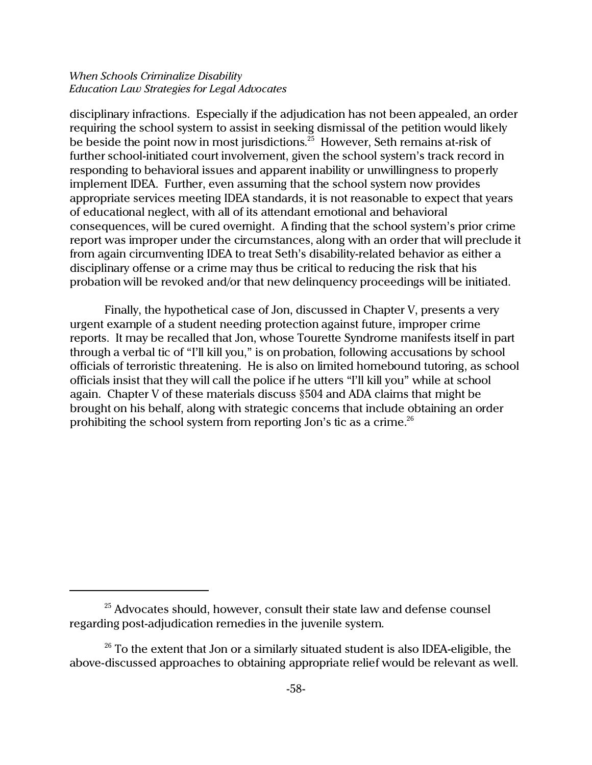disciplinary infractions. Especially if the adjudication has not been appealed, an order requiring the school system to assist in seeking dismissal of the petition would likely be beside the point now in most jurisdictions. $^{\mathrm{25}}$  However, Seth remains at-risk of further school-initiated court involvement, given the school system's track record in responding to behavioral issues and apparent inability or unwillingness to properly implement IDEA. Further, even assuming that the school system now provides appropriate services meeting IDEA standards, it is not reasonable to expect that years of educational neglect, with all of its attendant emotional and behavioral consequences, will be cured overnight. A finding that the school system's prior crime report was improper under the circumstances, along with an order that will preclude it from again circumventing IDEA to treat Seth's disability-related behavior as either a disciplinary offense or a crime may thus be critical to reducing the risk that his probation will be revoked and/or that new delinquency proceedings will be initiated.

Finally, the hypothetical case of Jon, discussed in Chapter V, presents a very urgent example of a student needing protection against future, improper crime reports. It may be recalled that Jon, whose Tourette Syndrome manifests itself in part through a verbal tic of "I'll kill you," is on probation, following accusations by school officials of terroristic threatening. He is also on limited homebound tutoring, as school officials insist that they will call the police if he utters "I'll kill you" while at school again. Chapter V of these materials discuss §504 and ADA claims that might be brought on his behalf, along with strategic concerns that include obtaining an order prohibiting the school system from reporting Jon's tic as a crime.<sup>26</sup>

 $25$  Advocates should, however, consult their state law and defense counsel regarding post-adjudication remedies in the juvenile system.

 $26$  To the extent that Jon or a similarly situated student is also IDEA-eligible, the above-discussed approaches to obtaining appropriate relief would be relevant as well.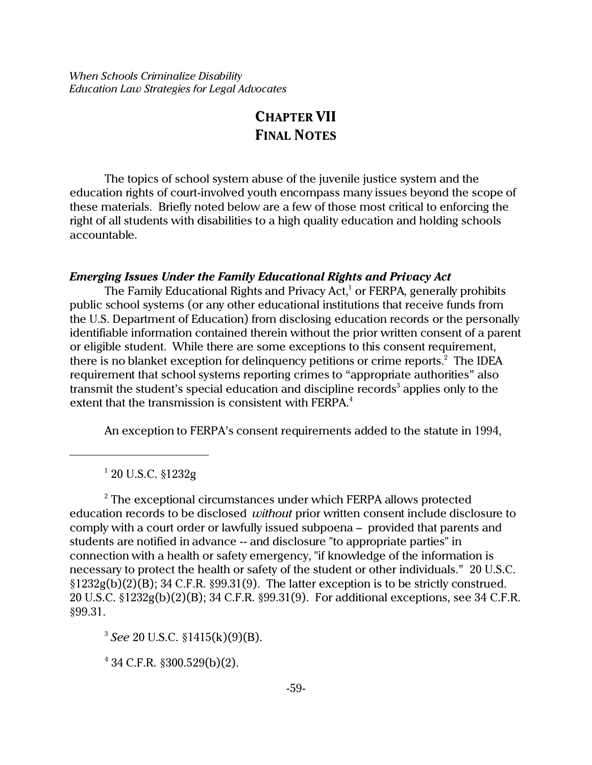# **CHAPTER VII FINAL NOTES**

The topics of school system abuse of the juvenile justice system and the education rights of court-involved youth encompass many issues beyond the scope of these materials. Briefly noted below are a few of those most critical to enforcing the right of all students with disabilities to a high quality education and holding schools accountable.

## *Emerging Issues Under the Family Educational Rights and Privacy Act*

The Family Educational Rights and Privacy Act,<sup>1</sup> or FERPA, generally prohibits public school systems (or any other educational institutions that receive funds from the U.S. Department of Education) from disclosing education records or the personally identifiable information contained therein without the prior written consent of a parent or eligible student. While there are some exceptions to this consent requirement, there is no blanket exception for delinquency petitions or crime reports. $^2\,$  The IDEA requirement that school systems reporting crimes to "appropriate authorities" also transmit the student's special education and discipline records $^3$  applies only to the extent that the transmission is consistent with FERPA.<sup>4</sup>

An exception to FERPA's consent requirements added to the statute in 1994,

1 20 U.S.C. §1232g

 $^{\rm 2}$  The exceptional circumstances under which FERPA allows protected education records to be disclosed *without* prior written consent include disclosure to comply with a court order or lawfully issued subpoena – provided that parents and students are notified in advance -- and disclosure "to appropriate parties" in connection with a health or safety emergency, "if knowledge of the information is necessary to protect the health or safety of the student or other individuals." 20 U.S.C. §1232g(b)(2)(B); 34 C.F.R. §99.31(9). The latter exception is to be strictly construed. 20 U.S.C. §1232g(b)(2)(B); 34 C.F.R. §99.31(9). For additional exceptions, see 34 C.F.R. §99.31.

3 *See* 20 U.S.C. §1415(k)(9)(B).

4 34 C.F.R. §300.529(b)(2).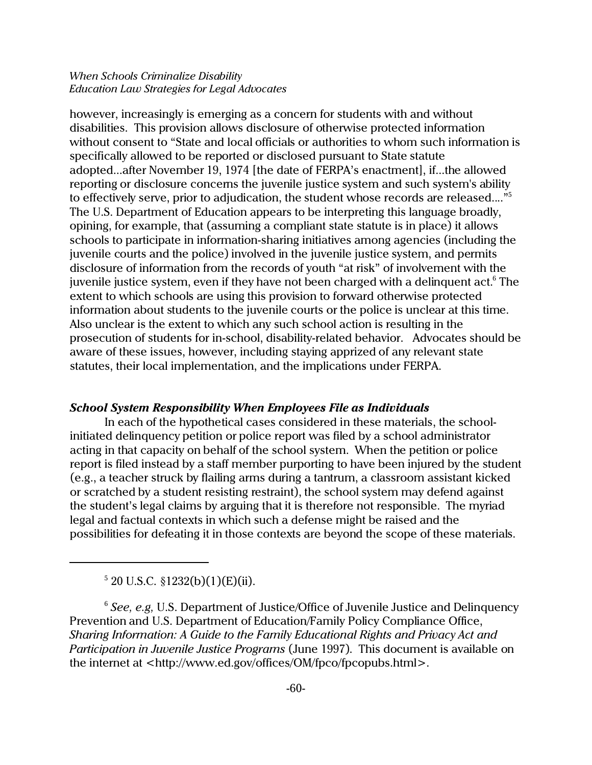however, increasingly is emerging as a concern for students with and without disabilities. This provision allows disclosure of otherwise protected information without consent to "State and local officials or authorities to whom such information is specifically allowed to be reported or disclosed pursuant to State statute adopted...after November 19, 1974 [the date of FERPA's enactment], if...the allowed reporting or disclosure concerns the juvenile justice system and such system's ability to effectively serve, prior to adjudication, the student whose records are released...."<sup>5</sup> The U.S. Department of Education appears to be interpreting this language broadly, opining, for example, that (assuming a compliant state statute is in place) it allows schools to participate in information-sharing initiatives among agencies (including the juvenile courts and the police) involved in the juvenile justice system, and permits disclosure of information from the records of youth "at risk" of involvement with the juvenile justice system, even if they have not been charged with a delinquent act. $^{\rm 6}$  The extent to which schools are using this provision to forward otherwise protected information about students to the juvenile courts or the police is unclear at this time. Also unclear is the extent to which any such school action is resulting in the prosecution of students for in-school, disability-related behavior. Advocates should be aware of these issues, however, including staying apprized of any relevant state statutes, their local implementation, and the implications under FERPA.

## *School System Responsibility When Employees File as Individuals*

In each of the hypothetical cases considered in these materials, the schoolinitiated delinquency petition or police report was filed by a school administrator acting in that capacity on behalf of the school system. When the petition or police report is filed instead by a staff member purporting to have been injured by the student (e.g., a teacher struck by flailing arms during a tantrum, a classroom assistant kicked or scratched by a student resisting restraint), the school system may defend against the student's legal claims by arguing that it is therefore not responsible. The myriad legal and factual contexts in which such a defense might be raised and the possibilities for defeating it in those contexts are beyond the scope of these materials.

 $520$  U.S.C.  $$1232(b)(1)(E)(ii)$ .

<sup>6</sup> *See, e.g,* U.S. Department of Justice/Office of Juvenile Justice and Delinquency Prevention and U.S. Department of Education/Family Policy Compliance Office, *Sharing Information: A Guide to the Family Educational Rights and Privacy Act and Participation in Juvenile Justice Programs* (June 1997). This document is available on the internet at <http://www.ed.gov/offices/OM/fpco/fpcopubs.html>.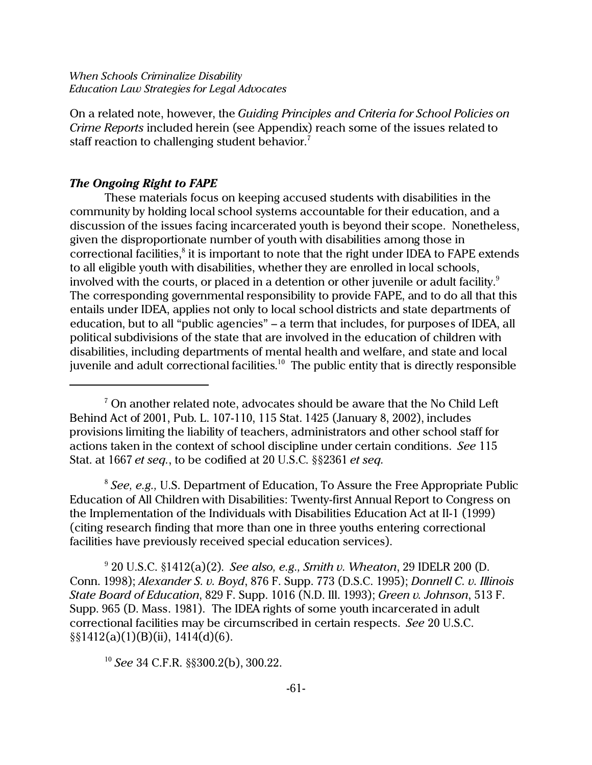On a related note, however, the *Guiding Principles and Criteria for School Policies on Crime Reports* included herein (see Appendix) reach some of the issues related to staff reaction to challenging student behavior.<sup>7</sup>

### *The Ongoing Right to FAPE*

These materials focus on keeping accused students with disabilities in the community by holding local school systems accountable for their education, and a discussion of the issues facing incarcerated youth is beyond their scope. Nonetheless, given the disproportionate number of youth with disabilities among those in correctional facilities, ${}^{8}$  it is important to note that the right under IDEA to FAPE extends to all eligible youth with disabilities, whether they are enrolled in local schools, involved with the courts, or placed in a detention or other juvenile or adult facility.<sup>9</sup> The corresponding governmental responsibility to provide FAPE, and to do all that this entails under IDEA, applies not only to local school districts and state departments of education, but to all "public agencies" – a term that includes, for purposes of IDEA, all political subdivisions of the state that are involved in the education of children with disabilities, including departments of mental health and welfare, and state and local juvenile and adult correctional facilities. $^{\rm 10}$  The public entity that is directly responsible

8 *See, e.g.,* U.S. Department of Education, To Assure the Free Appropriate Public Education of All Children with Disabilities: Twenty-first Annual Report to Congress on the Implementation of the Individuals with Disabilities Education Act at II-1 (1999) (citing research finding that more than one in three youths entering correctional facilities have previously received special education services).

9 20 U.S.C. §1412(a)(2). *See also, e.g., Smith v. Wheaton*, 29 IDELR 200 (D. Conn. 1998); *Alexander S. v. Boyd*, 876 F. Supp. 773 (D.S.C. 1995); *Donnell C. v. Illinois State Board of Education*, 829 F. Supp. 1016 (N.D. Ill. 1993); *Green v. Johnson*, 513 F. Supp. 965 (D. Mass. 1981). The IDEA rights of some youth incarcerated in adult correctional facilities may be circumscribed in certain respects. *See* 20 U.S.C. §§1412(a)(1)(B)(ii), 1414(d)(6).

<sup>10</sup> *See* 34 C.F.R. §§300.2(b), 300.22.

 $^7$  On another related note, advocates should be aware that the No Child Left Behind Act of 2001, Pub. L. 107-110, 115 Stat. 1425 (January 8, 2002), includes provisions limiting the liability of teachers, administrators and other school staff for actions taken in the context of school discipline under certain conditions. *See* 115 Stat. at 1667 *et seq.*, to be codified at 20 U.S.C. §§2361 *et seq.*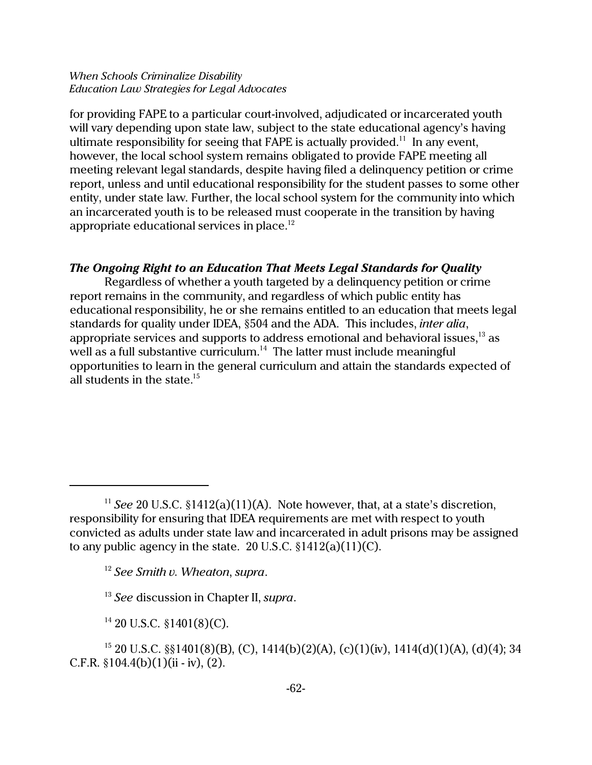for providing FAPE to a particular court-involved, adjudicated or incarcerated youth will vary depending upon state law, subject to the state educational agency's having ultimate responsibility for seeing that FAPE is actually provided.<sup>11</sup> In any event, however, the local school system remains obligated to provide FAPE meeting all meeting relevant legal standards, despite having filed a delinquency petition or crime report, unless and until educational responsibility for the student passes to some other entity, under state law. Further, the local school system for the community into which an incarcerated youth is to be released must cooperate in the transition by having appropriate educational services in place. $12$ 

## *The Ongoing Right to an Education That Meets Legal Standards for Quality*

Regardless of whether a youth targeted by a delinquency petition or crime report remains in the community, and regardless of which public entity has educational responsibility, he or she remains entitled to an education that meets legal standards for quality under IDEA, §504 and the ADA. This includes, *inter alia*, appropriate services and supports to address emotional and behavioral issues,<sup>13</sup> as well as a full substantive curriculum.<sup>14</sup> The latter must include meaningful opportunities to learn in the general curriculum and attain the standards expected of all students in the state. $15$ 

<sup>&</sup>lt;sup>11</sup> *See* 20 U.S.C.  $$1412(a)(11)(A)$ . Note however, that, at a state's discretion, responsibility for ensuring that IDEA requirements are met with respect to youth convicted as adults under state law and incarcerated in adult prisons may be assigned to any public agency in the state. 20 U.S.C.  $$1412(a)(11)(C)$ .

<sup>12</sup> *See Smith v. Wheaton*, *supra*.

<sup>13</sup> *See* discussion in Chapter II, *supra*.

 $14$  20 U.S.C. §1401(8)(C).

<sup>&</sup>lt;sup>15</sup> 20 U.S.C. §§1401(8)(B), (C), 1414(b)(2)(A), (c)(1)(iv), 1414(d)(1)(A), (d)(4); 34 C.F.R.  $§104.4(b)(1)(ii - iv)$ , (2).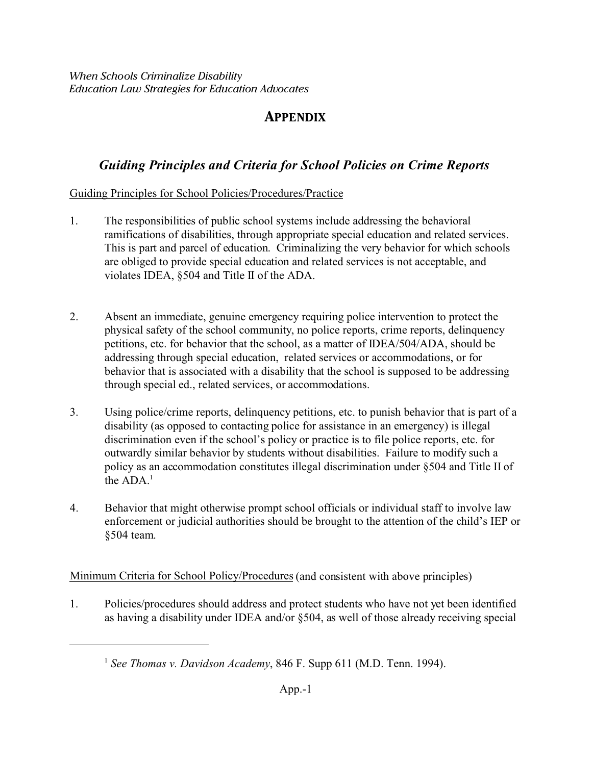# **APPENDIX**

# *Guiding Principles and Criteria for School Policies on Crime Reports*

# Guiding Principles for School Policies/Procedures/Practice

- 1. The responsibilities of public school systems include addressing the behavioral ramifications of disabilities, through appropriate special education and related services. This is part and parcel of education. Criminalizing the very behavior for which schools are obliged to provide special education and related services is not acceptable, and violates IDEA, §504 and Title II of the ADA.
- 2. Absent an immediate, genuine emergency requiring police intervention to protect the physical safety of the school community, no police reports, crime reports, delinquency petitions, etc. for behavior that the school, as a matter of IDEA/504/ADA, should be addressing through special education, related services or accommodations, or for behavior that is associated with a disability that the school is supposed to be addressing through special ed., related services, or accommodations.
- 3. Using police/crime reports, delinquency petitions, etc. to punish behavior that is part of a disability (as opposed to contacting police for assistance in an emergency) is illegal discrimination even if the school's policy or practice is to file police reports, etc. for outwardly similar behavior by students without disabilities. Failure to modify such a policy as an accommodation constitutes illegal discrimination under §504 and Title II of the  $ADA<sup>1</sup>$
- 4. Behavior that might otherwise prompt school officials or individual staff to involve law enforcement or judicial authorities should be brought to the attention of the child's IEP or §504 team.

Minimum Criteria for School Policy/Procedures (and consistent with above principles)

1. Policies/procedures should address and protect students who have not yet been identified as having a disability under IDEA and/or §504, as well of those already receiving special

<sup>&</sup>lt;sup>1</sup> See Thomas v. Davidson Academy, 846 F. Supp 611 (M.D. Tenn. 1994).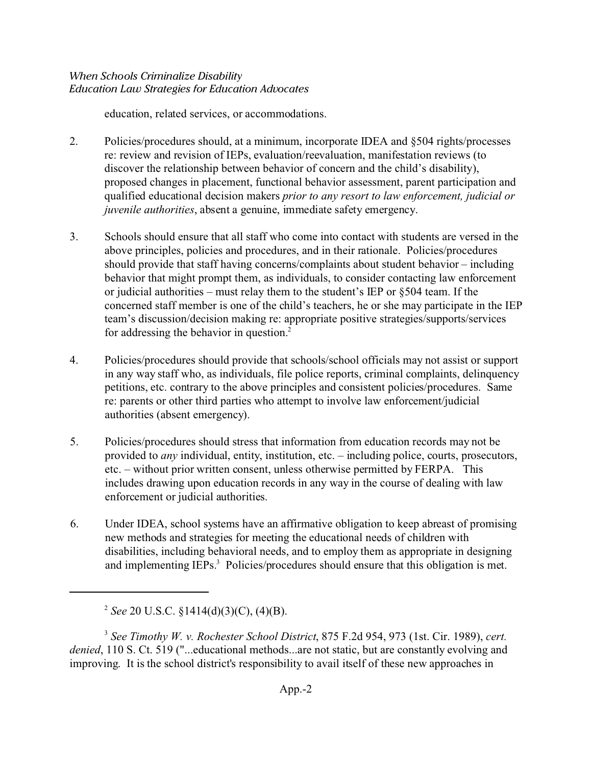education, related services, or accommodations.

- 2. Policies/procedures should, at a minimum, incorporate IDEA and §504 rights/processes re: review and revision of IEPs, evaluation/reevaluation, manifestation reviews (to discover the relationship between behavior of concern and the child's disability), proposed changes in placement, functional behavior assessment, parent participation and qualified educational decision makers *prior to any resort to law enforcement, judicial or juvenile authorities*, absent a genuine, immediate safety emergency.
- 3. Schools should ensure that all staff who come into contact with students are versed in the above principles, policies and procedures, and in their rationale. Policies/procedures should provide that staff having concerns/complaints about student behavior – including behavior that might prompt them, as individuals, to consider contacting law enforcement or judicial authorities – must relay them to the student's IEP or §504 team. If the concerned staff member is one of the child's teachers, he or she may participate in the IEP team's discussion/decision making re: appropriate positive strategies/supports/services for addressing the behavior in question.<sup>2</sup>
- 4. Policies/procedures should provide that schools/school officials may not assist or support in any way staff who, as individuals, file police reports, criminal complaints, delinquency petitions, etc. contrary to the above principles and consistent policies/procedures. Same re: parents or other third parties who attempt to involve law enforcement/judicial authorities (absent emergency).
- 5. Policies/procedures should stress that information from education records may not be provided to *any* individual, entity, institution, etc. – including police, courts, prosecutors, etc. – without prior written consent, unless otherwise permitted by FERPA. This includes drawing upon education records in any way in the course of dealing with law enforcement or judicial authorities.
- 6. Under IDEA, school systems have an affirmative obligation to keep abreast of promising new methods and strategies for meeting the educational needs of children with disabilities, including behavioral needs, and to employ them as appropriate in designing and implementing  $IEPs<sup>3</sup>$ . Policies/procedures should ensure that this obligation is met.

3 *See Timothy W. v. Rochester School District*, 875 F.2d 954, 973 (1st. Cir. 1989), *cert. denied*, 110 S. Ct. 519 ("...educational methods...are not static, but are constantly evolving and improving. It is the school district's responsibility to avail itself of these new approaches in

<sup>2</sup> *See* 20 U.S.C. §1414(d)(3)(C), (4)(B).